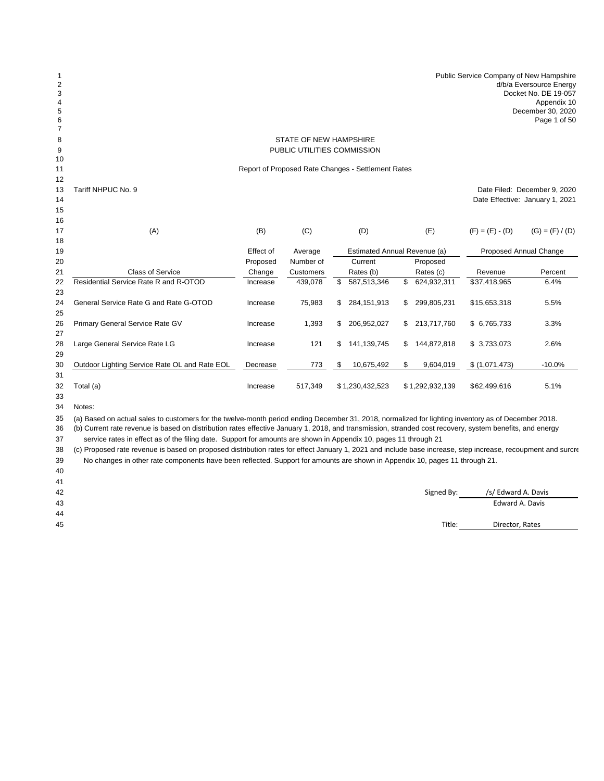| 1<br>$\overline{c}$<br>3<br>4<br>5<br>6<br>$\overline{7}$ |                                                    |                       |                      |    |                                         |              |                 | Public Service Company of New Hampshire | d/b/a Eversource Energy<br>Docket No. DE 19-057<br>Appendix 10<br>December 30, 2020<br>Page 1 of 50 |  |  |  |
|-----------------------------------------------------------|----------------------------------------------------|-----------------------|----------------------|----|-----------------------------------------|--------------|-----------------|-----------------------------------------|-----------------------------------------------------------------------------------------------------|--|--|--|
| 8                                                         |                                                    |                       |                      |    |                                         |              |                 |                                         |                                                                                                     |  |  |  |
| 9                                                         |                                                    |                       |                      |    |                                         |              |                 |                                         |                                                                                                     |  |  |  |
| 10<br>11                                                  | Report of Proposed Rate Changes - Settlement Rates |                       |                      |    |                                         |              |                 |                                         |                                                                                                     |  |  |  |
| 12                                                        |                                                    |                       |                      |    |                                         |              |                 |                                         |                                                                                                     |  |  |  |
| 13                                                        | Tariff NHPUC No. 9                                 |                       |                      |    |                                         |              |                 |                                         | Date Filed: December 9, 2020                                                                        |  |  |  |
| 14                                                        |                                                    |                       |                      |    |                                         |              |                 |                                         | Date Effective: January 1, 2021                                                                     |  |  |  |
| 15                                                        |                                                    |                       |                      |    |                                         |              |                 |                                         |                                                                                                     |  |  |  |
| 16                                                        |                                                    |                       |                      |    |                                         |              |                 |                                         |                                                                                                     |  |  |  |
| 17                                                        | (A)                                                | (B)                   | (C)                  |    | (D)                                     |              | (E)             | $(F) = (E) - (D)$                       | $(G) = (F) / (D)$                                                                                   |  |  |  |
| 18                                                        |                                                    |                       |                      |    |                                         |              |                 |                                         |                                                                                                     |  |  |  |
| 19<br>20                                                  |                                                    | Effect of<br>Proposed | Average<br>Number of |    | Estimated Annual Revenue (a)<br>Current |              | Proposed        | Proposed Annual Change                  |                                                                                                     |  |  |  |
| 21                                                        | <b>Class of Service</b>                            | Change                | Customers            |    | Rates (b)                               |              | Rates (c)       | Revenue                                 | Percent                                                                                             |  |  |  |
| 22                                                        | Residential Service Rate R and R-OTOD              | Increase              | 439,078              | \$ | 587,513,346                             | $\mathbb{S}$ | 624,932,311     | \$37,418,965                            | 6.4%                                                                                                |  |  |  |
| 23                                                        |                                                    |                       |                      |    |                                         |              |                 |                                         |                                                                                                     |  |  |  |
| 24                                                        | General Service Rate G and Rate G-OTOD             | Increase              | 75,983               | \$ | 284, 151, 913                           | \$           | 299,805,231     | \$15,653,318                            | 5.5%                                                                                                |  |  |  |
| 25                                                        |                                                    |                       |                      |    |                                         |              |                 |                                         |                                                                                                     |  |  |  |
| 26                                                        | Primary General Service Rate GV                    | Increase              | 1,393                | \$ | 206,952,027                             | \$           | 213,717,760     | \$ 6,765,733                            | 3.3%                                                                                                |  |  |  |
| 27                                                        |                                                    |                       |                      |    |                                         |              |                 |                                         |                                                                                                     |  |  |  |
| 28                                                        | Large General Service Rate LG                      | Increase              | 121                  | \$ | 141,139,745                             | \$           | 144,872,818     | \$ 3,733,073                            | 2.6%                                                                                                |  |  |  |
| 29                                                        |                                                    |                       |                      |    |                                         |              |                 |                                         |                                                                                                     |  |  |  |
| 30                                                        | Outdoor Lighting Service Rate OL and Rate EOL      | Decrease              | 773                  | \$ | 10,675,492                              | \$           | 9,604,019       | \$(1,071,473)                           | $-10.0%$                                                                                            |  |  |  |
| 31<br>32                                                  | Total (a)                                          | Increase              | 517,349              |    | \$1,230,432,523                         |              | \$1,292,932,139 | \$62,499,616                            | 5.1%                                                                                                |  |  |  |
| 33                                                        |                                                    |                       |                      |    |                                         |              |                 |                                         |                                                                                                     |  |  |  |
| $\sim$ $\lambda$                                          | $\mathbf{A}$                                       |                       |                      |    |                                         |              |                 |                                         |                                                                                                     |  |  |  |

Notes:

 (a) Based on actual sales to customers for the twelve-month period ending December 31, 2018, normalized for lighting inventory as of December 2018.

 (b) Current rate revenue is based on distribution rates effective January 1, 2018, and transmission, stranded cost recovery, system benefits, and energy 37 service rates in effect as of the filing date. Support for amounts are shown in Appendix 10, pages 11 through 21

 (c) Proposed rate revenue is based on proposed distribution rates for effect January 1, 2021 and include base increase, step increase, recoupment and surcre 39 No changes in other rate components have been reflected. Support for amounts are shown in Appendix 10, pages 11 through 21.

 

42 Signed By: All the Superior State of the Superior Signed By: All the Superior Signed By: All the Superior Signed By: All the Superior Signed By: All the Superior Signed By: All the Superior Signed By: All the Superior S Edward A. Davis

Title: Director, Rates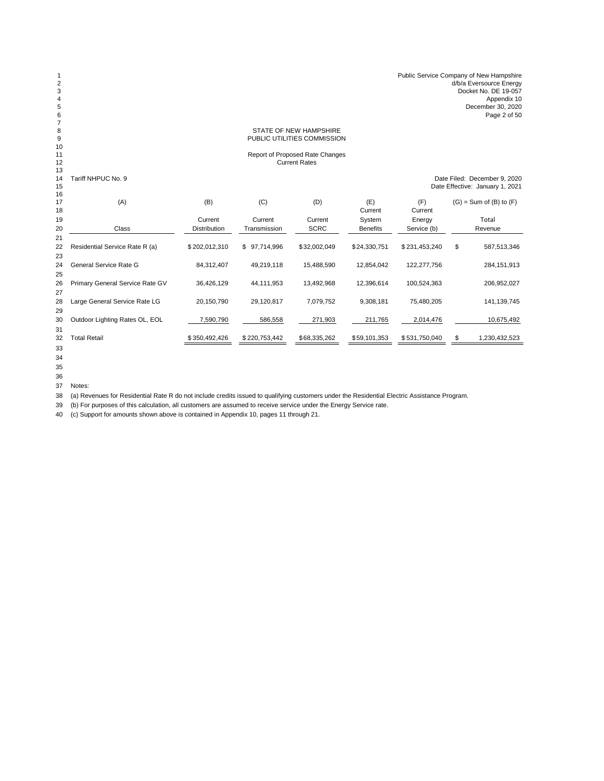| 1<br>$\boldsymbol{2}$<br>3<br>$\overline{4}$<br>5<br>6<br>$\overline{7}$ |                                 |                     |               |                                 |                 |               | Public Service Company of New Hampshire<br>d/b/a Eversource Energy<br>Docket No. DE 19-057<br>Appendix 10<br>December 30, 2020<br>Page 2 of 50 |
|--------------------------------------------------------------------------|---------------------------------|---------------------|---------------|---------------------------------|-----------------|---------------|------------------------------------------------------------------------------------------------------------------------------------------------|
| 8                                                                        |                                 |                     |               | <b>STATE OF NEW HAMPSHIRE</b>   |                 |               |                                                                                                                                                |
| 9                                                                        |                                 |                     |               | PUBLIC UTILITIES COMMISSION     |                 |               |                                                                                                                                                |
| 10<br>11                                                                 |                                 |                     |               | Report of Proposed Rate Changes |                 |               |                                                                                                                                                |
| 12                                                                       |                                 |                     |               | <b>Current Rates</b>            |                 |               |                                                                                                                                                |
| 13                                                                       |                                 |                     |               |                                 |                 |               |                                                                                                                                                |
| 14<br>15                                                                 | Tariff NHPUC No. 9              |                     |               |                                 |                 |               | Date Filed: December 9, 2020<br>Date Effective: January 1, 2021                                                                                |
| 16                                                                       |                                 |                     |               |                                 |                 |               |                                                                                                                                                |
| 17                                                                       | (A)                             | (B)                 | (C)           | (D)                             | (E)             | (F)           | $(G)$ = Sum of $(B)$ to $(F)$                                                                                                                  |
| 18                                                                       |                                 |                     |               |                                 | Current         | Current       |                                                                                                                                                |
| 19                                                                       |                                 | Current             | Current       | Current                         | System          | Energy        | Total                                                                                                                                          |
| 20                                                                       | Class                           | <b>Distribution</b> | Transmission  | <b>SCRC</b>                     | <b>Benefits</b> | Service (b)   | Revenue                                                                                                                                        |
| 21                                                                       |                                 |                     |               |                                 |                 |               |                                                                                                                                                |
| 22<br>23                                                                 | Residential Service Rate R (a)  | \$202,012,310       | \$97,714,996  | \$32,002,049                    | \$24,330,751    | \$231,453,240 | \$<br>587,513,346                                                                                                                              |
| 24                                                                       | General Service Rate G          | 84,312,407          | 49,219,118    | 15,488,590                      | 12,854,042      | 122,277,756   | 284, 151, 913                                                                                                                                  |
| 25                                                                       |                                 |                     |               |                                 |                 |               |                                                                                                                                                |
| 26                                                                       | Primary General Service Rate GV | 36,426,129          | 44,111,953    | 13,492,968                      | 12,396,614      | 100,524,363   | 206,952,027                                                                                                                                    |
| 27                                                                       |                                 |                     |               |                                 |                 |               |                                                                                                                                                |
| 28                                                                       | Large General Service Rate LG   | 20,150,790          | 29,120,817    | 7,079,752                       | 9,308,181       | 75,480,205    | 141,139,745                                                                                                                                    |
| 29                                                                       |                                 |                     |               |                                 |                 |               |                                                                                                                                                |
| 30                                                                       | Outdoor Lighting Rates OL, EOL  | 7,590,790           | 586,558       | 271,903                         | 211,765         | 2,014,476     | 10,675,492                                                                                                                                     |
| 31                                                                       |                                 |                     |               |                                 |                 |               |                                                                                                                                                |
| 32                                                                       | <b>Total Retail</b>             | \$350,492,426       | \$220,753,442 | \$68,335,262                    | \$59,101,353    | \$531,750,040 | \$<br>1,230,432,523                                                                                                                            |
| 33                                                                       |                                 |                     |               |                                 |                 |               |                                                                                                                                                |

 

Notes:

(a) Revenues for Residential Rate R do not include credits issued to qualifying customers under the Residential Electric Assistance Program.

(b) For purposes of this calculation, all customers are assumed to receive service under the Energy Service rate.

(c) Support for amounts shown above is contained in Appendix 10, pages 11 through 21.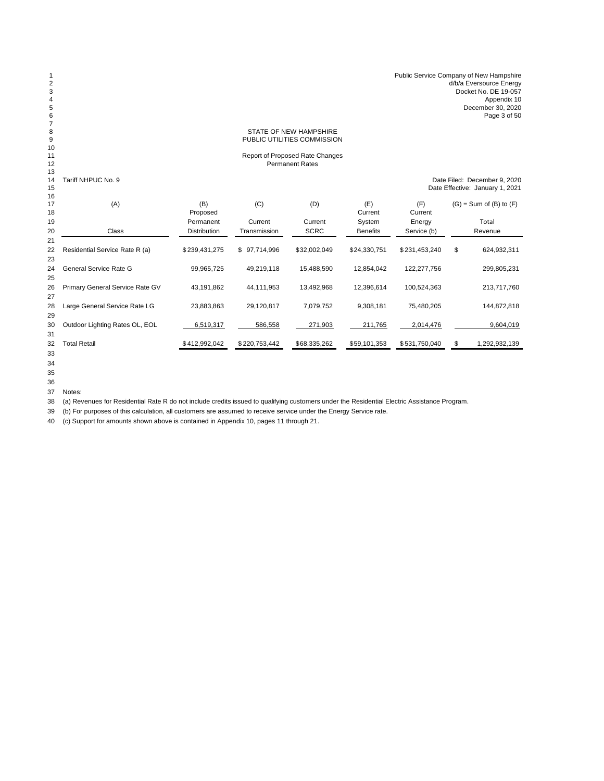### STATE OF NEW HAMPSHIRE PUBLIC UTILITIES COMMISSION

#### Report of Proposed Rate Changes Permanent Rates

<br> $14$ 

14 Tariff NHPUC No. 9 **Date Filed: December 9, 2020**<br>15 Date Effective: January 1, 2021 Date Effective: January 1, 2021

| 16<br>17 | (A)                             | (B)                 | (C)              | (D)          | (E)             | (F)           | $(G)$ = Sum of $(B)$ to $(F)$ |
|----------|---------------------------------|---------------------|------------------|--------------|-----------------|---------------|-------------------------------|
| 18       |                                 | Proposed            |                  |              | Current         | Current       |                               |
| 19       |                                 | Permanent           | Current          | Current      | System          | Energy        | Total                         |
| 20       | Class                           | <b>Distribution</b> | Transmission     | <b>SCRC</b>  | <b>Benefits</b> | Service (b)   | Revenue                       |
| 21       |                                 |                     |                  |              |                 |               |                               |
| 22       | Residential Service Rate R (a)  | \$239,431,275       | 97,714,996<br>\$ | \$32,002,049 | \$24,330,751    | \$231,453,240 | \$<br>624,932,311             |
| 23       |                                 |                     |                  |              |                 |               |                               |
| 24       | General Service Rate G          | 99,965,725          | 49,219,118       | 15,488,590   | 12,854,042      | 122,277,756   | 299,805,231                   |
| 25       |                                 |                     |                  |              |                 |               |                               |
| 26       | Primary General Service Rate GV | 43,191,862          | 44,111,953       | 13,492,968   | 12.396.614      | 100,524,363   | 213,717,760                   |
| 27       |                                 |                     |                  |              |                 |               |                               |
| 28       | Large General Service Rate LG   | 23,883,863          | 29,120,817       | 7,079,752    | 9,308,181       | 75,480,205    | 144,872,818                   |
| 29       |                                 |                     |                  |              |                 |               |                               |
| 30       | Outdoor Lighting Rates OL, EOL  | 6,519,317           | 586,558          | 271,903      | 211,765         | 2,014,476     | 9,604,019                     |
| 31       |                                 |                     |                  |              |                 |               |                               |
| 32       | <b>Total Retail</b>             | \$412,992,042       | \$220,753,442    | \$68,335,262 | \$59,101,353    | \$531,750,040 | \$<br>1,292,932,139           |
| - -      |                                 |                     |                  |              |                 |               |                               |

Notes:

(a) Revenues for Residential Rate R do not include credits issued to qualifying customers under the Residential Electric Assistance Program.

(b) For purposes of this calculation, all customers are assumed to receive service under the Energy Service rate.

(c) Support for amounts shown above is contained in Appendix 10, pages 11 through 21.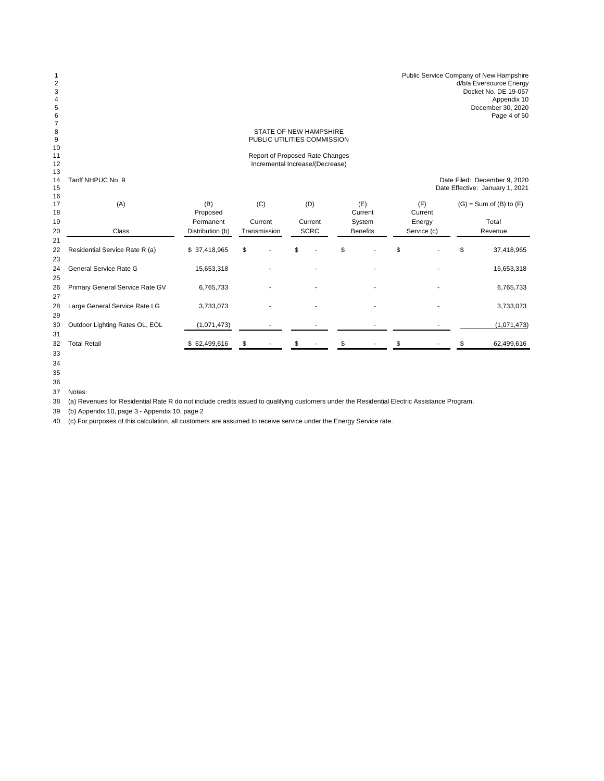| d/b/a Eversource Energy |
|-------------------------|
| Docket No. DE 19-057    |
| Appendix 10             |
| December 30, 2020       |
| Page 4 of 50            |
|                         |

### STATE OF NEW HAMPSHIRE PUBLIC UTILITIES COMMISSION

#### Report of Proposed Rate Changes Incremental Increase/(Decrease)

13<br>14 Tariff NHPUC No. 9

nd Tariff NHPUC No. 9<br>
14 Tariff NHPUC No. 9<br>
15 Date Effective: January 1, 2021 Date Effective: January 1, 2021

| 16<br>17<br>18 | (A)                             | (B)<br>Proposed  | (C)          | (D)         | (E)<br>Current  | (F)<br>Current |             | $(G)$ = Sum of $(B)$ to $(F)$ |             |
|----------------|---------------------------------|------------------|--------------|-------------|-----------------|----------------|-------------|-------------------------------|-------------|
| 19             |                                 | Permanent        | Current      | Current     | System          |                | Energy      |                               | Total       |
| 20<br>21       | Class                           | Distribution (b) | Transmission | <b>SCRC</b> | <b>Benefits</b> |                | Service (c) |                               | Revenue     |
| 22<br>23       | Residential Service Rate R (a)  | \$37,418,965     | \$           | \$          | \$              | \$             |             | \$                            | 37,418,965  |
| 24<br>25       | General Service Rate G          | 15,653,318       |              |             |                 |                |             |                               | 15,653,318  |
| 26<br>27       | Primary General Service Rate GV | 6,765,733        |              |             |                 |                |             |                               | 6,765,733   |
| 28<br>29       | Large General Service Rate LG   | 3,733,073        |              |             |                 |                |             |                               | 3,733,073   |
| 30<br>31       | Outdoor Lighting Rates OL, EOL  | (1,071,473)      |              |             |                 |                |             |                               | (1,071,473) |
| 32<br>ົດ       | <b>Total Retail</b>             | \$62,499,616     | \$           |             |                 |                |             |                               | 62,499,616  |

 

Notes:

(a) Revenues for Residential Rate R do not include credits issued to qualifying customers under the Residential Electric Assistance Program.

(b) Appendix 10, page 3 - Appendix 10, page 2

(c) For purposes of this calculation, all customers are assumed to receive service under the Energy Service rate.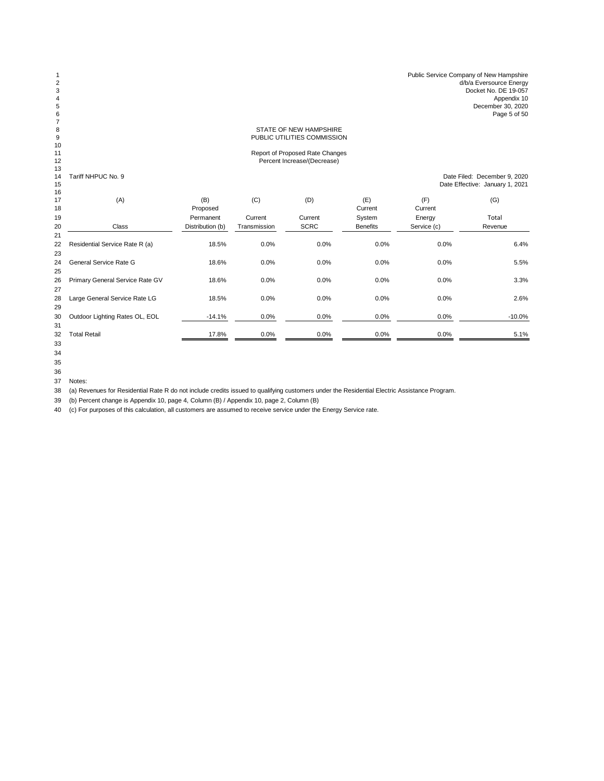| Public Service Company of New Hampshire |
|-----------------------------------------|
| d/b/a Eversource Energy                 |
| Docket No. DE 19-057                    |
| Appendix 10                             |
| December 30, 2020                       |
| Page 5 of 50                            |

# STATE OF NEW HAMPSHIRE PUBLIC UTILITIES COMMISSION

# Report of Proposed Rate Changes Percent Increase/(Decrease)

13<br>14 Tariff NHPUC No. 9

 Tariff NHPUC No. 9 Date Filed: December 9, 2020 Date Effective: January 1, 2021

| 16       |                                 |                  |              |             |                 |                |           |
|----------|---------------------------------|------------------|--------------|-------------|-----------------|----------------|-----------|
| 17<br>18 | (A)                             | (B)<br>Proposed  | (C)          | (D)         | (E)<br>Current  | (F)<br>Current | (G)       |
| 19       |                                 | Permanent        | Current      | Current     | System          | Energy         | Total     |
| 20       | Class                           | Distribution (b) | Transmission | <b>SCRC</b> | <b>Benefits</b> | Service (c)    | Revenue   |
| 21       |                                 |                  |              |             |                 |                |           |
| 22       | Residential Service Rate R (a)  | 18.5%            | 0.0%         | 0.0%        | 0.0%            | 0.0%           | 6.4%      |
| 23       |                                 |                  |              |             |                 |                |           |
| 24       | General Service Rate G          | 18.6%            | 0.0%         | 0.0%        | 0.0%            | 0.0%           | 5.5%      |
| 25       |                                 |                  |              |             |                 |                |           |
| 26       | Primary General Service Rate GV | 18.6%            | 0.0%         | 0.0%        | 0.0%            | 0.0%           | 3.3%      |
| 27       |                                 |                  |              |             |                 |                |           |
| 28       | Large General Service Rate LG   | 18.5%            | 0.0%         | 0.0%        | 0.0%            | 0.0%           | 2.6%      |
| 29       |                                 |                  |              |             |                 |                |           |
| 30       | Outdoor Lighting Rates OL, EOL  | $-14.1%$         | 0.0%         | 0.0%        | 0.0%            | 0.0%           | $-10.0\%$ |
| 31       |                                 |                  |              |             |                 |                |           |
| 32       | <b>Total Retail</b>             | 17.8%            | 0.0%         | 0.0%        | 0.0%            | 0.0%           | 5.1%      |
| $\sim$   |                                 |                  |              |             |                 |                |           |

 

Notes:

(a) Revenues for Residential Rate R do not include credits issued to qualifying customers under the Residential Electric Assistance Program.

(b) Percent change is Appendix 10, page 4, Column (B) / Appendix 10, page 2, Column (B)

(c) For purposes of this calculation, all customers are assumed to receive service under the Energy Service rate.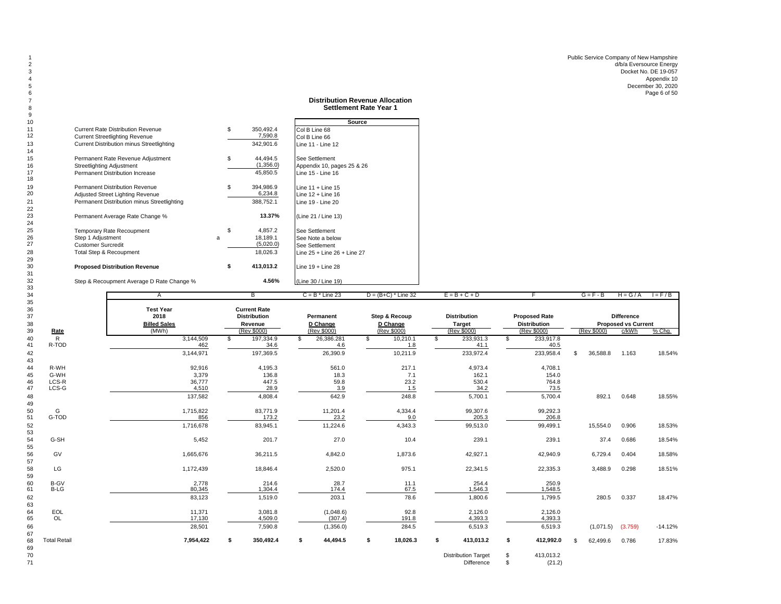Public Service Company of New Hampshire d/b/a Eversource Energy 3 Docket No. DE 19-057 Appendix 10 December 30, 2020 6 Page 6 of 50 Page 6 of 50 Page 6 of 50 Page 6 of 50 Page 6 of 50 Page 6 of 50 Page 6 of 50 Page 6 of 50 Page

## **Distribution Revenue Allocation** 8 **Settlement Rate Year 1**

| 10 |                                                  |   |                 | Source                            |
|----|--------------------------------------------------|---|-----------------|-----------------------------------|
| 11 | Current Rate Distribution Revenue                |   | \$<br>350,492.4 | Col B Line 68                     |
| 12 | <b>Current Streetlighting Revenue</b>            |   | 7,590.8         | Col B Line 66                     |
| 13 | <b>Current Distribution minus Streetlighting</b> |   | 342.901.6       | Line 11 - Line 12                 |
| 14 |                                                  |   |                 |                                   |
| 15 | Permanent Rate Revenue Adjustment                |   | \$<br>44.494.5  | See Settlement                    |
| 16 | <b>Streetlighting Adjustment</b>                 |   | (1,356.0)       | Appendix 10, pages 25 & 26        |
| 17 | Permanent Distribution Increase                  |   | 45,850.5        | Line 15 - Line 16                 |
| 18 |                                                  |   |                 |                                   |
| 19 | <b>Permanent Distribution Revenue</b>            |   | \$<br>394,986.9 | Line $11 +$ Line $15$             |
| 20 | Adjusted Street Lighting Revenue                 |   | 6,234.8         | Line $12 +$ Line 16               |
| 21 | Permanent Distribution minus Streetlighting      |   | 388,752.1       | Line 19 - Line 20                 |
| 22 |                                                  |   |                 |                                   |
| 23 | Permanent Average Rate Change %                  |   | 13.37%          | (Line 21 / Line 13)               |
| 24 |                                                  |   |                 |                                   |
| 25 | Temporary Rate Recoupment                        |   | \$<br>4,857.2   | See Settlement                    |
| 26 | Step 1 Adjustment                                | a | 18,189.1        | See Note a below                  |
| 27 | <b>Customer Surcredit</b>                        |   | (5,020.0)       | See Settlement                    |
| 28 | <b>Total Step &amp; Recoupment</b>               |   | 18,026.3        | Line $25 +$ Line $26 +$ Line $27$ |
| 29 |                                                  |   |                 |                                   |
| 30 | <b>Proposed Distribution Revenue</b>             |   | \$<br>413,013.2 | Line $19 +$ Line 28               |
| 31 |                                                  |   |                 |                                   |
| 32 | Step & Recoupment Average D Rate Change %        |   | 4.56%           | (Line 30 / Line 19)               |
| 33 |                                                  |   |                 |                                   |

| 34                         |                     | Α                                                        | в                                                                    | $C = B$ * Line 23                    | $D = (B+C)^*$ Line 32                    | $E = B + C + D$                                     |                                                            | $G = F - B$               |                                                          | $H = G/A$ $I = F/B$ |
|----------------------------|---------------------|----------------------------------------------------------|----------------------------------------------------------------------|--------------------------------------|------------------------------------------|-----------------------------------------------------|------------------------------------------------------------|---------------------------|----------------------------------------------------------|---------------------|
| 35<br>36<br>37<br>38<br>39 | Rate                | <b>Test Year</b><br>2018<br><b>Billed Sales</b><br>(MWh) | <b>Current Rate</b><br><b>Distribution</b><br>Revenue<br>(Rev \$000) | Permanent<br>D Change<br>(Rev \$000) | Step & Recoup<br>D Change<br>(Rev \$000) | <b>Distribution</b><br><b>Target</b><br>(Rev \$000) | <b>Proposed Rate</b><br><b>Distribution</b><br>(Rev \$000) | (Rev \$000)               | <b>Difference</b><br><b>Proposed vs Current</b><br>c/kWh | % Chq.              |
| 40                         | R                   | 3,144,509                                                | 197,334.9<br>\$                                                      | 26,386.281<br>\$                     | 10,210.1<br>\$                           | 233,931.3<br>S.                                     | 233,917.8<br>\$                                            |                           |                                                          |                     |
| 41                         | R-TOD               | 462                                                      | 34.6                                                                 | 4.6                                  | 1.8                                      | 41.1                                                | 40.5                                                       |                           |                                                          |                     |
| 42<br>43                   |                     | 3,144,971                                                | 197,369.5                                                            | 26,390.9                             | 10,211.9                                 | 233,972.4                                           | 233,958.4                                                  | 36,588.8<br>$\mathcal{S}$ | 1.163                                                    | 18.54%              |
| 44                         | R-WH                | 92,916                                                   | 4,195.3                                                              | 561.0                                | 217.1                                    | 4,973.4                                             | 4,708.1                                                    |                           |                                                          |                     |
| 45                         | G-WH                | 3,379                                                    | 136.8                                                                | 18.3                                 | 7.1                                      | 162.1                                               | 154.0                                                      |                           |                                                          |                     |
| 46<br>47                   | LCS-R<br>LCS-G      | 36,777<br>4,510                                          | 447.5<br>28.9                                                        | 59.8<br>3.9                          | 23.2<br>1.5                              | 530.4<br>34.2                                       | 764.8<br>73.5                                              |                           |                                                          |                     |
| 48<br>49                   |                     | 137,582                                                  | 4,808.4                                                              | 642.9                                | 248.8                                    | 5,700.1                                             | 5,700.4                                                    | 892.1                     | 0.648                                                    | 18.55%              |
| 50                         | G                   | 1,715,822                                                | 83,771.9                                                             | 11,201.4                             | 4,334.4                                  | 99,307.6                                            | 99,292.3                                                   |                           |                                                          |                     |
| 51                         | G-TOD               | 856                                                      | 173.2                                                                | 23.2                                 | 9.0                                      | 205.3                                               | 206.8                                                      |                           |                                                          |                     |
| 52<br>53                   |                     | 1,716,678                                                | 83,945.1                                                             | 11,224.6                             | 4,343.3                                  | 99,513.0                                            | 99,499.1                                                   | 15,554.0                  | 0.906                                                    | 18.53%              |
| 54<br>55                   | G-SH                | 5,452                                                    | 201.7                                                                | 27.0                                 | 10.4                                     | 239.1                                               | 239.1                                                      | 37.4                      | 0.686                                                    | 18.54%              |
| 56<br>57                   | GV                  | 1,665,676                                                | 36,211.5                                                             | 4,842.0                              | 1,873.6                                  | 42,927.1                                            | 42,940.9                                                   | 6,729.4                   | 0.404                                                    | 18.58%              |
| 58<br>59                   | LG                  | 1,172,439                                                | 18,846.4                                                             | 2,520.0                              | 975.1                                    | 22,341.5                                            | 22,335.3                                                   | 3,488.9                   | 0.298                                                    | 18.51%              |
| 60                         | <b>B-GV</b>         | 2,778                                                    | 214.6                                                                | 28.7                                 | 11.1                                     | 254.4                                               | 250.9                                                      |                           |                                                          |                     |
| 61                         | <b>B-LG</b>         | 80,345                                                   | 1,304.4                                                              | 174.4                                | 67.5                                     | 1,546.3                                             | 1,548.5                                                    |                           |                                                          |                     |
| 62<br>63                   |                     | 83,123                                                   | 1,519.0                                                              | 203.1                                | 78.6                                     | 1,800.6                                             | 1,799.5                                                    | 280.5                     | 0.337                                                    | 18.47%              |
| 64                         | EOL                 | 11,371                                                   | 3,081.8                                                              | (1,048.6)                            | 92.8                                     | 2,126.0                                             | 2,126.0                                                    |                           |                                                          |                     |
| 65                         | OL                  | 17,130                                                   | 4,509.0                                                              | (307.4)                              | 191.8                                    | 4,393.3                                             | 4,393.3                                                    |                           |                                                          |                     |
| 66<br>67                   |                     | 28,501                                                   | 7,590.8                                                              | (1,356.0)                            | 284.5                                    | 6,519.3                                             | 6,519.3                                                    | (1,071.5)                 | (3.759)                                                  | $-14.12%$           |
| 68<br>69                   | <b>Total Retail</b> | 7,954,422                                                | 350,492.4<br>\$                                                      | 44,494.5<br>\$                       | 18,026.3<br>\$                           | 413,013.2<br>\$                                     | 412,992.0<br>\$                                            | 62,499.6<br>- \$          | 0.786                                                    | 17.83%              |
| 70                         |                     |                                                          |                                                                      |                                      |                                          | <b>Distribution Target</b>                          | 413,013.2<br>\$.                                           |                           |                                                          |                     |

Difference \$ (21.2)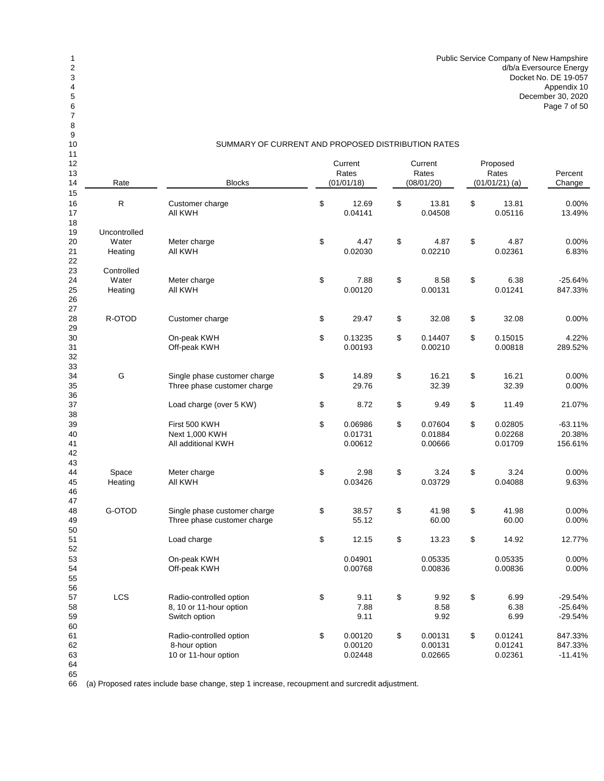| 10                           | SUMMARY OF CURRENT AND PROPOSED DISTRIBUTION RATES |                                                                     |          |                                |          |                                |                                       |                               |                                     |
|------------------------------|----------------------------------------------------|---------------------------------------------------------------------|----------|--------------------------------|----------|--------------------------------|---------------------------------------|-------------------------------|-------------------------------------|
| 11<br>12<br>13<br>14<br>Rate |                                                    | <b>Blocks</b>                                                       |          | Current<br>Rates<br>(01/01/18) |          | Current<br>Rates<br>(08/01/20) | Proposed<br>Rates<br>$(01/01/21)$ (a) |                               | Percent<br>Change                   |
| 15<br>16<br>17<br>18         | R                                                  | Customer charge<br>All KWH                                          | \$       | 12.69<br>0.04141               | \$       | 13.81<br>0.04508               | \$                                    | 13.81<br>0.05116              | 0.00%<br>13.49%                     |
| 19<br>20<br>21               | Uncontrolled<br>Water<br>Heating                   | Meter charge<br>All KWH                                             | \$       | 4.47<br>0.02030                | \$       | 4.87<br>0.02210                | \$                                    | 4.87<br>0.02361               | 0.00%<br>6.83%                      |
| 22<br>23<br>24<br>25<br>26   | Controlled<br>Water<br>Heating                     | Meter charge<br>All KWH                                             | \$       | 7.88<br>0.00120                | \$       | 8.58<br>0.00131                | \$                                    | 6.38<br>0.01241               | $-25.64%$<br>847.33%                |
| 27<br>28<br>29               | R-OTOD                                             | Customer charge                                                     | \$       | 29.47                          | \$       | 32.08                          | \$                                    | 32.08                         | 0.00%                               |
| 30<br>31<br>32               |                                                    | On-peak KWH<br>Off-peak KWH                                         | \$       | 0.13235<br>0.00193             | \$       | 0.14407<br>0.00210             | \$                                    | 0.15015<br>0.00818            | 4.22%<br>289.52%                    |
| 33<br>34<br>35<br>36         | G                                                  | Single phase customer charge<br>Three phase customer charge         | \$       | 14.89<br>29.76                 | \$       | 16.21<br>32.39                 | \$                                    | 16.21<br>32.39                | 0.00%<br>0.00%                      |
| 37<br>38<br>39               |                                                    | Load charge (over 5 KW)<br>First 500 KWH                            | \$<br>\$ | 8.72<br>0.06986                | \$<br>\$ | 9.49<br>0.07604                | \$<br>\$                              | 11.49<br>0.02805              | 21.07%<br>$-63.11%$                 |
| 40<br>41<br>42<br>43         |                                                    | Next 1,000 KWH<br>All additional KWH                                |          | 0.01731<br>0.00612             |          | 0.01884<br>0.00666             |                                       | 0.02268<br>0.01709            | 20.38%<br>156.61%                   |
| 44<br>45<br>46<br>47         | Space<br>Heating                                   | Meter charge<br>All KWH                                             | \$       | 2.98<br>0.03426                | \$       | 3.24<br>0.03729                | \$                                    | 3.24<br>0.04088               | 0.00%<br>9.63%                      |
| 48<br>49<br>50               | G-OTOD                                             | Single phase customer charge<br>Three phase customer charge         | \$       | 38.57<br>55.12                 | \$       | 41.98<br>60.00                 | \$                                    | 41.98<br>60.00                | 0.00%<br>0.00%                      |
| 51<br>52                     |                                                    | Load charge                                                         | \$       | 12.15                          | \$       | 13.23                          | \$                                    | 14.92                         | 12.77%                              |
| 53<br>54<br>55<br>56         |                                                    | On-peak KWH<br>Off-peak KWH                                         |          | 0.04901<br>0.00768             |          | 0.05335<br>0.00836             |                                       | 0.05335<br>0.00836            | 0.00%<br>0.00%                      |
| 57<br>58<br>59<br>60         | LCS                                                | Radio-controlled option<br>8, 10 or 11-hour option<br>Switch option | \$       | 9.11<br>7.88<br>9.11           | \$       | 9.92<br>8.58<br>9.92           | \$                                    | 6.99<br>6.38<br>6.99          | $-29.54%$<br>$-25.64%$<br>$-29.54%$ |
| 61<br>62<br>63<br>64         |                                                    | Radio-controlled option<br>8-hour option<br>10 or 11-hour option    | \$       | 0.00120<br>0.00120<br>0.02448  | \$       | 0.00131<br>0.00131<br>0.02665  | \$                                    | 0.01241<br>0.01241<br>0.02361 | 847.33%<br>847.33%<br>$-11.41%$     |

 

(a) Proposed rates include base change, step 1 increase, recoupment and surcredit adjustment.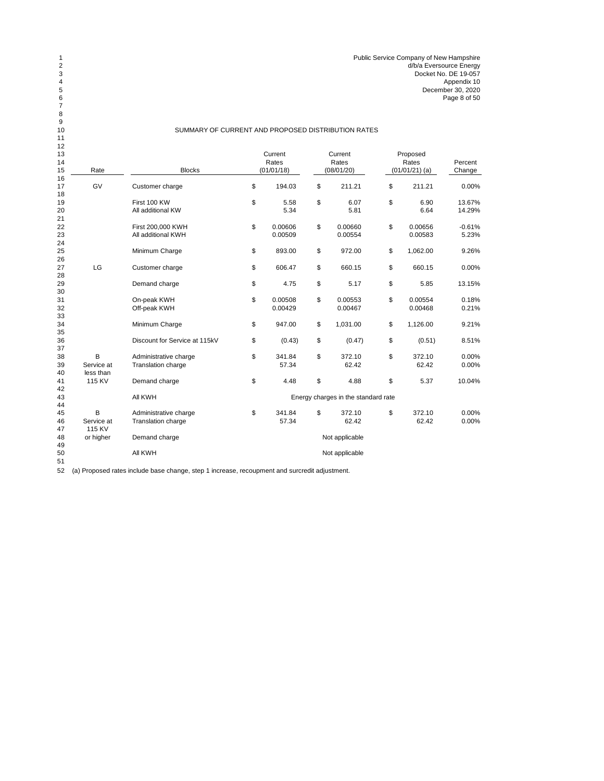| 12<br>13<br>14 |                              |                                             | Current<br>Rates         | Current<br>Rates                    | Proposed<br>Rates        | Percent           |
|----------------|------------------------------|---------------------------------------------|--------------------------|-------------------------------------|--------------------------|-------------------|
| 15             | Rate                         | <b>Blocks</b>                               | (01/01/18)               | (08/01/20)                          | $(01/01/21)$ (a)         | Change            |
| 16<br>17<br>18 | GV                           | Customer charge                             | \$<br>194.03             | \$<br>211.21                        | \$<br>211.21             | 0.00%             |
| 19<br>20<br>21 |                              | First 100 KW<br>All additional KW           | \$<br>5.58<br>5.34       | \$<br>6.07<br>5.81                  | \$<br>6.90<br>6.64       | 13.67%<br>14.29%  |
| 22<br>23<br>24 |                              | First 200,000 KWH<br>All additional KWH     | \$<br>0.00606<br>0.00509 | \$<br>0.00660<br>0.00554            | \$<br>0.00656<br>0.00583 | $-0.61%$<br>5.23% |
| 25<br>26       |                              | Minimum Charge                              | \$<br>893.00             | \$<br>972.00                        | \$<br>1,062.00           | 9.26%             |
| 27<br>28       | LG                           | Customer charge                             | \$<br>606.47             | \$<br>660.15                        | \$<br>660.15             | 0.00%             |
| 29<br>30       |                              | Demand charge                               | \$<br>4.75               | \$<br>5.17                          | \$<br>5.85               | 13.15%            |
| 31<br>32<br>33 |                              | On-peak KWH<br>Off-peak KWH                 | \$<br>0.00508<br>0.00429 | \$<br>0.00553<br>0.00467            | \$<br>0.00554<br>0.00468 | 0.18%<br>0.21%    |
| 34<br>35       |                              | Minimum Charge                              | \$<br>947.00             | \$<br>1,031.00                      | \$<br>1,126.00           | 9.21%             |
| 36<br>37       |                              | Discount for Service at 115kV               | \$<br>(0.43)             | \$<br>(0.47)                        | \$<br>(0.51)             | 8.51%             |
| 38<br>39<br>40 | B<br>Service at<br>less than | Administrative charge<br>Translation charge | \$<br>341.84<br>57.34    | \$<br>372.10<br>62.42               | \$<br>372.10<br>62.42    | 0.00%<br>0.00%    |
| 41<br>42       | 115 KV                       | Demand charge                               | \$<br>4.48               | \$<br>4.88                          | \$<br>5.37               | 10.04%            |
| 43<br>44       |                              | All KWH                                     |                          | Energy charges in the standard rate |                          |                   |
| 45<br>46<br>47 | B<br>Service at<br>115 KV    | Administrative charge<br>Translation charge | \$<br>341.84<br>57.34    | \$<br>372.10<br>62.42               | \$<br>372.10<br>62.42    | 0.00%<br>0.00%    |
| 48<br>49       | or higher                    | Demand charge                               |                          | Not applicable                      |                          |                   |
| 50<br>51       |                              | All KWH                                     |                          | Not applicable                      |                          |                   |

(a) Proposed rates include base change, step 1 increase, recoupment and surcredit adjustment.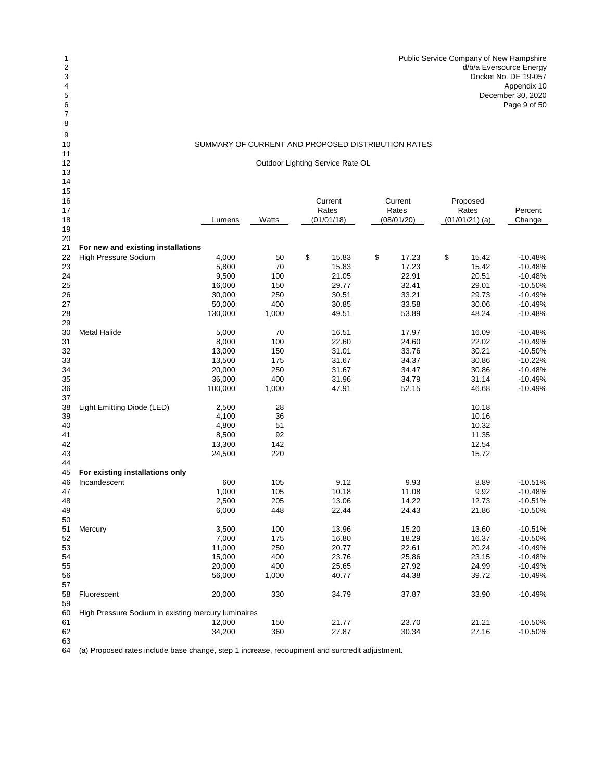| d/b/a Eversource Energy |
|-------------------------|
| Docket No. DE 19-057    |
| Appendix 10             |
| December 30, 2020       |
| Page 9 of 50            |
|                         |

Outdoor Lighting Service Rate OL

| 15       |                                                     |         |       |             |             |                  |           |
|----------|-----------------------------------------------------|---------|-------|-------------|-------------|------------------|-----------|
| 16       |                                                     |         |       | Current     | Current     | Proposed         |           |
| 17       |                                                     |         |       | Rates       | Rates       | Rates            | Percent   |
| 18       |                                                     | Lumens  | Watts | (01/01/18)  | (08/01/20)  | $(01/01/21)$ (a) | Change    |
| 19       |                                                     |         |       |             |             |                  |           |
| 20       |                                                     |         |       |             |             |                  |           |
| 21       | For new and existing installations                  |         |       |             |             |                  |           |
| 22       | High Pressure Sodium                                | 4,000   | 50    | \$<br>15.83 | \$<br>17.23 | \$<br>15.42      | $-10.48%$ |
| 23       |                                                     | 5,800   | 70    | 15.83       | 17.23       | 15.42            | $-10.48%$ |
| 24       |                                                     | 9,500   | 100   | 21.05       | 22.91       | 20.51            | $-10.48%$ |
| 25       |                                                     | 16,000  | 150   | 29.77       | 32.41       | 29.01            | $-10.50%$ |
| 26       |                                                     | 30,000  | 250   | 30.51       | 33.21       | 29.73            | $-10.49%$ |
| 27       |                                                     | 50,000  | 400   | 30.85       | 33.58       | 30.06            | $-10.49%$ |
| 28       |                                                     | 130,000 | 1,000 | 49.51       | 53.89       | 48.24            | $-10.48%$ |
| 29       |                                                     |         |       |             |             |                  |           |
| 30       | <b>Metal Halide</b>                                 | 5,000   | 70    | 16.51       | 17.97       | 16.09            | $-10.48%$ |
| 31       |                                                     | 8,000   | 100   | 22.60       | 24.60       | 22.02            | $-10.49%$ |
| 32       |                                                     | 13,000  | 150   | 31.01       | 33.76       | 30.21            | $-10.50%$ |
| 33       |                                                     | 13,500  | 175   | 31.67       | 34.37       | 30.86            | $-10.22%$ |
| 34       |                                                     | 20,000  | 250   | 31.67       | 34.47       | 30.86            | $-10.48%$ |
| 35       |                                                     | 36,000  | 400   | 31.96       | 34.79       | 31.14            | $-10.49%$ |
| 36       |                                                     | 100,000 | 1,000 | 47.91       | 52.15       | 46.68            | $-10.49%$ |
| 37       |                                                     |         |       |             |             |                  |           |
| 38       | Light Emitting Diode (LED)                          | 2,500   | 28    |             |             | 10.18            |           |
| 39       |                                                     | 4,100   | 36    |             |             | 10.16            |           |
| 40       |                                                     | 4,800   | 51    |             |             | 10.32            |           |
| 41       |                                                     | 8,500   | 92    |             |             | 11.35            |           |
| 42       |                                                     | 13,300  | 142   |             |             | 12.54            |           |
| 43       |                                                     | 24,500  | 220   |             |             | 15.72            |           |
| 44       |                                                     |         |       |             |             |                  |           |
| 45       | For existing installations only                     |         |       |             |             |                  |           |
| 46       | Incandescent                                        | 600     | 105   | 9.12        | 9.93        | 8.89             | $-10.51%$ |
| 47       |                                                     | 1,000   | 105   | 10.18       | 11.08       | 9.92             | $-10.48%$ |
| 48       |                                                     | 2,500   | 205   | 13.06       | 14.22       | 12.73            | $-10.51%$ |
| 49       |                                                     | 6,000   | 448   | 22.44       | 24.43       | 21.86            | $-10.50%$ |
| 50       |                                                     |         |       |             |             |                  |           |
| 51       | Mercury                                             | 3,500   | 100   | 13.96       | 15.20       | 13.60            | $-10.51%$ |
| 52       |                                                     | 7,000   | 175   | 16.80       | 18.29       | 16.37            | $-10.50%$ |
| 53       |                                                     | 11,000  | 250   | 20.77       | 22.61       | 20.24            | $-10.49%$ |
| 54       |                                                     | 15,000  | 400   | 23.76       | 25.86       | 23.15            | $-10.48%$ |
| 55       |                                                     | 20,000  | 400   | 25.65       | 27.92       | 24.99            | $-10.49%$ |
| 56       |                                                     | 56,000  | 1,000 | 40.77       | 44.38       | 39.72            | $-10.49%$ |
| 57       |                                                     |         |       |             |             |                  |           |
|          | Fluorescent                                         | 20,000  | 330   | 34.79       | 37.87       | 33.90            | $-10.49%$ |
| 58<br>59 |                                                     |         |       |             |             |                  |           |
| 60       |                                                     |         |       |             |             |                  |           |
| 61       | High Pressure Sodium in existing mercury luminaires |         | 150   | 21.77       | 23.70       | 21.21            | $-10.50%$ |
|          |                                                     | 12,000  |       |             |             |                  |           |
| 62       |                                                     | 34,200  | 360   | 27.87       | 30.34       | 27.16            | $-10.50%$ |
| 63       |                                                     |         |       |             |             |                  |           |

(a) Proposed rates include base change, step 1 increase, recoupment and surcredit adjustment.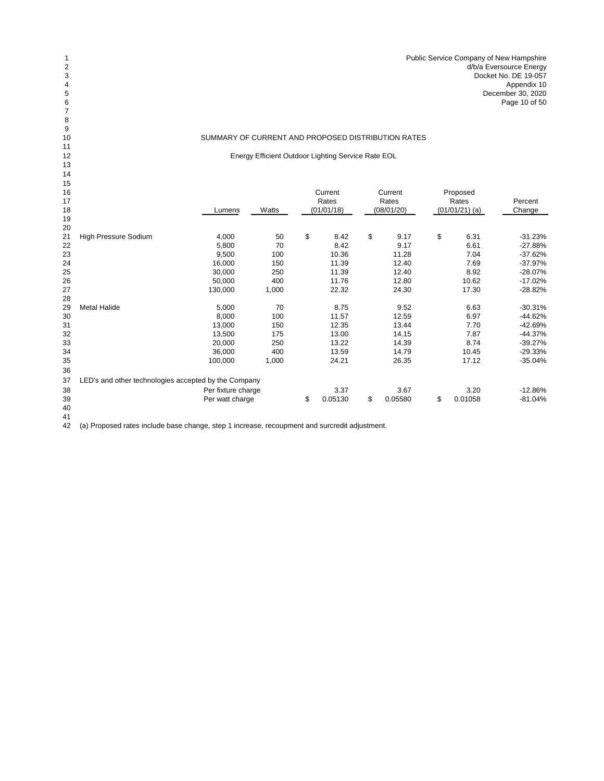Energy Efficient Outdoor Lighting Service Rate EOL

| 15       |                                                      |                    |       |               |               |                  |           |
|----------|------------------------------------------------------|--------------------|-------|---------------|---------------|------------------|-----------|
| 16<br>17 |                                                      |                    |       | Current       | Current       | Proposed         |           |
|          |                                                      |                    |       | Rates         | Rates         | Rates            | Percent   |
| 18       |                                                      | Lumens             | Watts | (01/01/18)    | (08/01/20)    | $(01/01/21)$ (a) | Change    |
| 19       |                                                      |                    |       |               |               |                  |           |
| 20       |                                                      |                    |       |               |               |                  |           |
| 21       | High Pressure Sodium                                 | 4,000              | 50    | \$<br>8.42    | \$<br>9.17    | \$<br>6.31       | $-31.23%$ |
| 22       |                                                      | 5,800              | 70    | 8.42          | 9.17          | 6.61             | $-27.88%$ |
| 23       |                                                      | 9,500              | 100   | 10.36         | 11.28         | 7.04             | $-37.62%$ |
| 24       |                                                      | 16,000             | 150   | 11.39         | 12.40         | 7.69             | $-37.97%$ |
| 25       |                                                      | 30,000             | 250   | 11.39         | 12.40         | 8.92             | $-28.07%$ |
| 26       |                                                      | 50,000             | 400   | 11.76         | 12.80         | 10.62            | $-17.02%$ |
| 27       |                                                      | 130,000            | 1,000 | 22.32         | 24.30         | 17.30            | $-28.82%$ |
| 28       |                                                      |                    |       |               |               |                  |           |
| 29       | <b>Metal Halide</b>                                  | 5,000              | 70    | 8.75          | 9.52          | 6.63             | $-30.31%$ |
| 30       |                                                      | 8,000              | 100   | 11.57         | 12.59         | 6.97             | $-44.62%$ |
| 31       |                                                      | 13,000             | 150   | 12.35         | 13.44         | 7.70             | $-42.69%$ |
| 32       |                                                      | 13,500             | 175   | 13.00         | 14.15         | 7.87             | $-44.37%$ |
| 33       |                                                      | 20,000             | 250   | 13.22         | 14.39         | 8.74             | $-39.27%$ |
| 34       |                                                      | 36,000             | 400   | 13.59         | 14.79         | 10.45            | $-29.33%$ |
| 35       |                                                      | 100,000            | 1,000 | 24.21         | 26.35         | 17.12            | $-35.04%$ |
| 36       |                                                      |                    |       |               |               |                  |           |
| 37       | LED's and other technologies accepted by the Company |                    |       |               |               |                  |           |
| 38       |                                                      | Per fixture charge |       | 3.37          | 3.67          | 3.20             | $-12.86%$ |
|          |                                                      |                    |       |               |               |                  |           |
| 39       |                                                      | Per watt charge    |       | \$<br>0.05130 | \$<br>0.05580 | \$<br>0.01058    | $-81.04%$ |
| 40       |                                                      |                    |       |               |               |                  |           |

 (a) Proposed rates include base change, step 1 increase, recoupment and surcredit adjustment.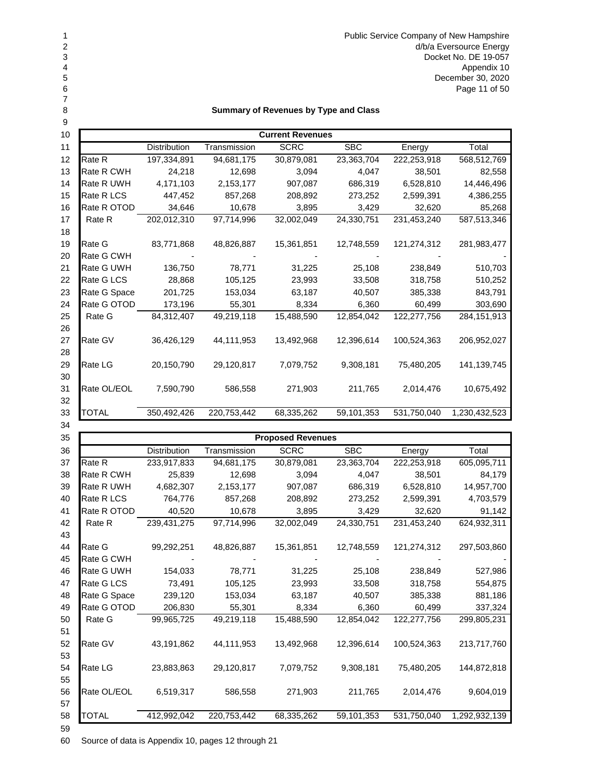1 Public Service Company of New Hampshire<br>2 d/b/a Eversource Energy<br>3 Docket No. DE 19-057 d/b/a Eversource Energy Docket No. DE 19-057 Appendix 10 December 30, 2020 Page 11 of 50

## **Summary of Revenues by Type and Class**

| 9  |              |                     |              |                         |            |             |               |
|----|--------------|---------------------|--------------|-------------------------|------------|-------------|---------------|
| 10 |              |                     |              | <b>Current Revenues</b> |            |             |               |
| 11 |              | <b>Distribution</b> | Transmission | <b>SCRC</b>             | <b>SBC</b> | Energy      | Total         |
| 12 | Rate R       | 197,334,891         | 94,681,175   | 30,879,081              | 23,363,704 | 222,253,918 | 568,512,769   |
| 13 | Rate R CWH   | 24,218              | 12,698       | 3,094                   | 4,047      | 38,501      | 82,558        |
| 14 | Rate R UWH   | 4,171,103           | 2,153,177    | 907,087                 | 686,319    | 6,528,810   | 14,446,496    |
| 15 | Rate R LCS   | 447,452             | 857,268      | 208,892                 | 273,252    | 2,599,391   | 4,386,255     |
| 16 | Rate R OTOD  | 34,646              | 10,678       | 3,895                   | 3,429      | 32,620      | 85,268        |
| 17 | Rate R       | 202,012,310         | 97,714,996   | 32,002,049              | 24,330,751 | 231,453,240 | 587,513,346   |
| 18 |              |                     |              |                         |            |             |               |
| 19 | Rate G       | 83,771,868          | 48,826,887   | 15,361,851              | 12,748,559 | 121,274,312 | 281,983,477   |
| 20 | Rate G CWH   |                     |              |                         |            |             |               |
| 21 | Rate G UWH   | 136,750             | 78,771       | 31,225                  | 25,108     | 238,849     | 510,703       |
| 22 | Rate G LCS   | 28,868              | 105,125      | 23,993                  | 33,508     | 318,758     | 510,252       |
| 23 | Rate G Space | 201,725             | 153,034      | 63,187                  | 40,507     | 385,338     | 843,791       |
| 24 | Rate G OTOD  | 173,196             | 55,301       | 8,334                   | 6,360      | 60,499      | 303,690       |
| 25 | Rate G       | 84,312,407          | 49,219,118   | 15,488,590              | 12,854,042 | 122,277,756 | 284,151,913   |
| 26 |              |                     |              |                         |            |             |               |
| 27 | Rate GV      | 36,426,129          | 44,111,953   | 13,492,968              | 12,396,614 | 100,524,363 | 206,952,027   |
| 28 |              |                     |              |                         |            |             |               |
| 29 | Rate LG      | 20,150,790          | 29,120,817   | 7,079,752               | 9,308,181  | 75,480,205  | 141,139,745   |
| 30 |              |                     |              |                         |            |             |               |
| 31 | Rate OL/EOL  | 7,590,790           | 586,558      | 271,903                 | 211,765    | 2,014,476   | 10,675,492    |
| 32 |              |                     |              |                         |            |             |               |
| 33 | TOTAL        | 350,492,426         | 220,753,442  | 68,335,262              | 59,101,353 | 531,750,040 | 1,230,432,523 |
| 34 |              |                     |              |                         |            |             |               |

| 35 |              |                     |              | <b>Proposed Revenues</b> |            |             |               |
|----|--------------|---------------------|--------------|--------------------------|------------|-------------|---------------|
| 36 |              | <b>Distribution</b> | Transmission | <b>SCRC</b>              | <b>SBC</b> | Energy      | Total         |
| 37 | Rate R       | 233,917,833         | 94,681,175   | 30,879,081               | 23,363,704 | 222,253,918 | 605,095,711   |
| 38 | Rate R CWH   | 25,839              | 12,698       | 3,094                    | 4,047      | 38,501      | 84,179        |
| 39 | Rate R UWH   | 4,682,307           | 2,153,177    | 907,087                  | 686,319    | 6,528,810   | 14,957,700    |
| 40 | Rate R LCS   | 764,776             | 857,268      | 208,892                  | 273,252    | 2,599,391   | 4,703,579     |
| 41 | Rate R OTOD  | 40,520              | 10,678       | 3,895                    | 3,429      | 32,620      | 91,142        |
| 42 | Rate R       | 239,431,275         | 97,714,996   | 32,002,049               | 24,330,751 | 231,453,240 | 624,932,311   |
| 43 |              |                     |              |                          |            |             |               |
| 44 | Rate G       | 99,292,251          | 48,826,887   | 15,361,851               | 12,748,559 | 121,274,312 | 297,503,860   |
| 45 | Rate G CWH   |                     |              |                          |            |             |               |
| 46 | Rate G UWH   | 154,033             | 78,771       | 31,225                   | 25,108     | 238,849     | 527,986       |
| 47 | Rate G LCS   | 73,491              | 105,125      | 23,993                   | 33,508     | 318,758     | 554,875       |
| 48 | Rate G Space | 239,120             | 153,034      | 63,187                   | 40,507     | 385,338     | 881,186       |
| 49 | Rate G OTOD  | 206,830             | 55,301       | 8,334                    | 6,360      | 60,499      | 337,324       |
| 50 | Rate G       | 99,965,725          | 49,219,118   | 15,488,590               | 12,854,042 | 122,277,756 | 299,805,231   |
| 51 |              |                     |              |                          |            |             |               |
| 52 | Rate GV      | 43,191,862          | 44,111,953   | 13,492,968               | 12,396,614 | 100,524,363 | 213,717,760   |
| 53 |              |                     |              |                          |            |             |               |
| 54 | Rate LG      | 23,883,863          | 29,120,817   | 7,079,752                | 9,308,181  | 75,480,205  | 144,872,818   |
| 55 |              |                     |              |                          |            |             |               |
| 56 | Rate OL/EOL  | 6,519,317           | 586,558      | 271,903                  | 211,765    | 2,014,476   | 9,604,019     |
| 57 |              |                     |              |                          |            |             |               |
| 58 | <b>TOTAL</b> | 412,992,042         | 220,753,442  | 68,335,262               | 59,101,353 | 531,750,040 | 1,292,932,139 |
| 59 |              |                     |              |                          |            |             |               |

Source of data is Appendix 10, pages 12 through 21

4<br>5<br>6<br>7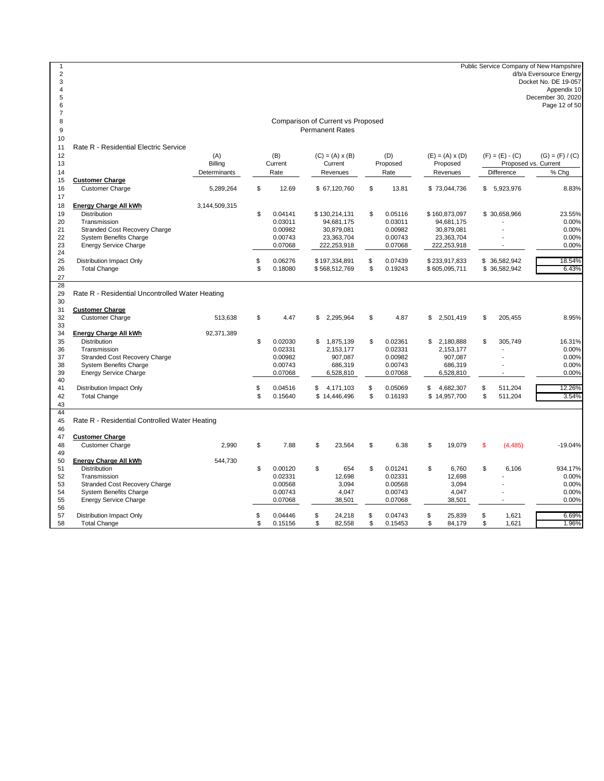Public Service Company of New Hampshire d/b/a Eversource Energy Docket No. DE 19-057 Appendix 10 December 30, 2020 Page 12 of 50 <br> $12$ 12 (A) (A) (B) (C) = (A) x (B) (D) (E) = (A) x (D) (F) = (E) - (C) (G) = (F) / (C) Billing Current Current Proposed Proposed Determinants Rate Revenues Rate Revenues Difference % Chg **Customer Charge** Customer Charge 5,289,264 \$ 12.69 \$ 67,120,760 \$ 13.81 \$ 73,044,736 \$ 5,923,976 8.83% **Energy Charge All kWh** 3,144,509,315 Distribution \$ 0.04141 \$ 130,214,131 \$ 0.05116 \$ 160,873,097 \$ 30,658,966 23.55% Transmission 0.03011 94,681,175 0.03011 94,681,175 - 0.00% 21 Stranded Cost Recovery Charge 20 20 200982 30,879,081 0.00982 30,879,081 30,879,081 22<br>22 System Benefits Charge 22 30,879,081 23,363,704 0.00743 23,363,704 23,363,704 20,00% 22 System Benefits Charge Company of Company of the company of the company of the company of the company of the company of the company of the company of the company of the company of the company of the company of the compa Energy Service Charge  $\frac{24}{25}$ 25 Distribution Impact Only \$ 0.06276 \$ 197,334,891 \$ 0.07439 \$ 233,917,833 \$ 36,582,942 18.54% Total Change \$ 0.18080 \$ 568,512,769 \$ 0.19243 \$ 605,095,711 \$ 36,582,942 6.43% 30<br>31 **Customer Charge** Customer Charge 513,638 \$ 4.47 \$ 2,295,964 \$ 4.87 \$ 2,501,419 \$ 205,455 8.95% **Energy Charge All kWh** 92,371,389 Distribution \$ 0.02030 \$ 1,875,139 \$ 0.02361 \$ 2,180,888 \$ 305,749 16.31% Transmission 0.02331 2,153,177 0.02331 2,153,177 - 0.00% 37 Stranded Cost Recovery Charge 2000 0.00982 907,087 0.00982 907,087 0.00982 907,087 0.00982 907,087 0.00%<br>38 System Benefits Charge 2000 0.00% 0.00743 686,319 0.00743 686,319 0.00743 686,319 0.00% 38 System Benefits Charge<br>39 Energy Service Charge Energy Service Charge 0.07068 6,528,810 0.07068 6,528,810 - 0.00% 41 Distribution Impact Only **12.26%**<br>42 Total Change **12.26%**<br>42 Total Change 19 12.04 **12.26%** \$ 0.16640 \$ 14.446,496 \$ 0.16193 \$ 14.957,700 \$ 511,204 3.54% Total Change \$ 0.15640 \$ 14,446,496 \$ 0.16193 \$ 14,957,700 \$ 511,204 3.54% **Customer Charge** Customer Charge 2,990 \$ 7.88 \$ 23,564 \$ 6.38 \$ 19,079 \$ (4,485) -19.04% 50 **Energy Charge All kWh** 544,730<br>51 Distribution Distribution \$ 0.00120 \$ 654 \$ 0.01241 \$ 6,760 \$ 6,106 934.17% Transmission 0.02331 12,698 0.02331 12,698 - 0.00% 53 Stranded Cost Recovery Charge 0.00% 0.00568 3,094 0.00568 3,094 3,094 - 0.00% 3,094 0.00% 0.00% 3,094 0.00<br>54 System Benefits Charge 0.00% 0.00743 0.00743 4,047 0.00743 4,047 0.00743 4,047 0.00% 54 System Benefits Charge 0.007 (1.000743 4,047 0.00743 4,047 4,047 - 0.007 45 55 Energy Service Charge 0.007 45 6 0.007 45 55 Energy Service Charge 0.007 45 6.007 4,047 55 Energy Service Charge 0.007 4,047 55 Energy Servi Energy Service Charge 57 Distribution Impact Only \$ 0.04446 \$ 24,218 \$ 0.04743 \$ 25,839 \$ 1,621 6.69% Total Change \$ 0.15156 \$ 82,558 \$ 0.15453 \$ 84,179 \$ 1,621 1.96% Rate R - Residential Controlled Water Heating Comparison of Current vs Proposed Permanent Rates Rate R - Residential Electric Service Proposed vs. Current<br>Difference % Cl Rate R - Residential Uncontrolled Water Heating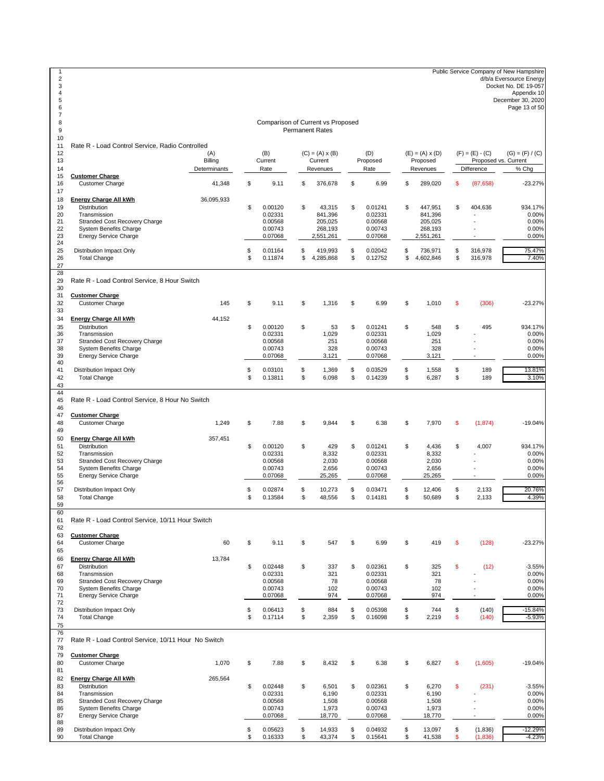1 Public Service Company of New Hampshire<br>2 d/b/a Eversource Energy Docket No. DE 19-057 Appendix 10 December 30, 2020 6 Page 13 of 50 <br> $12$ 12 (A) (A) (B) (C) = (A) x (B) (D) (E) = (A) x (D) (F) = (E) - (C) (G) = (F) / (C) Billing Current Current Proposed Proposed Determinants Rate Revenues Rate Revenues Difference % Chg **Customer Charge** Customer Charge 41,348 \$ 9.11 \$ 376,678 \$ 6.99 \$ 289,020 \$ (87,658) -23.27% 18 **Energy Charge All kWh** 36,095,933<br>19 **Distribution**  Distribution \$ 0.00120 \$ 43,315 \$ 0.01241 \$ 447,951 \$ 404,636 934.17% Transmission 0.02331 841,396 0.02331 841,396 - 0.00% 21 Stranded Cost Recovery Charge 2012 1000568 205,025 0.00568 205,025 0.00568 205,025 205,025 205,025 0.00%<br>22 System Benefits Charge 2013 2014 0.00743 268,193 0.00743 268,193 268,193 268,193 22 System Benefits Charge 0.002 0.00743 268,193 0.00743 268,193 268,193 268,193 268,193 268,193 268,193 268,193<br>23 Energy Service Charge 0.007 268,193 268,193 268,193 268,193 268,193 268,193 268,193 268,193 268,193 268,193 Energy Service Charge 25 Distribution Impact Only \$ 0.01164 \$ 419,993 \$ 0.02042 \$ 736,971 \$ 316,978 75.47% Total Change \$ 0.11874 \$ 4,285,868 \$ 0.12752 \$ 4,602,846 \$ 316,978 7.40% Rate R - Load Control Service, 8 Hour Switch <br> $31$  **Customer Charge** Customer Charge 145 \$ 9.11 \$ 1,316 \$ 6.99 \$ 1,010 \$ (306) -23.27% **Energy Charge All kWh** 44,152 Distribution \$ 0.00120 \$ 53 \$ 0.01241 \$ 548 \$ 495 934.17% Transmission 0.02331 1,029 0.02331 1,029 - 0.00% Stranded Cost Recovery Charge 0.00568 251 0.00568 251 - 0.00% 38 System Benefits Charge 328 0.00743 328 0.00743 328 328 - 0.007<br>39 Energy Service Charge 33 3121 0.00743 328 328 3121 328 - 0.00743 Energy Service Charge 41 Distribution Impact Only 13.81%<br>42 Total Change 13.81% 189 13.81% 5 0.03101 \$ 1,369 \$ 0.14239 \$ 6,287 \$ 189 13.10% Total Change \$ 0.13811 \$ 6,098 \$ 0.14239 \$ 6,287 \$ 189 3.10% Rate R - Load Control Service, 8 Hour No Switch  $\frac{46}{47}$  **Customer Charge** Customer Charge 1,249 \$ 7.88 \$ 9,844 \$ 6.38 \$ 7,970 \$ (1,874) -19.04% **Energy Charge All kWh** 357,451 Distribution \$ 0.00120 \$ 429 \$ 0.01241 \$ 4,436 \$ 4,007 934.17% Transmission 0.02331 8,332 0.02331 8,332 - 0.00% Stranded Cost Recovery Charge 0.00568 2,030 0.00568 2,030 - 0.00% 54 System Benefits Charge 2000 12 3 2,656 0.00743 2,656 0.00743 2,656 2,656 - 0.007<br>55 Energy Service Charge 25.265 0.07068 25.265 0.07068 25.265 0.07068 25.265 - 0.00% Energy Service Charge 57 Distribution Impact Only \$ 0.02874 \$ 10,273 \$ 0.03471 \$ 12,406 \$ 2,133 20.76% Total Change \$ 0.13584 \$ 48,556 \$ 0.14181 \$ 50,689 \$ 2,133 4.39% Rate R - Load Control Service, 10/11 Hour Switch **Customer Charge**  Customer Charge 60 \$ 9.11 \$ 547 \$ 6.99 \$ 419 \$ (128) -23.27% **Energy Charge All kWh** 13,784 Distribution \$ 0.02448 \$ 337 \$ 0.02361 \$ 325 \$ (12) -3.55% Transmission 0.02331 321 0.02331 321 - 0.00% 69 Stranded Cost Recovery Charge 0.00568 78 0.00568 78 5 1000568 78 5 1000568 78 5 1000568 78 5 1000<br>The System Benefits Charge 0.002 1000568 78 0.00568 78 102 102 102 102 1000568 78 0.009 102 System Benefits Charge 1992 COD 143 102 0.00743 102 102 102 1000 0.00%<br>
271 Energy Service Charge 1994 0.00743 102 0.00743 102 102 1000 0.00%<br>
271 Energy Service Charge 1994 0.007068 102 102 103 102 103 103 104 0.00% Energy Service Charge 73 Distribution Impact Only \$ 0.06413 \$ 884 \$ 0.05398 \$ 744 \$ (140) -15.84% Total Change \$ 0.17114 \$ 2,359 \$ 0.16098 \$ 2,219 \$ (140) -5.93% Rate R - Load Control Service, 10/11 Hour No Switch **Customer Charge**<br>Customer Charge Customer Charge 1,070 \$ 7.88 \$ 8,432 \$ 6.38 \$ 6,827 \$ (1,605) -19.04% 82 **Energy Charge All kWh** 265,564<br>83 **Distribution**  Distribution \$ 0.02448 \$ 6,501 \$ 0.02361 \$ 6,270 \$ (231) -3.55% Transmission 0.02331 6,190 0.02331 6,190 - 0.00% 85 Stranded Cost Recovery Charge 20 000 000568 1,508 0.00568 1,508 1,508 1,508 1,508 1,508 0.00%<br>86 System Benefits Charge 20 0.007 1,973 1,973 1,973 1,973 1,973 1,973 1,973 1,973 1,973 1,973 1,973 1,973 1,973 System Benefits Charge 0.00743 1,973 0.00743 1,973 - 0.00% Energy Service Charge 89 Distribution Impact Only 30 Computer 12.29% 8 0.05623 \$ 14,933 \$ 0.04932 \$ 13,097 \$ (1,836) -12.29% 16.12.29<br>8 0.16333 \$ 43,374 \$ 0.16541 \$ 41,538 \$ (1,836) -4.23% Total Change \$ 0.16333 \$ 43,374 \$ 0.15641 \$ 41,538 \$ (1,836) -4.23% Comparison of Current vs Proposed Permanent Rates Rate R - Load Control Service, Radio Controlled Proposed vs. Current<br>Difference % Chg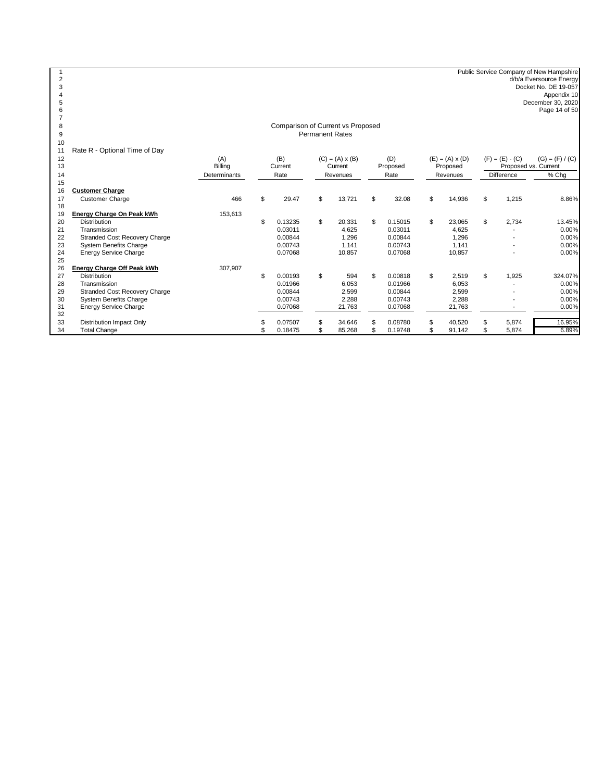1<br>
2 Public Service Company of New Hampshire<br>
d/b/a Eversource Energy<br>
Docket No. DE 19-057<br>
Appendix 10<br>
Appendix 10<br>
Page 14 of 50<br>
Page 14 of 50

#### Comparison of Current vs Proposed Permanent Rates

|    | Rate R - Optional Time of Day        |              |               |                        |               |                        |                      |                   |
|----|--------------------------------------|--------------|---------------|------------------------|---------------|------------------------|----------------------|-------------------|
| 12 |                                      | (A)          | (B)           | $(C) = (A) \times (B)$ | (D)           | $(E) = (A) \times (D)$ | $(F) = (E) - (C)$    | $(G) = (F) / (C)$ |
| 13 |                                      | Billing      | Current       | Current                | Proposed      | Proposed               | Proposed vs. Current |                   |
| 14 |                                      | Determinants | Rate          | Revenues               | Rate          | Revenues               | Difference           | % Chg             |
| 15 |                                      |              |               |                        |               |                        |                      |                   |
| 16 | <b>Customer Charge</b>               |              |               |                        |               |                        |                      |                   |
| 17 | <b>Customer Charge</b>               | 466          | \$<br>29.47   | \$<br>13,721           | \$<br>32.08   | \$<br>14,936           | \$<br>1,215          | 8.86%             |
| 18 |                                      |              |               |                        |               |                        |                      |                   |
| 19 | Energy Charge On Peak kWh            | 153,613      |               |                        |               |                        |                      |                   |
| 20 | <b>Distribution</b>                  |              | 0.13235       | \$<br>20,331           | \$<br>0.15015 | \$<br>23,065           | \$<br>2,734          | 13.45%            |
| 21 | Transmission                         |              | 0.03011       | 4,625                  | 0.03011       | 4,625                  |                      | 0.00%             |
| 22 | <b>Stranded Cost Recovery Charge</b> |              | 0.00844       | 1,296                  | 0.00844       | 1,296                  |                      | $0.00\%$          |
| 23 | <b>System Benefits Charge</b>        |              | 0.00743       | 1.141                  | 0.00743       | 1,141                  |                      | 0.00%             |
| 24 | <b>Energy Service Charge</b>         |              | 0.07068       | 10,857                 | 0.07068       | 10,857                 |                      | 0.00%             |
| 25 |                                      |              |               |                        |               |                        |                      |                   |
| 26 | Energy Charge Off Peak kWh           | 307,907      |               |                        |               |                        |                      |                   |
| 27 | <b>Distribution</b>                  |              | \$<br>0.00193 | \$<br>594              | \$<br>0.00818 | \$<br>2,519            | \$<br>1,925          | 324.07%           |
| 28 | Transmission                         |              | 0.01966       | 6,053                  | 0.01966       | 6,053                  |                      | 0.00%             |
| 29 | <b>Stranded Cost Recovery Charge</b> |              | 0.00844       | 2,599                  | 0.00844       | 2,599                  |                      | $0.00\%$          |
| 30 | <b>System Benefits Charge</b>        |              | 0.00743       | 2,288                  | 0.00743       | 2,288                  |                      | 0.00%             |
| 31 | <b>Energy Service Charge</b>         |              | 0.07068       | 21,763                 | 0.07068       | 21,763                 |                      | 0.00%             |
| 32 |                                      |              |               |                        |               |                        |                      |                   |
| 33 | Distribution Impact Only             |              | 0.07507       | 34,646                 | 0.08780       | 40,520                 | 5,874                | 16.95%            |
| 34 | <b>Total Change</b>                  |              | 0.18475       | 85,268                 | 0.19748       | 91,142                 | 5,874                | 6.89%             |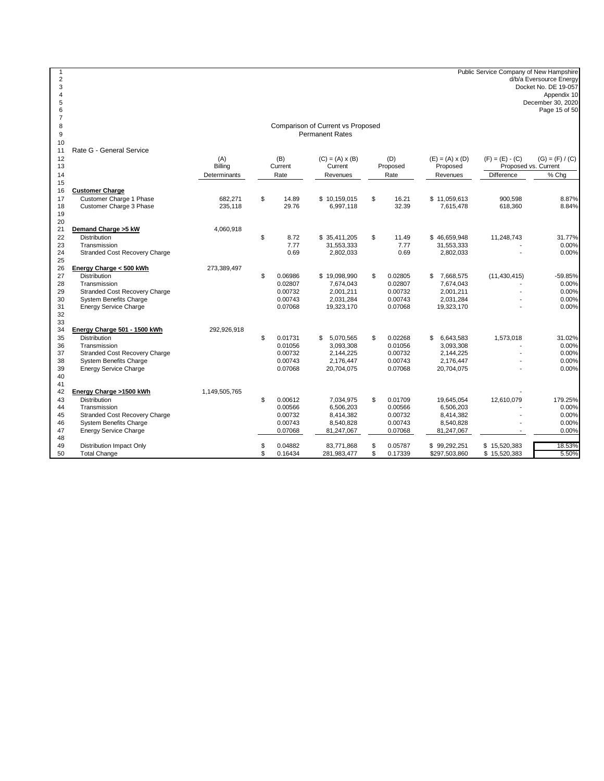1<br>
2 Public Service Company of New Hampshire<br>
d/b/a Eversource Energy<br>
Docket No. DE 19-057<br>
Appendix 10<br>
Appendix 10<br>
Page 15 of 50<br>
Page 15 of 50

Comparison of Current vs Proposed Permanent Rates

11 Rate G - General Service

| 12<br>13 | nale O - Oelleial Oelvice            | (A)<br>Billing | (B)<br>Current |         | $(C) = (A) \times (B)$<br>Current | (D)<br>Proposed | $(E) = (A) \times (D)$<br>Proposed | $(F) = (E) - (C)$<br>Proposed vs. Current | $(G) = (F) / (C)$ |
|----------|--------------------------------------|----------------|----------------|---------|-----------------------------------|-----------------|------------------------------------|-------------------------------------------|-------------------|
| 14       |                                      | Determinants   |                | Rate    | Revenues                          | Rate            | Revenues                           | Difference                                | % Chg             |
| 15       |                                      |                |                |         |                                   |                 |                                    |                                           |                   |
| 16       | <b>Customer Charge</b>               |                |                |         |                                   |                 |                                    |                                           |                   |
| 17       | Customer Charge 1 Phase              | 682.271        | \$             | 14.89   | \$10,159,015                      | \$<br>16.21     | \$11,059,613                       | 900.598                                   | 8.87%             |
| 18       | Customer Charge 3 Phase              | 235,118        |                | 29.76   | 6,997,118                         | 32.39           | 7,615,478                          | 618,360                                   | 8.84%             |
| 19       |                                      |                |                |         |                                   |                 |                                    |                                           |                   |
| 20       |                                      |                |                |         |                                   |                 |                                    |                                           |                   |
| 21       | Demand Charge > 5 kW                 | 4,060,918      |                |         |                                   |                 |                                    |                                           |                   |
| 22       | <b>Distribution</b>                  |                | \$             | 8.72    | \$ 35,411,205                     | \$<br>11.49     | \$46,659,948                       | 11,248,743                                | 31.77%            |
| 23       | Transmission                         |                |                | 7.77    | 31,553,333                        | 7.77            | 31,553,333                         |                                           | 0.00%             |
| 24       | <b>Stranded Cost Recovery Charge</b> |                |                | 0.69    | 2,802,033                         | 0.69            | 2,802,033                          |                                           | 0.00%             |
| 25       |                                      |                |                |         |                                   |                 |                                    |                                           |                   |
| 26       | Energy Charge < 500 kWh              | 273,389,497    |                |         |                                   |                 |                                    |                                           |                   |
| 27       | <b>Distribution</b>                  |                | \$             | 0.06986 | \$19,098,990                      | \$<br>0.02805   | 7,668,575<br>\$                    | (11, 430, 415)                            | -59.85%           |
| 28       | Transmission                         |                |                | 0.02807 | 7,674,043                         | 0.02807         | 7,674,043                          |                                           | 0.00%             |
| 29       | Stranded Cost Recovery Charge        |                |                | 0.00732 | 2,001,211                         | 0.00732         | 2,001,211                          |                                           | 0.00%             |
| 30       | <b>System Benefits Charge</b>        |                |                | 0.00743 | 2,031,284                         | 0.00743         | 2,031,284                          |                                           | 0.00%             |
| 31       | <b>Energy Service Charge</b>         |                |                | 0.07068 | 19,323,170                        | 0.07068         | 19,323,170                         |                                           | 0.00%             |
| 32       |                                      |                |                |         |                                   |                 |                                    |                                           |                   |
| 33       |                                      |                |                |         |                                   |                 |                                    |                                           |                   |
| 34       | Energy Charge 501 - 1500 kWh         | 292,926,918    |                |         |                                   |                 |                                    |                                           |                   |
| 35       | <b>Distribution</b>                  |                | \$.            | 0.01731 | 5,070,565<br>\$                   | \$<br>0.02268   | 6,643,583<br>\$                    | 1,573,018                                 | 31.02%            |
| 36       | Transmission                         |                |                | 0.01056 | 3,093,308                         | 0.01056         | 3,093,308                          |                                           | 0.00%             |
| 37       | <b>Stranded Cost Recovery Charge</b> |                |                | 0.00732 | 2,144,225                         | 0.00732         | 2,144,225                          |                                           | 0.00%             |
| 38       | <b>System Benefits Charge</b>        |                |                | 0.00743 | 2,176,447                         | 0.00743         | 2,176,447                          |                                           | 0.00%             |
| 39       | <b>Energy Service Charge</b>         |                |                | 0.07068 | 20,704,075                        | 0.07068         | 20,704,075                         |                                           | 0.00%             |
| 40       |                                      |                |                |         |                                   |                 |                                    |                                           |                   |
| 41       |                                      |                |                |         |                                   |                 |                                    |                                           |                   |
| 42       | Energy Charge >1500 kWh              | 1,149,505,765  |                |         |                                   |                 |                                    |                                           |                   |
| 43       | <b>Distribution</b>                  |                | \$             | 0.00612 | 7,034,975                         | \$<br>0.01709   | 19.645.054                         | 12,610,079                                | 179.25%           |
| 44       | Transmission                         |                |                | 0.00566 | 6,506,203                         | 0.00566         | 6,506,203                          |                                           | 0.00%             |
| 45       | <b>Stranded Cost Recovery Charge</b> |                |                | 0.00732 | 8,414,382                         | 0.00732         | 8,414,382                          |                                           | 0.00%             |
| 46       | <b>System Benefits Charge</b>        |                |                | 0.00743 | 8,540,828                         | 0.00743         | 8,540,828                          |                                           | 0.00%             |
| 47       | <b>Energy Service Charge</b>         |                |                | 0.07068 | 81,247,067                        | 0.07068         | 81,247,067                         |                                           | 0.00%             |
| 48       |                                      |                |                |         |                                   |                 |                                    |                                           |                   |
| 49       | <b>Distribution Impact Only</b>      |                |                | 0.04882 | 83,771,868                        | \$<br>0.05787   | \$99,292,251                       | \$15,520,383                              | 18.53%            |
| 50       | <b>Total Change</b>                  |                | \$             | 0.16434 | 281,983,477                       | \$<br>0.17339   | \$297,503,860                      | \$15,520,383                              | 5.50%             |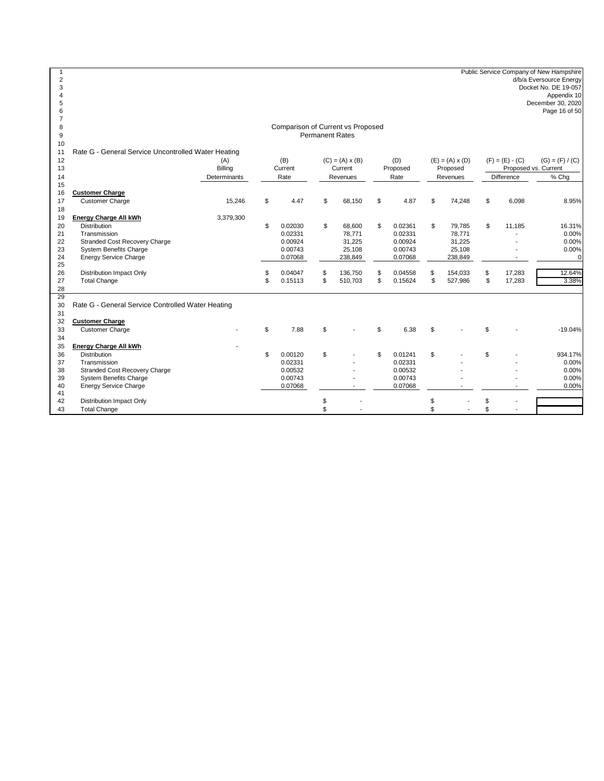Public Service Company of New Hampshire<br>
d/b/a Eversource Energy<br>
Docket No. DE 19-057<br>
Appendix 10<br>
Appendix 10<br>
Page 16 of 50<br>
Page 16 of 50

#### Comparison of Current vs Proposed Permanent Rates

| 10       |                                                     |              |     |         |                        |               |     |                        |                   |                      |
|----------|-----------------------------------------------------|--------------|-----|---------|------------------------|---------------|-----|------------------------|-------------------|----------------------|
| 11       | Rate G - General Service Uncontrolled Water Heating |              |     |         |                        |               |     |                        |                   |                      |
| 12       |                                                     | (A)          |     | (B)     | $(C) = (A) \times (B)$ | (D)           |     | $(E) = (A) \times (D)$ | $(F) = (E) - (C)$ | $(G) = (F) / (C)$    |
| 13       |                                                     | Billing      |     | Current | Current                | Proposed      |     | Proposed               |                   | Proposed vs. Current |
| 14       |                                                     | Determinants |     | Rate    | Revenues               | Rate          |     | Revenues               | Difference        | % Chq                |
| 15       |                                                     |              |     |         |                        |               |     |                        |                   |                      |
| 16       | <b>Customer Charge</b>                              |              |     |         |                        |               |     |                        |                   |                      |
| 17       | <b>Customer Charge</b>                              | 15,246       | \$  | 4.47    | \$<br>68.150           | \$<br>4.87    | \$  | 74,248                 | \$<br>6,098       | 8.95%                |
| 18       |                                                     |              |     |         |                        |               |     |                        |                   |                      |
| 19       | <b>Energy Charge All kWh</b>                        | 3,379,300    |     |         |                        |               |     |                        |                   |                      |
| 20       | <b>Distribution</b>                                 |              | \$  | 0.02030 | \$<br>68,600           | \$<br>0.02361 | \$  | 79,785                 | \$<br>11.185      | 16.31%               |
| 21       | Transmission                                        |              |     | 0.02331 | 78,771                 | 0.02331       |     | 78,771                 |                   | 0.00%                |
| 22       | <b>Stranded Cost Recovery Charge</b>                |              |     | 0.00924 | 31,225                 | 0.00924       |     | 31,225                 |                   | 0.00%                |
| 23       | <b>System Benefits Charge</b>                       |              |     | 0.00743 | 25,108                 | 0.00743       |     | 25,108                 |                   | 0.00%                |
| 24       | <b>Energy Service Charge</b>                        |              |     | 0.07068 | 238,849                | 0.07068       |     | 238,849                |                   | $\mathbf 0$          |
| 25       |                                                     |              |     |         |                        |               |     |                        |                   |                      |
| 26       | <b>Distribution Impact Only</b>                     |              |     | 0.04047 | \$<br>136,750          | \$<br>0.04558 | \$  | 154,033                | \$<br>17,283      | 12.64%               |
| 27       | <b>Total Change</b>                                 |              | \$. | 0.15113 | \$<br>510,703          | \$<br>0.15624 | \$  | 527,986                | \$<br>17,283      | 3.38%                |
| 28<br>29 |                                                     |              |     |         |                        |               |     |                        |                   |                      |
| 30       | Rate G - General Service Controlled Water Heating   |              |     |         |                        |               |     |                        |                   |                      |
| 31       |                                                     |              |     |         |                        |               |     |                        |                   |                      |
| 32       | <b>Customer Charge</b>                              |              |     |         |                        |               |     |                        |                   |                      |
| 33       | <b>Customer Charge</b>                              |              | \$  | 7.88    | \$                     | \$<br>6.38    | \$. |                        | \$                | $-19.04%$            |
| 34       |                                                     |              |     |         |                        |               |     |                        |                   |                      |
| 35       | <b>Energy Charge All kWh</b>                        |              |     |         |                        |               |     |                        |                   |                      |
| 36       | <b>Distribution</b>                                 |              | \$  | 0.00120 | \$                     | 0.01241       | \$  |                        | \$                | 934.17%              |
| 37       | Transmission                                        |              |     | 0.02331 |                        | 0.02331       |     |                        |                   | 0.00%                |
| 38       | <b>Stranded Cost Recovery Charge</b>                |              |     | 0.00532 |                        | 0.00532       |     |                        |                   | 0.00%                |
| 39       | <b>System Benefits Charge</b>                       |              |     | 0.00743 |                        | 0.00743       |     |                        |                   | 0.00%                |
| 40       | <b>Energy Service Charge</b>                        |              |     | 0.07068 |                        | 0.07068       |     |                        |                   | 0.00%                |
| 41       |                                                     |              |     |         |                        |               |     |                        |                   |                      |
| 42       | Distribution Impact Only                            |              |     |         |                        |               | \$  |                        | \$                |                      |
| 43       | <b>Total Change</b>                                 |              |     |         |                        |               | \$  |                        |                   |                      |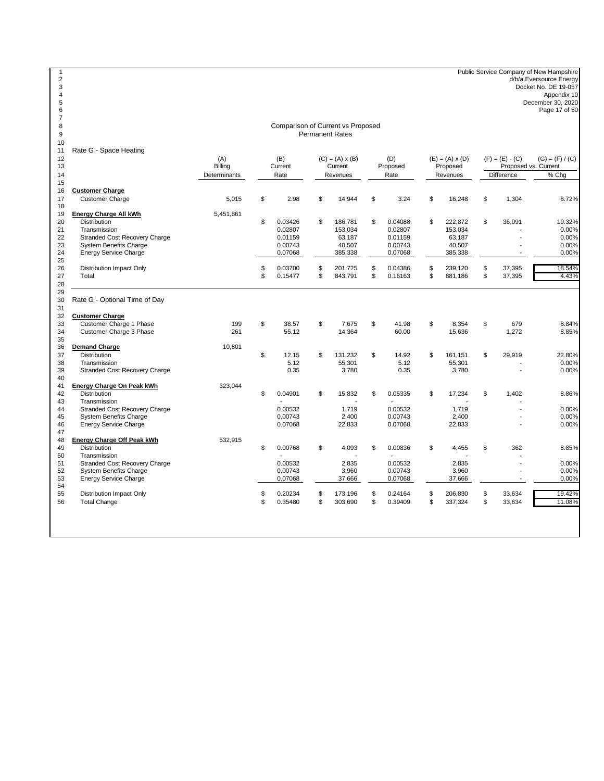1<br>
2 Public Service Company of New Hampshire<br>
d/b/a Eversource Energy<br>
Docket No. DE 19-057<br>
Appendix 10<br>
Appendix 10<br>
Page 17 of 50<br>
Page 17 of 50

Comparison of Current vs Proposed Permanent Rates

 $\frac{10}{11}$ Rate G - Space Heating

| 11<br>12<br>13 | Rale G - Space Healing                             | (A)<br>Billing | (B)<br>Current       | $(C) = (A) \times (B)$<br>Current | (D)<br>Proposed      | $(E) = (A) \times (D)$<br>Proposed | $(F) = (E) - (C)$  | $(G) = (F) / (C)$<br>Proposed vs. Current |
|----------------|----------------------------------------------------|----------------|----------------------|-----------------------------------|----------------------|------------------------------------|--------------------|-------------------------------------------|
| 14             |                                                    | Determinants   | Rate                 | Revenues                          | Rate                 | Revenues                           | <b>Difference</b>  | % Cha                                     |
| 15<br>16       | <b>Customer Charge</b>                             |                |                      |                                   |                      |                                    |                    |                                           |
| 17             | <b>Customer Charge</b>                             | 5.015          | \$<br>2.98           | \$<br>14,944                      | \$<br>3.24           | \$<br>16,248                       | \$<br>1,304        | 8.72%                                     |
| 18             |                                                    |                |                      |                                   |                      |                                    |                    |                                           |
| 19<br>20       | Energy Charge All kWh<br><b>Distribution</b>       | 5,451,861      | \$<br>0.03426        | \$<br>186,781                     | \$<br>0.04088        | \$<br>222,872                      | \$<br>36,091       | 19.32%                                    |
| 21             | Transmission                                       |                | 0.02807              | 153,034                           | 0.02807              | 153,034                            |                    | 0.00%                                     |
| 22             | <b>Stranded Cost Recovery Charge</b>               |                | 0.01159              | 63.187                            | 0.01159              | 63,187                             |                    | 0.00%                                     |
| 23             | <b>System Benefits Charge</b>                      |                | 0.00743              | 40,507                            | 0.00743              | 40,507                             |                    | 0.00%                                     |
| 24             | <b>Energy Service Charge</b>                       |                | 0.07068              | 385,338                           | 0.07068              | 385,338                            |                    | 0.00%                                     |
| 25             |                                                    |                |                      |                                   |                      |                                    |                    |                                           |
| 26             | <b>Distribution Impact Only</b>                    |                | \$<br>0.03700        | \$<br>201,725                     | \$<br>0.04386        | \$<br>239,120                      | \$<br>37,395       | 18.54%                                    |
| 27             | Total                                              |                | \$<br>0.15477        | \$<br>843,791                     | \$<br>0.16163        | \$<br>881,186                      | \$<br>37,395       | 4.43%                                     |
| 28             |                                                    |                |                      |                                   |                      |                                    |                    |                                           |
| 29             |                                                    |                |                      |                                   |                      |                                    |                    |                                           |
| 30             | Rate G - Optional Time of Day                      |                |                      |                                   |                      |                                    |                    |                                           |
| 31             |                                                    |                |                      |                                   |                      |                                    |                    |                                           |
| 32             | <b>Customer Charge</b>                             |                |                      |                                   |                      |                                    |                    |                                           |
| 33<br>34       | Customer Charge 1 Phase<br>Customer Charge 3 Phase | 199<br>261     | \$<br>38.57<br>55.12 | \$<br>7,675<br>14,364             | \$<br>41.98<br>60.00 | \$<br>8,354<br>15,636              | \$<br>679<br>1,272 | 8.84%<br>8.85%                            |
| 35             |                                                    |                |                      |                                   |                      |                                    |                    |                                           |
| 36             | <b>Demand Charge</b>                               | 10,801         |                      |                                   |                      |                                    |                    |                                           |
| 37             | <b>Distribution</b>                                |                | \$<br>12.15          | \$<br>131,232                     | \$<br>14.92          | \$<br>161,151                      | \$<br>29,919       | 22.80%                                    |
| 38             | Transmission                                       |                | 5.12                 | 55,301                            | 5.12                 | 55,301                             |                    | 0.00%                                     |
| 39             | Stranded Cost Recovery Charge                      |                | 0.35                 | 3,780                             | 0.35                 | 3,780                              |                    | 0.00%                                     |
| 40             |                                                    |                |                      |                                   |                      |                                    |                    |                                           |
| 41             | Energy Charge On Peak kWh                          | 323,044        |                      |                                   |                      |                                    |                    |                                           |
| 42             | <b>Distribution</b>                                |                | \$<br>0.04901        | \$<br>15,832                      | \$<br>0.05335        | \$<br>17,234                       | \$<br>1,402        | 8.86%                                     |
| 43             | Transmission<br>Stranded Cost Recovery Charge      |                | 0.00532              | 1,719                             | 0.00532              | 1,719                              |                    |                                           |
| 44<br>45       | <b>System Benefits Charge</b>                      |                | 0.00743              | 2,400                             | 0.00743              | 2,400                              |                    | 0.00%<br>0.00%                            |
| 46             | <b>Energy Service Charge</b>                       |                | 0.07068              | 22,833                            | 0.07068              | 22,833                             |                    | 0.00%                                     |
| 47             |                                                    |                |                      |                                   |                      |                                    |                    |                                           |
| 48             | Energy Charge Off Peak kWh                         | 532,915        |                      |                                   |                      |                                    |                    |                                           |
| 49             | <b>Distribution</b>                                |                | \$<br>0.00768        | \$<br>4,093                       | \$<br>0.00836        | \$<br>4,455                        | \$<br>362          | 8.85%                                     |
| 50             | Transmission                                       |                |                      |                                   |                      |                                    |                    |                                           |
| 51             | <b>Stranded Cost Recovery Charge</b>               |                | 0.00532              | 2,835                             | 0.00532              | 2,835                              |                    | 0.00%                                     |
| 52             | <b>System Benefits Charge</b>                      |                | 0.00743              | 3,960                             | 0.00743              | 3,960                              |                    | 0.00%                                     |
| 53             | <b>Energy Service Charge</b>                       |                | 0.07068              | 37,666                            | 0.07068              | 37,666                             |                    | 0.00%                                     |
| 54<br>55       | <b>Distribution Impact Only</b>                    |                | \$<br>0.20234        | \$<br>173,196                     | \$<br>0.24164        | \$<br>206,830                      | \$<br>33,634       | 19.42%                                    |
| 56             | <b>Total Change</b>                                |                | \$<br>0.35480        | \$<br>303,690                     | \$<br>0.39409        | \$<br>337,324                      | \$<br>33,634       | 11.08%                                    |
|                |                                                    |                |                      |                                   |                      |                                    |                    |                                           |
|                |                                                    |                |                      |                                   |                      |                                    |                    |                                           |
|                |                                                    |                |                      |                                   |                      |                                    |                    |                                           |
|                |                                                    |                |                      |                                   |                      |                                    |                    |                                           |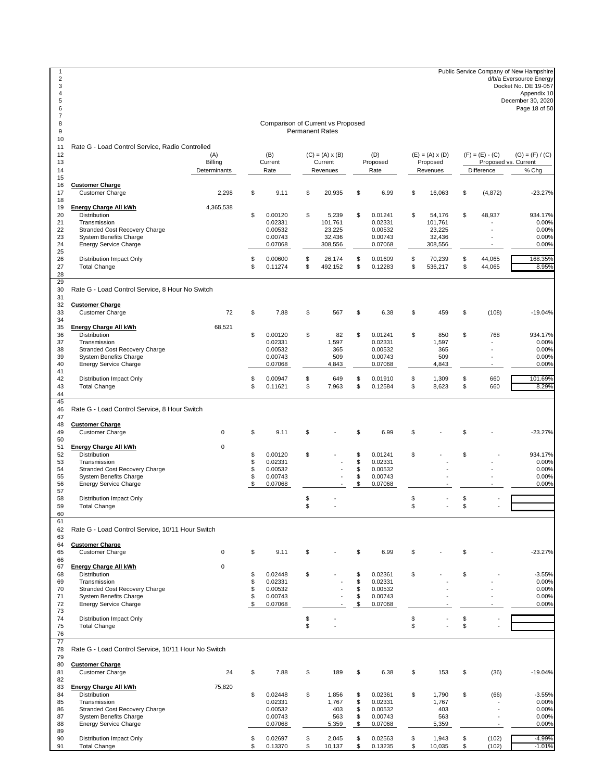Public Service Company of New Hampshire d/b/a Eversource Energy Docket No. DE 19-057 Appendix 10 December 30, 2020 Page 18 of 50 <br> $11$  Rate G - Load Control Service, Radio Controlled (A) (B) (C) = (A) x (B) (D) (E) = (A) x (D) (F) = (E) - (C) (G) = (F) / (C) 13 Billing Current Current Current Proposed Proposed Proposed Determinants Rate Revenues Rate Revenues Difference % Chg <br> $16$  **Customer Charge** Customer Charge 2,298 \$ 9.11 \$ 20,935 \$ 6.99 \$ 16,063 \$ (4,872) -23.27% 19 **Energy Charge All kWh** 4,365,538<br>20 **Distribution**  Distribution \$ 0.00120 \$ 5,239 \$ 0.01241 \$ 54,176 \$ 48,937 934.17% Transmission 0.02331 101,761 0.02331 101,761 - 0.00% Stranded Cost Recovery Charge 0.00532 23,225 0.00532 23,225 - 0.00% 23 System Benefits Charge 20 Companies 2008 32,436 32,436 32,436 32,436 32,436 32,436 32,436 32,436 32,436 32,436 32,436 566 567 1.000%<br>24 Energy Service Charge 2008 300,556 308,556 308,556 308,556 308,556 308,556 308,556 24 Energy Service Charge  $rac{25}{26}$  Distribution Impact Only \$ 0.00600 \$ 26,174 \$ 0.01609 \$ 70,239 \$ 44,065 168.35% Total Change \$ 0.11274 \$ 492,152 \$ 0.12283 \$ 536,217 \$ 44,065 8.95%  $\frac{29}{30}$ Rate G - Load Control Service, 8 Hour No Switch  $\frac{31}{32}$  **Customer Charge** Customer Charge 72 \$ 7.88 \$ 567 \$ 6.38 \$ 459 \$ (108) -19.04% 34<br>35 **Energy Charge All kWh** 68,521 Distribution \$ 0.00120 \$ 82 \$ 0.01241 \$ 850 \$ 768 934.17% Transmission 0.02331 1,597 0.02331 1,597 - 0.00% 38 Stranded Cost Recovery Charge 0.00532 365 0.00532 365 365 - 0.00%<br>39 System Benefits Charge 0.00743 509 0.00743 509 0.00743 509 - 0.00% System Benefits Charge 0.00743 509 0.00743 509 - 0.00% Energy Service Charge Distribution Impact Only \$ 0.00947 \$ 649 \$ 0.01910 \$ 1,309 \$ 660 101.69% Total Change \$ 0.11621 \$ 7,963 \$ 0.12584 \$ 8,623 \$ 660 8.29%  $\frac{45}{46}$  Rate G - Load Control Service, 8 Hour Switch **Customer Charge** Customer Charge 0 \$ 9.11 \$ - \$ 6.99 \$ - \$ - -23.27% **Energy Charge All kWh** 0 Distribution \$ 0.00120 \$ - \$ 0.01241 \$ - \$ - 934.17% Transmission \$ 0.02331 - \$ 0.02331 - - 0.00% 54 Stranded Cost Recovery Charge **54 Stranded Cost Recovery Charge 3** 3 0.00532 - 3 0.00532 - 0.00%<br>55 System Benefits Charge 3 3 0.00743 - 5 0.00743 - 5 0.00743 - 0.00% 55 System Benefits Charge **19 Stuart 1000 Stuart 1000 Stuart 1000** Stuart 1000 Stuart 1000 Stuart 1000 Stuart 1000<br>56 Energy Service Charge 1000 Stuart 1000 Stuart 1000 Stuart 1000 Stuart 1000 Stuart 1000 Stuart 1000 Stuar Energy Service Charge Distribution Impact Only \$ - \$ - \$ - Total Change \$ - \$ - \$ - Rate G - Load Control Service, 10/11 Hour Switch 63<br>64 **Customer Charge** Customer Charge 0 \$ 9.11 \$ - \$ 6.99 \$ - \$ - -23.27% 66<br>67 **Energy Charge All kWh** 0 Distribution \$ 0.02448 \$ - \$ 0.02361 \$ - \$ - -3.55% Transmission \$ 0.02331 - \$ 0.02331 - - 0.00% 70 Stranded Cost Recovery Charge **1998** - \$ 0.00532 - \$ 0.00532<br>71 System Benefits Charge 1998 - \$ 0.00743 - \$ 0.00743<br>71 System Benefits Charge 1998 - \$ 0.00743 - \$ 0.00743 System Benefits Charge \$ 0.00743 - \$ 0.00743 - - 0.00% Energy Service Charge Distribution Impact Only \$ - \$ - \$ - Total Change \$ - \$ - \$ - Rate G - Load Control Service, 10/11 Hour No Switch **Customer Charge** Customer Charge 24 \$ 7.88 \$ 189 \$ 6.38 \$ 153 \$ (36) -19.04% 83 **Energy Charge All kWh** 75,820<br>84 Distribution Distribution \$ 0.02448 \$ 1,856 \$ 0.02361 \$ 1,790 \$ (66) -3.55% Transmission 0.02331 1,767 \$ 0.02331 1,767 - 0.00% Stranded Cost Recovery Charge 0.00532 403 \$ 0.00532 403 - 0.00% System Benefits Charge 0.00743 563 \$ 0.00743 563 - 0.00% Energy Service Charge 6.08 and 5,359 \$ 0.07068 5,359 \$ Distribution Impact Only \$ 0.02697 \$ 2,045 \$ 0.02563 \$ 1,943 \$ (102) -4.99% Total Change \$ 0.13370 \$ 10,137 \$ 0.13235 \$ 10,035 \$ (102) -1.01% Comparison of Current vs Proposed Permanent Rates Proposed vs. Current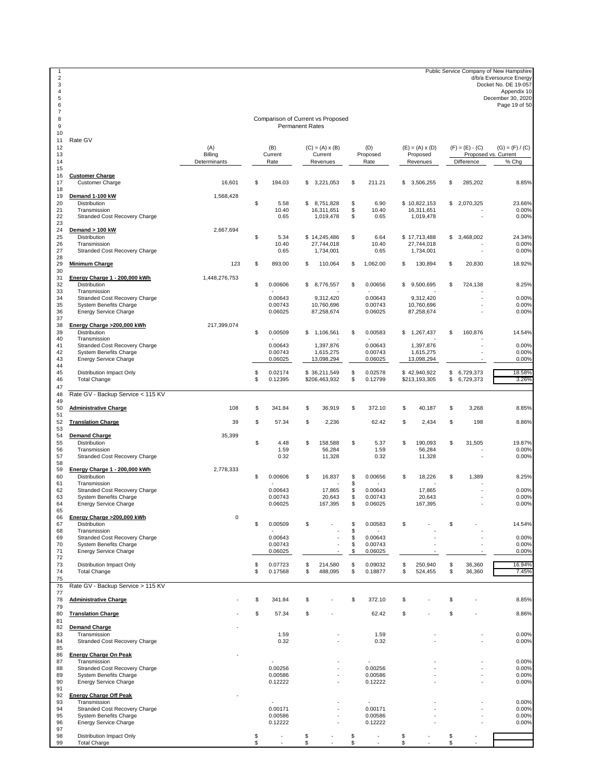1 Public Service Company of New Hampshire<br>
d/b/a Eversource Energy<br>
Docket No. DE 19-057<br>
Appendix 10<br>
Appendix 10<br>
2020<br>
Page 19 of 50<br>
Page 19 of 50

#### Comparison of Current vs Proposed Permanent Rates

| 8<br>9<br>10                     |                                                                                                                                         |                                |          | Comparison of Current vs Proposed<br><b>Permanent Rates</b> |          |                                               |                |                               |          |                                         |          |                                 |                                           |
|----------------------------------|-----------------------------------------------------------------------------------------------------------------------------------------|--------------------------------|----------|-------------------------------------------------------------|----------|-----------------------------------------------|----------------|-------------------------------|----------|-----------------------------------------|----------|---------------------------------|-------------------------------------------|
| 11<br>12<br>13<br>14             | Rate GV                                                                                                                                 | (A)<br>Billing<br>Determinants |          | (B)<br>Current<br>Rate                                      |          | $(C) = (A) \times (B)$<br>Current<br>Revenues |                | (D)<br>Proposed<br>Rate       |          | $(E) = (A) \times (D)$<br>Proposed      |          | $(F) = (E) - (C)$<br>Difference | $(G) = (F) / (C)$<br>Proposed vs. Current |
| 15<br>16<br>17                   | <b>Customer Charge</b><br><b>Customer Charge</b>                                                                                        | 16,601                         | \$       | 194.03                                                      | \$       | 3.221.053                                     | \$             | 211.21                        | \$       | Revenues<br>3,506,255                   | \$       | 285.202                         | % Chg<br>8.85%                            |
| 18<br>19<br>20<br>21             | Demand 1-100 kW<br>Distribution<br>Transmission                                                                                         | 1,568,428                      | \$       | 5.58<br>10.40                                               |          | \$8,751,828<br>16,311,651                     | \$<br>\$       | 6.90<br>10.40                 |          | \$10,822,153<br>16,311,651              |          | \$2,070,325                     | 23.66%<br>0.00%                           |
| 22<br>23<br>24                   | Stranded Cost Recovery Charge<br>Demand > 100 kW                                                                                        | 2,667,694                      |          | 0.65                                                        |          | 1,019,478                                     | \$             | 0.65                          |          | 1,019,478                               |          |                                 | 0.00%                                     |
| 25<br>26<br>27<br>28             | Distribution<br>Transmission<br>Stranded Cost Recovery Charge                                                                           |                                | \$       | 5.34<br>10.40<br>0.65                                       |          | \$14,245,486<br>27,744,018<br>1,734,001       | \$             | 6.64<br>10.40<br>0.65         |          | \$17,713,488<br>27.744.018<br>1,734,001 |          | \$3,468,002                     | 24.34%<br>0.00%<br>0.00%                  |
| 29<br>30                         | <b>Minimum Charge</b>                                                                                                                   | 123                            | \$       | 893.00                                                      | \$       | 110,064                                       | \$             | 1,062.00                      | \$       | 130,894                                 | \$       | 20,830                          | 18.92%                                    |
| 31<br>32<br>33                   | Energy Charge 1 - 200,000 kWh<br>Distribution<br>Transmission                                                                           | 1,448,276,753                  | \$       | 0.00606                                                     | \$       | 8,776,557                                     | \$             | 0.00656                       | \$       | 9,500,695                               | \$       | 724,138                         | 8.25%                                     |
| 34<br>35<br>36<br>37             | Stranded Cost Recovery Charge<br><b>System Benefits Charge</b><br><b>Energy Service Charge</b>                                          |                                |          | 0.00643<br>0.00743<br>0.06025                               |          | 9,312,420<br>10,760,696<br>87,258,674         |                | 0.00643<br>0.00743<br>0.06025 |          | 9,312,420<br>10,760,696<br>87,258,674   |          |                                 | 0.00%<br>0.00%<br>0.00%                   |
| 38<br>39<br>40                   | Energy Charge >200,000 kWh<br>Distribution<br>Transmission                                                                              | 217.399.074                    | \$       | 0.00509                                                     |          | \$1,106,561                                   | \$             | 0.00583                       |          | \$1,267,437                             | \$       | 160,876                         | 14.54%                                    |
| 41<br>42<br>43<br>44             | Stranded Cost Recovery Charge<br><b>System Benefits Charge</b><br><b>Energy Service Charge</b>                                          |                                |          | 0.00643<br>0.00743<br>0.06025                               |          | 1,397,876<br>1,615,275<br>13,098,294          |                | 0.00643<br>0.00743<br>0.06025 |          | 1,397,876<br>1,615,275<br>13,098,294    |          | ٠<br>÷,                         | 0.00%<br>0.00%<br>0.00%                   |
| 45<br>46<br>47                   | Distribution Impact Only<br><b>Total Change</b>                                                                                         |                                | \$<br>\$ | 0.02174<br>0.12395                                          |          | \$36,211,549<br>\$206,463,932                 | \$<br>\$       | 0.02578<br>0.12799            |          | \$42,940,922<br>\$213,193,305           | \$<br>\$ | 6,729,373<br>6,729,373          | 18.58%<br>3.26%                           |
| 48<br>49                         | Rate GV - Backup Service < 115 KV                                                                                                       |                                |          |                                                             |          |                                               |                |                               |          |                                         |          |                                 |                                           |
| 50<br>51                         | <b>Administrative Charge</b>                                                                                                            | 108                            | \$       | 341.84                                                      | \$       | 36,919                                        | \$             | 372.10                        | \$       | 40,187                                  | \$       | 3,268                           | 8.85%                                     |
| 52<br>53                         | <b>Translation Charge</b>                                                                                                               | 39                             | \$       | 57.34                                                       | \$       | 2,236                                         |                | 62.42                         | \$       | 2,434                                   | \$       | 198                             | 8.86%                                     |
| 54<br>55<br>56<br>57<br>58       | <b>Demand Charge</b><br>Distribution<br>Transmission<br>Stranded Cost Recovery Charge                                                   | 35,399                         | \$       | 4.48<br>1.59<br>0.32                                        | \$       | 158,588<br>56,284<br>11,328                   | \$             | 5.37<br>1.59<br>0.32          | \$       | 190,093<br>56,284<br>11,328             | \$       | 31,505                          | 19.87%<br>0.00%<br>0.00%                  |
| 59<br>60<br>61                   | Energy Charge 1 - 200,000 kWh<br>Distribution<br>Transmission                                                                           | 2,778,333                      | \$       | 0.00606                                                     | \$       | 16,837                                        | \$<br>\$       | 0.00656                       | \$       | 18,226                                  | \$       | 1,389                           | 8.25%                                     |
| 62<br>63<br>64<br>65             | Stranded Cost Recovery Charge<br><b>System Benefits Charge</b><br><b>Energy Service Charge</b>                                          |                                |          | 0.00643<br>0.00743<br>0.06025                               |          | 17,865<br>20,643<br>167,395                   | \$<br>\$<br>\$ | 0.00643<br>0.00743<br>0.06025 |          | 17,865<br>20,643<br>167,395             |          | ä,                              | 0.00%<br>0.00%<br>0.00%                   |
| 66<br>67<br>68                   | Energy Charge >200,000 kWh<br><b>Distribution</b><br>Transmission                                                                       | $\bf 0$                        | \$       | 0.00509                                                     | \$       |                                               | \$<br>\$       | 0.00583                       | \$       |                                         | \$       |                                 | 14.54%                                    |
| 69<br>70<br>71<br>72             | Stranded Cost Recovery Charge<br><b>System Benefits Charge</b><br><b>Energy Service Charge</b>                                          |                                |          | 0.00643<br>0.00743<br>0.06025                               |          |                                               | \$<br>\$<br>\$ | 0.00643<br>0.00743<br>0.06025 |          |                                         |          |                                 | 0.00%<br>0.00%<br>0.00%                   |
| 73<br>74<br>75                   | Distribution Impact Only<br><b>Total Change</b>                                                                                         |                                | \$<br>\$ | 0.07723<br>0.17568                                          | \$<br>\$ | 214,580<br>488,095                            | \$<br>\$       | 0.09032<br>0.18877            | \$<br>\$ | 250,940<br>524,455                      | \$<br>\$ | 36,360<br>36,360                | 16.94%<br>7.45%                           |
| 76<br>77                         | Rate GV - Backup Service > 115 KV                                                                                                       |                                |          |                                                             |          |                                               |                |                               |          |                                         |          |                                 |                                           |
| 78<br>79<br>80                   | <b>Administrative Charge</b><br><b>Translation Charge</b>                                                                               |                                | \$<br>\$ | 341.84<br>57.34                                             | S<br>\$  |                                               | \$             | 372.10<br>62.42               | \$<br>\$ |                                         | \$<br>\$ |                                 | 8.85%<br>8.86%                            |
| 81<br>82                         | <b>Demand Charge</b>                                                                                                                    |                                |          |                                                             |          |                                               |                |                               |          |                                         |          |                                 |                                           |
| 83<br>84<br>85                   | Transmission<br>Stranded Cost Recovery Charge                                                                                           |                                |          | 1.59<br>0.32                                                |          |                                               |                | 1.59<br>0.32                  |          |                                         |          |                                 | 0.00%<br>0.00%                            |
| 86<br>87<br>88<br>89<br>90<br>91 | <b>Energy Charge On Peak</b><br>Transmission<br>Stranded Cost Recovery Charge<br><b>System Benefits Charge</b><br>Energy Service Charge |                                |          | 0.00256<br>0.00586<br>0.12222                               |          |                                               |                | 0.00256<br>0.00586<br>0.12222 |          |                                         |          |                                 | 0.00%<br>0.00%<br>0.00%<br>0.00%          |
| 92<br>93<br>94<br>95             | <b>Energy Charge Off Peak</b><br>Transmission<br>Stranded Cost Recovery Charge<br>System Benefits Charge                                |                                |          | 0.00171<br>0.00586                                          |          |                                               |                | 0.00171<br>0.00586            |          |                                         |          |                                 | 0.00%<br>0.00%<br>0.00%                   |
| 96<br>97<br>98<br>99             | <b>Energy Service Charge</b><br>Distribution Impact Only<br><b>Total Charge</b>                                                         |                                | \$<br>\$ | 0.12222                                                     | \$<br>\$ |                                               | \$<br>\$       | 0.12222                       | \$<br>\$ |                                         | \$<br>\$ |                                 | 0.00%                                     |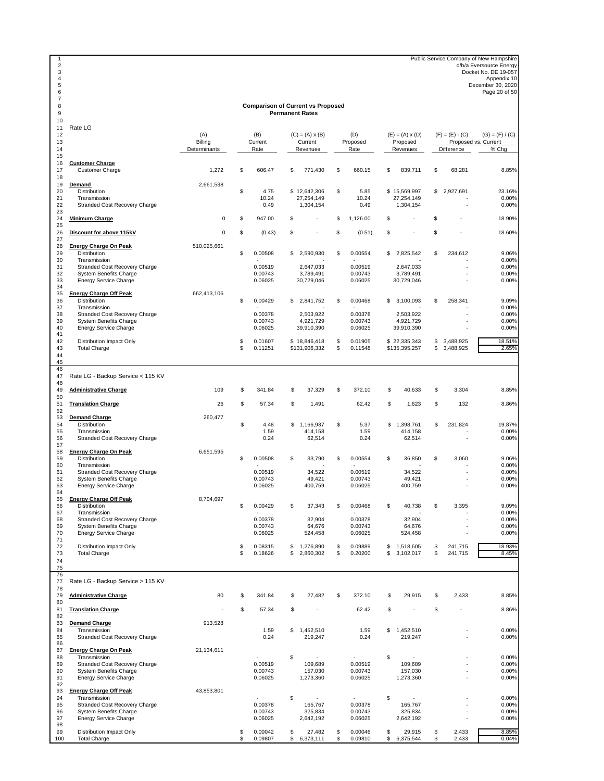1 Public Service Company of New Hampshire<br>
2 d/b/a Eversource Energy<br>
2 d/b/a Eversource Energy<br>
2 Docket No. DE 19-057<br>
2 December 30, 2020<br>
2 December 30, 2020<br>
2 December 30, 2020<br>
Page 20 of 50

# **Comparison of Current vs Proposed Permanent Rates**

| 11       | Rate LG                                       |                     |    |         |    |                        |                |    |                        |                   |                      |
|----------|-----------------------------------------------|---------------------|----|---------|----|------------------------|----------------|----|------------------------|-------------------|----------------------|
| 12       |                                               | (A)                 |    | (B)     |    | $(C) = (A) \times (B)$ | (D)            |    | $(E) = (A) \times (D)$ | $(F) = (E) - (C)$ | $(G) = (F) / (C)$    |
| 13       |                                               | Billing             |    | Current |    | Current                | Proposed       |    | Proposed               |                   | Proposed vs. Current |
| 14       |                                               | Determinants        |    | Rate    |    | Revenues               | Rate           |    | Revenues               | Difference        | % Chg                |
| 15<br>16 | <b>Customer Charge</b>                        |                     |    |         |    |                        |                |    |                        |                   |                      |
| 17       | <b>Customer Charge</b>                        | 1,272               | \$ | 606.47  | \$ | 771,430                | \$<br>660.15   | S  | 839,711                | \$<br>68,281      | 8.85%                |
| 18       |                                               |                     |    |         |    |                        |                |    |                        |                   |                      |
| 19       | Demand                                        | 2,661,538           |    |         |    |                        |                |    |                        |                   |                      |
| 20       | Distribution                                  |                     | \$ | 4.75    |    | \$12,642,306           | \$<br>5.85     |    | \$15,569,997           | \$<br>2,927,691   | 23.16%               |
| 21       | Transmission                                  |                     |    | 10.24   |    | 27,254,149             | 10.24          |    | 27,254,149             |                   | 0.00%                |
| 22       | Stranded Cost Recovery Charge                 |                     |    | 0.49    |    | 1,304,154              | 0.49           |    | 1,304,154              |                   | 0.00%                |
| 23       |                                               |                     |    |         |    |                        |                |    |                        |                   |                      |
| 24       | <b>Minimum Charge</b>                         | $\mathsf{O}\xspace$ | \$ | 947.00  | \$ |                        | \$<br>1,126.00 | \$ |                        | \$                | 18.90%               |
| 25       |                                               |                     |    |         |    |                        |                |    |                        |                   |                      |
| 26       | Discount for above 115kV                      | $\mathbf 0$         | \$ | (0.43)  | \$ |                        | \$<br>(0.51)   | \$ |                        | \$                | 18.60%               |
| 27       |                                               |                     |    |         |    |                        |                |    |                        |                   |                      |
| 28       | <b>Energy Charge On Peak</b>                  | 510,025,661         |    |         |    |                        |                |    |                        |                   |                      |
| 29<br>30 | Distribution<br>Transmission                  |                     | \$ | 0.00508 | \$ | 2,590,930              | \$<br>0.00554  | \$ | 2,825,542              | \$<br>234,612     | 9.06%<br>0.00%       |
| 31       | Stranded Cost Recovery Charge                 |                     |    | 0.00519 |    | 2,647,033              | 0.00519        |    | 2,647,033              |                   | 0.00%                |
| 32       | <b>System Benefits Charge</b>                 |                     |    | 0.00743 |    | 3,789,491              | 0.00743        |    | 3,789,491              |                   | 0.00%                |
| 33       | <b>Energy Service Charge</b>                  |                     |    | 0.06025 |    | 30,729,046             | 0.06025        |    | 30,729,046             |                   | 0.00%                |
| 34       |                                               |                     |    |         |    |                        |                |    |                        |                   |                      |
| 35       | <b>Energy Charge Off Peak</b>                 | 662,413,106         |    |         |    |                        |                |    |                        |                   |                      |
| 36       | Distribution                                  |                     | \$ | 0.00429 | \$ | 2,841,752              | \$<br>0.00468  |    | \$3,100,093            | \$<br>258,341     | 9.09%                |
| 37       | Transmission                                  |                     |    |         |    |                        |                |    |                        |                   | 0.00%                |
| 38       | Stranded Cost Recovery Charge                 |                     |    | 0.00378 |    | 2,503,922              | 0.00378        |    | 2,503,922              |                   | 0.00%                |
| 39       | <b>System Benefits Charge</b>                 |                     |    | 0.00743 |    | 4,921,729              | 0.00743        |    | 4,921,729              |                   | 0.00%                |
| 40       | Energy Service Charge                         |                     |    | 0.06025 |    | 39,910,390             | 0.06025        |    | 39,910,390             |                   | 0.00%                |
| 41       |                                               |                     |    |         |    |                        |                |    |                        |                   |                      |
| 42       | Distribution Impact Only                      |                     | \$ | 0.01607 |    | \$18,846,418           | \$<br>0.01905  |    | \$22,335,343           | \$<br>3,488,925   | 18.51%               |
| 43       | <b>Total Charge</b>                           |                     | S  | 0.11251 |    | \$131,906,332          | \$<br>0.11548  |    | \$135,395,257          | \$<br>3,488,925   | 2.65%                |
| 44       |                                               |                     |    |         |    |                        |                |    |                        |                   |                      |
| 45       |                                               |                     |    |         |    |                        |                |    |                        |                   |                      |
| 46       |                                               |                     |    |         |    |                        |                |    |                        |                   |                      |
| 47       | Rate LG - Backup Service < 115 KV             |                     |    |         |    |                        |                |    |                        |                   |                      |
| 48       |                                               |                     |    |         |    |                        |                |    |                        |                   |                      |
| 49       | <b>Administrative Charge</b>                  | 109                 | \$ | 341.84  | \$ | 37,329                 | \$<br>372.10   | \$ | 40,633                 | \$<br>3,304       | 8.85%                |
| 50       |                                               |                     |    |         |    |                        |                |    |                        |                   |                      |
| 51       | <b>Translation Charge</b>                     | 26                  | \$ | 57.34   | \$ | 1,491                  | 62.42          | \$ | 1,623                  | \$<br>132         | 8.86%                |
| 52       |                                               |                     |    |         |    |                        |                |    |                        |                   |                      |
| 53       | <b>Demand Charge</b>                          | 260,477             |    |         |    |                        |                |    |                        |                   |                      |
| 54       | Distribution                                  |                     | \$ | 4.48    |    | \$1,166,937            | \$<br>5.37     |    | \$1,398,761            | \$<br>231,824     | 19.87%               |
| 55       | Transmission                                  |                     |    | 1.59    |    | 414,158                | 1.59           |    | 414,158                |                   | 0.00%                |
| 56<br>57 | Stranded Cost Recovery Charge                 |                     |    | 0.24    |    | 62,514                 | 0.24           |    | 62,514                 |                   | 0.00%                |
| 58       | <b>Energy Charge On Peak</b>                  | 6,651,595           |    |         |    |                        |                |    |                        |                   |                      |
| 59       | <b>Distribution</b>                           |                     | \$ | 0.00508 | \$ | 33,790                 | \$<br>0.00554  | S  | 36,850                 | \$<br>3,060       | 9.06%                |
| 60       | Transmission                                  |                     |    |         |    |                        |                |    |                        |                   | 0.00%                |
| 61       | Stranded Cost Recovery Charge                 |                     |    | 0.00519 |    | 34,522                 | 0.00519        |    | 34,522                 |                   | 0.00%                |
| 62       | <b>System Benefits Charge</b>                 |                     |    | 0.00743 |    | 49,421                 | 0.00743        |    | 49,421                 |                   | 0.00%                |
| 63       | Energy Service Charge                         |                     |    | 0.06025 |    | 400,759                | 0.06025        |    | 400,759                |                   | 0.00%                |
| 64       |                                               |                     |    |         |    |                        |                |    |                        |                   |                      |
| 65       | <b>Energy Charge Off Peak</b>                 | 8,704,697           |    |         |    |                        |                |    |                        |                   |                      |
| 66       | Distribution                                  |                     | \$ | 0.00429 | \$ | 37,343                 | \$<br>0.00468  | \$ | 40,738                 | \$<br>3,395       | 9.09%                |
| 67       | Transmission                                  |                     |    |         |    |                        |                |    |                        |                   | 0.00%                |
| 68       | Stranded Cost Recovery Charge                 |                     |    | 0.00378 |    | 32,904                 | 0.00378        |    | 32,904                 |                   | 0.00%                |
| 69       | <b>System Benefits Charge</b>                 |                     |    | 0.00743 |    | 64.676                 | 0.00743        |    | 64.676                 |                   | 0.00%                |
| 70       | <b>Energy Service Charge</b>                  |                     |    | 0.06025 |    | 524,458                | 0.06025        |    | 524,458                |                   | 0.00%                |
| 71       |                                               |                     |    |         |    |                        |                |    |                        |                   |                      |
| 72       | Distribution Impact Only                      |                     | \$ | 0.08315 | \$ | 1,276,890              | \$<br>0.09889  | \$ | 1,518,605              | \$<br>241,715     | 18.93%               |
| 73       | <b>Total Charge</b>                           |                     | \$ | 0.18626 | \$ | 2,860,302              | \$<br>0.20200  | \$ | 3,102,017              | \$<br>241,715     | 8.45%                |
| 74       |                                               |                     |    |         |    |                        |                |    |                        |                   |                      |
| 75       |                                               |                     |    |         |    |                        |                |    |                        |                   |                      |
| 76       |                                               |                     |    |         |    |                        |                |    |                        |                   |                      |
| 77       | Rate LG - Backup Service > 115 KV             |                     |    |         |    |                        |                |    |                        |                   |                      |
| 78       |                                               |                     |    |         |    |                        |                |    |                        |                   |                      |
| 79       | <b>Administrative Charge</b>                  | 80                  | \$ | 341.84  | S  | 27,482                 | \$<br>372.10   | \$ | 29,915                 | \$<br>2,433       | 8.85%                |
| 80       |                                               |                     |    |         |    |                        |                |    |                        |                   |                      |
| 81       | <b>Translation Charge</b>                     |                     | \$ | 57.34   | \$ |                        | 62.42          | \$ | ×,                     | \$                | 8.86%                |
| 82       |                                               |                     |    |         |    |                        |                |    |                        |                   |                      |
| 83       | <b>Demand Charge</b>                          | 913,528             |    |         |    |                        |                |    |                        |                   |                      |
| 84       | Transmission                                  |                     |    | 1.59    | \$ | 1,452,510              | 1.59           | \$ | 1,452,510              |                   | 0.00%                |
| 85       | Stranded Cost Recovery Charge                 |                     |    | 0.24    |    | 219,247                | 0.24           |    | 219,247                |                   | 0.00%                |
| 86       |                                               |                     |    |         |    |                        |                |    |                        |                   |                      |
| 87       | <b>Energy Charge On Peak</b>                  | 21,134,611          |    |         |    |                        |                |    |                        |                   |                      |
| 88       | Transmission<br>Stranded Cost Recovery Charge |                     |    |         | \$ |                        | ×,             | \$ | $\mathbf{r}$           |                   | 0.00%                |
| 89       |                                               |                     |    | 0.00519 |    | 109,689<br>157,030     | 0.00519        |    | 109,689                |                   | 0.00%                |
| 90       | <b>System Benefits Charge</b>                 |                     |    | 0.00743 |    |                        | 0.00743        |    | 157,030                |                   | 0.00%                |
| 91<br>92 | <b>Energy Service Charge</b>                  |                     |    | 0.06025 |    | 1,273,360              | 0.06025        |    | 1,273,360              |                   | 0.00%                |
| 93       | <b>Energy Charge Off Peak</b>                 | 43,853,801          |    |         |    |                        |                |    |                        |                   |                      |
| 94       | Transmission                                  |                     |    |         | \$ |                        |                | \$ |                        |                   | 0.00%                |
| 95       | Stranded Cost Recovery Charge                 |                     |    | 0.00378 |    | 165,767                | 0.00378        |    | 165,767                |                   | 0.00%                |
| 96       | System Benefits Charge                        |                     |    | 0.00743 |    | 325,834                | 0.00743        |    | 325,834                |                   | 0.00%                |
| 97       | <b>Energy Service Charge</b>                  |                     |    | 0.06025 |    | 2,642,192              | 0.06025        |    | 2,642,192              |                   | 0.00%                |
| 98       |                                               |                     |    |         |    |                        |                |    |                        |                   |                      |
| 99       | Distribution Impact Only                      |                     | S  | 0.00042 | \$ | 27,482                 | \$<br>0.00046  | \$ | 29,915                 | \$<br>2,433       | 8.85%                |
| 100      | <b>Total Charge</b>                           |                     | \$ | 0.09807 |    | \$6,373,111            | \$<br>0.09810  |    | \$ 6,375,544           | \$<br>2,433       | 0.04%                |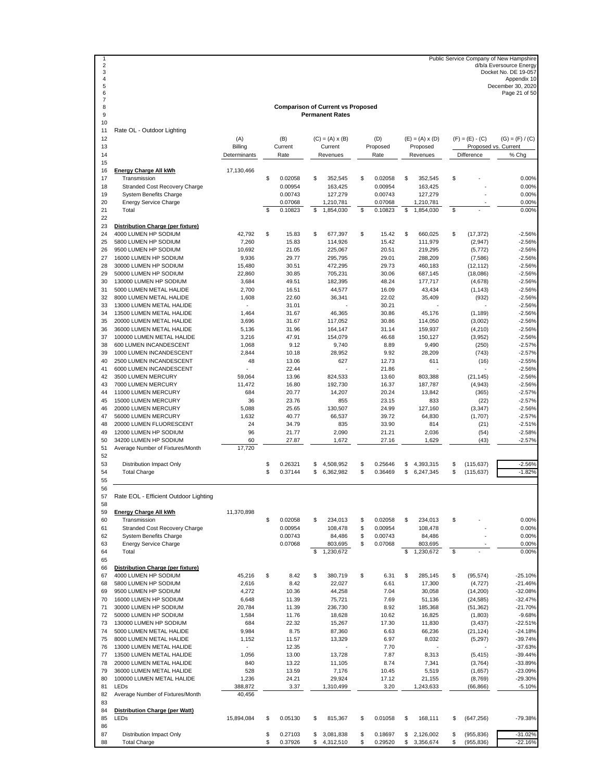1 Public Service Company of New Hampshire<br>
d/b/a Eversource Energy<br>
3 Docket No. DE 19-057<br>
Appendix 10<br>
4 December 30, 2020<br>
Page 21 of 50<br>
Page 21 of 50

#### **Comparison of Current vs Proposed Permanent Rates**

| 9        |                                                               |                          |          |                    |          | <b>Permanent Rates</b> |          |                    |         |                        |          |                          |                       |
|----------|---------------------------------------------------------------|--------------------------|----------|--------------------|----------|------------------------|----------|--------------------|---------|------------------------|----------|--------------------------|-----------------------|
| 10<br>11 | Rate OL - Outdoor Lighting                                    |                          |          |                    |          |                        |          |                    |         |                        |          |                          |                       |
| 12       |                                                               | (A)                      |          | (B)                |          | $(C) = (A) \times (B)$ |          | (D)                |         | $(E) = (A) \times (D)$ |          | $(F) = (E) - (C)$        | $(G) = (F) / (C)$     |
| 13       |                                                               | Billing                  |          | Current            |          | Current                |          | Proposed           |         | Proposed               |          |                          | Proposed vs. Current  |
| 14<br>15 |                                                               | Determinants             |          | Rate               |          | Revenues               |          | Rate               |         | Revenues               |          | Difference               | % Chg                 |
| 16       | <b>Energy Charge All kWh</b>                                  | 17,130,466               |          |                    |          |                        |          |                    |         |                        |          |                          |                       |
| 17       | Transmission                                                  |                          | \$       | 0.02058            | S        | 352,545                | \$       | 0.02058            | \$      | 352.545                | \$       |                          | 0.00%                 |
| 18       | Stranded Cost Recovery Charge                                 |                          |          | 0.00954            |          | 163,425                |          | 0.00954            |         | 163,425                |          |                          | 0.00%                 |
| 19<br>20 | <b>System Benefits Charge</b>                                 |                          |          | 0.00743<br>0.07068 |          | 127,279<br>1,210,781   |          | 0.00743<br>0.07068 |         | 127,279                |          |                          | 0.00%<br>0.00%        |
| 21       | <b>Energy Service Charge</b><br>Total                         |                          | S        | 0.10823            | \$       | 1,854,030              | \$       | 0.10823            | \$      | 1,210,781<br>1,854,030 | \$       |                          | 0.00%                 |
| 22       |                                                               |                          |          |                    |          |                        |          |                    |         |                        |          |                          |                       |
| 23       | Distribution Charge (per fixture)                             |                          |          |                    |          |                        |          |                    |         |                        |          |                          |                       |
| 24       | 4000 LUMEN HP SODIUM                                          | 42,792                   | \$       | 15.83              | \$       | 677,397                | \$       | 15.42              | \$      | 660,025                | \$       | (17, 372)                | $-2.56%$              |
| 25       | 5800 LUMEN HP SODIUM                                          | 7,260                    |          | 15.83              |          | 114,926                |          | 15.42              |         | 111,979                |          | (2, 947)                 | $-2.56%$              |
| 26<br>27 | 9500 LUMEN HP SODIUM                                          | 10,692                   |          | 21.05<br>29.77     |          | 225,067                |          | 20.51<br>29.01     |         | 219,295                |          | (5,772)                  | $-2.56%$              |
| 28       | 16000 LUMEN HP SODIUM<br>30000 LUMEN HP SODIUM                | 9,936<br>15,480          |          | 30.51              |          | 295,795<br>472,295     |          | 29.73              |         | 288,209<br>460,183     |          | (7, 586)<br>(12, 112)    | $-2.56%$<br>$-2.56%$  |
| 29       | 50000 LUMEN HP SODIUM                                         | 22,860                   |          | 30.85              |          | 705,231                |          | 30.06              |         | 687,145                |          | (18,086)                 | $-2.56%$              |
| 30       | 130000 LUMEN HP SODIUM                                        | 3,684                    |          | 49.51              |          | 182,395                |          | 48.24              |         | 177,717                |          | (4,678)                  | $-2.56%$              |
| 31       | 5000 LUMEN METAL HALIDE                                       | 2,700                    |          | 16.51              |          | 44,577                 |          | 16.09              |         | 43,434                 |          | (1, 143)                 | $-2.56%$              |
| 32       | 8000 LUMEN METAL HALIDE                                       | 1,608                    |          | 22.60              |          | 36,341                 |          | 22.02              |         | 35,409                 |          | (932)                    | $-2.56%$              |
| 33       | 13000 LUMEN METAL HALIDE                                      | ÷,                       |          | 31.01              |          |                        |          | 30.21              |         |                        |          |                          | $-2.56%$              |
| 34       | 13500 LUMEN METAL HALIDE                                      | 1,464                    |          | 31.67              |          | 46,365                 |          | 30.86              |         | 45,176                 |          | (1, 189)                 | $-2.56%$              |
| 35       | 20000 LUMEN METAL HALIDE                                      | 3,696                    |          | 31.67              |          | 117,052                |          | 30.86              |         | 114,050                |          | (3,002)                  | $-2.56%$              |
| 36<br>37 | 36000 LUMEN METAL HALIDE<br>100000 LUMEN METAL HALIDE         | 5,136<br>3,216           |          | 31.96<br>47.91     |          | 164,147<br>154,079     |          | 31.14<br>46.68     |         | 159,937<br>150,127     |          | (4,210)<br>(3,952)       | $-2.56%$<br>$-2.56%$  |
| 38       | 600 LUMEN INCANDESCENT                                        | 1,068                    |          | 9.12               |          | 9,740                  |          | 8.89               |         | 9,490                  |          | (250)                    | $-2.57%$              |
| 39       | 1000 LUMEN INCANDESCENT                                       | 2,844                    |          | 10.18              |          | 28,952                 |          | 9.92               |         | 28,209                 |          | (743)                    | $-2.57%$              |
| 40       | 2500 LUMEN INCANDESCENT                                       | 48                       |          | 13.06              |          | 627                    |          | 12.73              |         | 611                    |          | (16)                     | $-2.55%$              |
| 41       | 6000 LUMEN INCANDESCENT                                       |                          |          | 22.44              |          |                        |          | 21.86              |         |                        |          |                          | $-2.56%$              |
| 42       | 3500 LUMEN MERCURY                                            | 59,064                   |          | 13.96              |          | 824,533                |          | 13.60              |         | 803,388                |          | (21, 145)                | $-2.56%$              |
| 43       | 7000 LUMEN MERCURY                                            | 11,472                   |          | 16.80              |          | 192,730                |          | 16.37              |         | 187,787                |          | (4,943)                  | $-2.56%$              |
| 44       | 11000 LUMEN MERCURY                                           | 684                      |          | 20.77              |          | 14,207                 |          | 20.24              |         | 13,842                 |          | (365)                    | $-2.57%$              |
| 45       | 15000 LUMEN MERCURY                                           | 36                       |          | 23.76              |          | 855                    |          | 23.15              |         | 833                    |          | (22)                     | $-2.57%$              |
| 46<br>47 | 20000 LUMEN MERCURY<br>56000 LUMEN MERCURY                    | 5,088<br>1,632           |          | 25.65<br>40.77     |          | 130,507<br>66,537      |          | 24.99<br>39.72     |         | 127,160<br>64,830      |          | (3, 347)<br>(1,707)      | $-2.56%$<br>$-2.57%$  |
| 48       | 20000 LUMEN FLUORESCENT                                       | 24                       |          | 34.79              |          | 835                    |          | 33.90              |         | 814                    |          | (21)                     | $-2.51%$              |
| 49       | 12000 LUMEN HP SODIUM                                         | 96                       |          | 21.77              |          | 2,090                  |          | 21.21              |         | 2,036                  |          | (54)                     | $-2.58%$              |
| 50       | 34200 LUMEN HP SODIUM                                         | 60                       |          | 27.87              |          | 1,672                  |          | 27.16              |         | 1,629                  |          | (43)                     | $-2.57%$              |
| 51       | Average Number of Fixtures/Month                              | 17,720                   |          |                    |          |                        |          |                    |         |                        |          |                          |                       |
| 52       |                                                               |                          |          |                    |          |                        |          |                    |         |                        |          |                          |                       |
| 53<br>54 | Distribution Impact Only<br><b>Total Charge</b>               |                          | \$<br>\$ | 0.26321<br>0.37144 | \$<br>\$ | 4,508,952<br>6,362,982 | \$<br>\$ | 0.25646<br>0.36469 | S<br>\$ | 4,393,315<br>6,247,345 | \$<br>\$ | (115, 637)<br>(115, 637) | $-2.56%$<br>$-1.82%$  |
| 55       |                                                               |                          |          |                    |          |                        |          |                    |         |                        |          |                          |                       |
| 56       |                                                               |                          |          |                    |          |                        |          |                    |         |                        |          |                          |                       |
| 57       | Rate EOL - Efficient Outdoor Lighting                         |                          |          |                    |          |                        |          |                    |         |                        |          |                          |                       |
| 58       |                                                               |                          |          |                    |          |                        |          |                    |         |                        |          |                          |                       |
| 59       | Energy Charge All kWh                                         | 11,370,898               |          |                    |          |                        |          |                    |         |                        |          |                          |                       |
| 60       | Transmission                                                  |                          | \$       | 0.02058            | \$       | 234,013                | \$       | 0.02058            | S       | 234,013                | \$       |                          | 0.00%                 |
| 61       | Stranded Cost Recovery Charge                                 |                          |          | 0.00954            |          | 108,478                | \$       | 0.00954            |         | 108,478<br>84.486      |          |                          | 0.00%                 |
| 62<br>63 | <b>System Benefits Charge</b><br><b>Energy Service Charge</b> |                          |          | 0.00743<br>0.07068 |          | 84,486<br>803,695      | \$<br>\$ | 0.00743<br>0.07068 |         | 803,695                |          |                          | 0.00%<br>0.00%        |
| 64       | Total                                                         |                          |          |                    | \$       | 1,230,672              |          |                    | \$      | 1,230,672              | \$       |                          | 0.00%                 |
| 65       |                                                               |                          |          |                    |          |                        |          |                    |         |                        |          |                          |                       |
| 66       | Distribution Charge (per fixture)                             |                          |          |                    |          |                        |          |                    |         |                        |          |                          |                       |
| 67       | 4000 LUMEN HP SODIUM                                          | 45,216                   | \$       | 8.42               | \$       | 380,719                | \$       | 6.31               | \$      | 285,145                | \$       | (95, 574)                | $-25.10%$             |
| 68       | 5800 LUMEN HP SODIUM                                          | 2,616                    |          | 8.42               |          | 22,027                 |          | 6.61               |         | 17,300                 |          | (4, 727)                 | $-21.46%$             |
| 69       | 9500 LUMEN HP SODIUM                                          | 4,272                    |          | 10.36              |          | 44,258                 |          | 7.04               |         | 30,058                 |          | (14,200)                 | $-32.08%$             |
| 70       | 16000 LUMEN HP SODIUM                                         | 6,648                    |          | 11.39              |          | 75,721                 |          | 7.69               |         | 51,136                 |          | (24, 585)                | $-32.47%$             |
| 71<br>72 | 30000 LUMEN HP SODIUM<br>50000 LUMEN HP SODIUM                | 20,784<br>1,584          |          | 11.39<br>11.76     |          | 236,730<br>18,628      |          | 8.92<br>10.62      |         | 185,368<br>16,825      |          | (51, 362)<br>(1,803)     | $-21.70%$<br>$-9.68%$ |
| 73       | 130000 LUMEN HP SODIUM                                        | 684                      |          | 22.32              |          | 15,267                 |          | 17.30              |         | 11,830                 |          | (3, 437)                 | $-22.51%$             |
| 74       | 5000 LUMEN METAL HALIDE                                       | 9,984                    |          | 8.75               |          | 87,360                 |          | 6.63               |         | 66,236                 |          | (21, 124)                | $-24.18%$             |
| 75       | 8000 LUMEN METAL HALIDE                                       | 1,152                    |          | 11.57              |          | 13,329                 |          | 6.97               |         | 8,032                  |          | (5,297)                  | $-39.74%$             |
| 76       | 13000 LUMEN METAL HALIDE                                      | $\overline{\phantom{a}}$ |          | 12.35              |          |                        |          | 7.70               |         |                        |          |                          | $-37.63%$             |
| 77       | 13500 LUMEN METAL HALIDE                                      | 1,056                    |          | 13.00              |          | 13,728                 |          | 7.87               |         | 8,313                  |          | (5, 415)                 | $-39.44%$             |
| 78       | 20000 LUMEN METAL HALIDE                                      | 840                      |          | 13.22              |          | 11,105                 |          | 8.74               |         | 7,341                  |          | (3,764)                  | $-33.89%$             |
| 79       | 36000 LUMEN METAL HALIDE                                      | 528                      |          | 13.59              |          | 7,176                  |          | 10.45              |         | 5,519                  |          | (1,657)                  | $-23.09%$             |
| 80       | 100000 LUMEN METAL HALIDE                                     | 1,236                    |          | 24.21              |          | 29,924                 |          | 17.12              |         | 21,155                 |          | (8,769)                  | $-29.30%$             |
| 81<br>82 | LEDs<br>Average Number of Fixtures/Month                      | 388,872<br>40,456        |          | 3.37               |          | 1,310,499              |          | 3.20               |         | 1,243,633              |          | (66, 866)                | $-5.10%$              |
| 83       |                                                               |                          |          |                    |          |                        |          |                    |         |                        |          |                          |                       |
| 84       | Distribution Charge (per Watt)                                |                          |          |                    |          |                        |          |                    |         |                        |          |                          |                       |
| 85       | LEDs                                                          | 15,894,084               | \$       | 0.05130            | \$       | 815,367                | \$       | 0.01058            | \$      | 168,111                | \$       | (647, 256)               | -79.38%               |
| 86       |                                                               |                          |          |                    |          |                        |          |                    |         |                        |          |                          |                       |
| 87       | Distribution Impact Only                                      |                          | \$       | 0.27103            | \$       | 3,081,838              | \$       | 0.18697            | \$      | 2,126,002              | \$       | (955, 836)               | -31.02%               |
| 88       | <b>Total Charge</b>                                           |                          | \$       | 0.37926            | \$       | 4,312,510              | \$       | 0.29520            |         | \$3,356,674            | \$       | (955, 836)               | $-22.16%$             |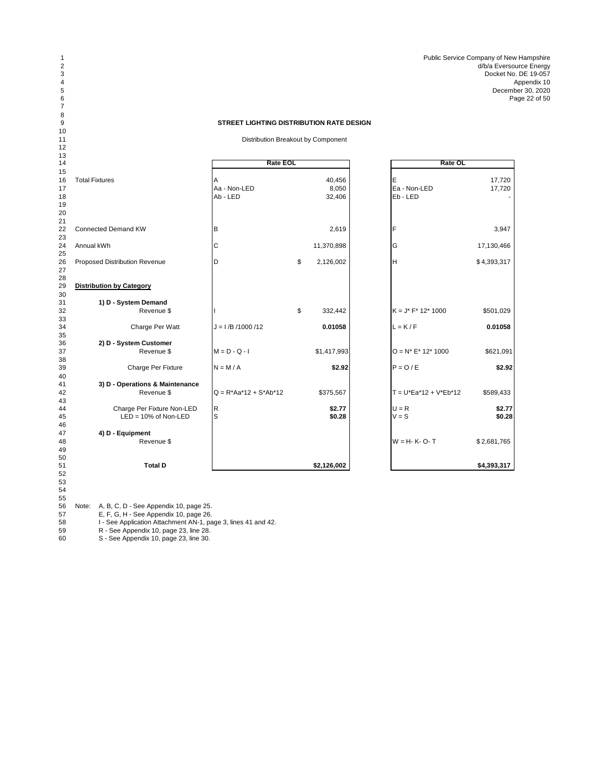Public Service Company of New Hampshire d/b/a Eversource Energy Docket No. DE 19-057 4 Appendix 10 Appendix 10 Appendix 10 Appendix 10 Appendix 10 Appendix 10 Appendix 10 Appendix 10 Appendix 10 December 30, 2020 Page 22 of 50

### **STREET LIGHTING DISTRIBUTION RATE DESIGN**

Distribution Breakout by Component

| 13<br>14             |                                 | <b>Rate EOL</b>          |                           | Rate OL                         |                  |
|----------------------|---------------------------------|--------------------------|---------------------------|---------------------------------|------------------|
| 15                   |                                 |                          |                           |                                 |                  |
| 16<br>17<br>18<br>19 | <b>Total Fixtures</b>           | Aa - Non-LED<br>Ab - LED | 40,456<br>8,050<br>32,406 | E<br>Ea - Non-LED<br>$Eb - LED$ | 17,720<br>17,720 |
| 20<br>21<br>22       | <b>Connected Demand KW</b>      | В                        | 2,619                     | F                               | 3,947            |
| 23                   |                                 |                          |                           |                                 |                  |
| 24<br>25             | Annual kWh                      | C                        | 11,370,898                | G                               | 17,130,466       |
| 26<br>27             | Proposed Distribution Revenue   | D                        | \$<br>2,126,002           | H                               | \$4,393,317      |
| 28<br>29<br>30       | <b>Distribution by Category</b> |                          |                           |                                 |                  |
| 31                   | 1) D - System Demand            |                          |                           |                                 |                  |
| 32<br>33             | Revenue \$                      |                          | \$<br>332,442             | $K = J^* F^* 12^* 1000$         | \$501,029        |
| 34<br>35             | Charge Per Watt                 | $J = I/B / 1000 / 12$    | 0.01058                   | $L = K/F$                       | 0.01058          |
| 36                   | 2) D - System Customer          |                          |                           |                                 |                  |
| 37<br>38             | Revenue \$                      | $M = D - Q - I$          | \$1,417,993               | $O = N^* E^* 12^* 1000$         | \$621,091        |
| 39<br>40             | Charge Per Fixture              | $N = M/A$                | \$2.92                    | $P = Q / E$                     | \$2.92           |
| 41                   | 3) D - Operations & Maintenance |                          |                           |                                 |                  |
| 42<br>43             | Revenue \$                      | $Q = R*Aa*12 + S*Ab*12$  | \$375,567                 | $T = U*Ea*12 + V*Eb*12$         | \$589,433        |
| 44                   | Charge Per Fixture Non-LED      | R                        | \$2.77                    | $U = R$                         | \$2.77           |
| 45<br>46             | $LED = 10\%$ of Non-LED         | S                        | \$0.28                    | $V = S$                         | \$0.28           |
| 47                   | 4) D - Equipment                |                          |                           |                                 |                  |
| 48<br>49             | Revenue \$                      |                          |                           | $W = H - K - O - T$             | \$2,681,765      |
| 50<br>51             | <b>Total D</b>                  |                          | \$2,126,002               |                                 | \$4,393,317      |
| 52<br>53<br>54       |                                 |                          |                           |                                 |                  |

 Note: A, B, C, D - See Appendix 10, page 25.

 

E, F, G, H - See Appendix 10, page 26.

I - See Application Attachment AN-1, page 3, lines 41 and 42.

R - See Appendix 10, page 23, line 28.

S - See Appendix 10, page 23, line 30.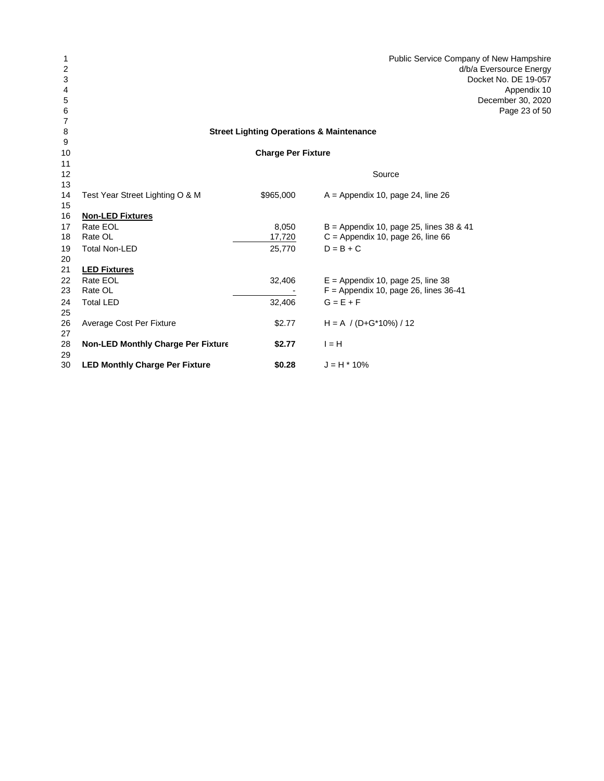| 1        |                                           |                                                     | Public Service Company of New Hampshire |
|----------|-------------------------------------------|-----------------------------------------------------|-----------------------------------------|
| 2        |                                           |                                                     | d/b/a Eversource Energy                 |
| 3        |                                           |                                                     | Docket No. DE 19-057                    |
| 4        |                                           |                                                     | Appendix 10                             |
| 5        |                                           |                                                     | December 30, 2020                       |
| 6        |                                           |                                                     | Page 23 of 50                           |
| 7        |                                           |                                                     |                                         |
| 8        |                                           | <b>Street Lighting Operations &amp; Maintenance</b> |                                         |
| 9        |                                           |                                                     |                                         |
| 10       |                                           | <b>Charge Per Fixture</b>                           |                                         |
| 11       |                                           |                                                     |                                         |
| 12       |                                           |                                                     | Source                                  |
| 13<br>14 | Test Year Street Lighting O & M           | \$965,000                                           | $A =$ Appendix 10, page 24, line 26     |
| 15       |                                           |                                                     |                                         |
| 16       | <b>Non-LED Fixtures</b>                   |                                                     |                                         |
| 17       | Rate EOL                                  | 8,050                                               | B = Appendix 10, page 25, lines 38 & 41 |
| 18       | Rate OL                                   | 17,720                                              | $C =$ Appendix 10, page 26, line 66     |
| 19       | <b>Total Non-LED</b>                      | 25,770                                              | $D = B + C$                             |
| 20       |                                           |                                                     |                                         |
| 21       | <b>LED Fixtures</b>                       |                                                     |                                         |
| 22       | Rate EOL                                  | 32,406                                              | $E =$ Appendix 10, page 25, line 38     |
| 23       | Rate OL                                   |                                                     | $F =$ Appendix 10, page 26, lines 36-41 |
| 24       | <b>Total LED</b>                          | 32,406                                              | $G = E + F$                             |
| 25       |                                           |                                                     |                                         |
| 26       | Average Cost Per Fixture                  | \$2.77                                              | $H = A / (D + G^* 10\%) / 12$           |
| 27       |                                           |                                                     |                                         |
| 28       | <b>Non-LED Monthly Charge Per Fixture</b> | \$2.77                                              | $I = H$                                 |
| 29       |                                           |                                                     |                                         |
| 30       | <b>LED Monthly Charge Per Fixture</b>     | \$0.28                                              | $J = H * 10%$                           |
|          |                                           |                                                     |                                         |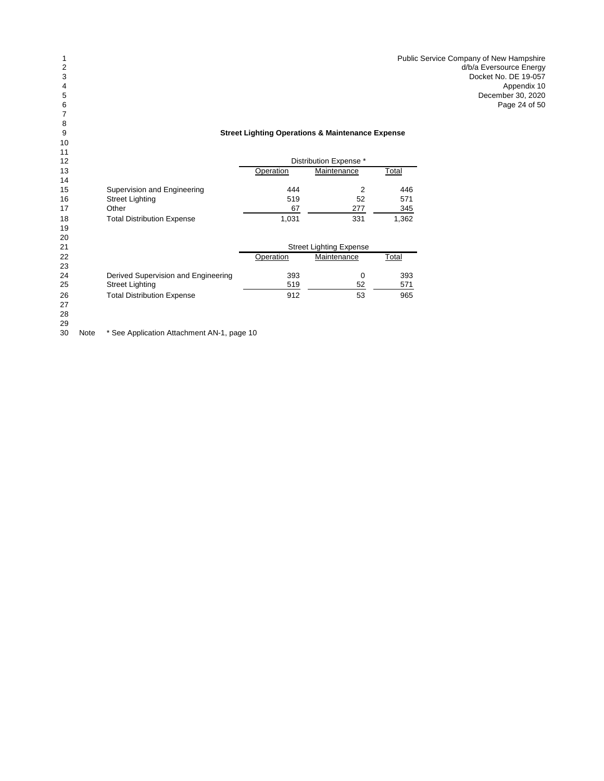Public Service Company of New Hampshire d/b/a Eversource Energy Docket No. DE 19-057<br>Appendix 10 4 Appendix 10 Appendix 10 Appendix 10 Appendix 10 Appendix 10 Appendix 10 Appendix 10 Appendix 10 Appendix 10 December 30, 2020 Page 24 of 50

## **Street Lighting Operations & Maintenance Expense**

| 11 |                                     |           |                                |       |
|----|-------------------------------------|-----------|--------------------------------|-------|
| 12 |                                     |           | Distribution Expense *         |       |
| 13 |                                     | Operation | Maintenance                    | Total |
| 14 |                                     |           |                                |       |
| 15 | Supervision and Engineering         | 444       | 2                              | 446   |
| 16 | <b>Street Lighting</b>              | 519       | 52                             | 571   |
| 17 | Other                               | 67        | 277                            | 345   |
| 18 | <b>Total Distribution Expense</b>   | 1,031     | 331                            | 1,362 |
| 19 |                                     |           |                                |       |
| 20 |                                     |           |                                |       |
| 21 |                                     |           | <b>Street Lighting Expense</b> |       |
| 22 |                                     | Operation | Maintenance                    | Total |
| 23 |                                     |           |                                |       |
| 24 | Derived Supervision and Engineering | 393       | $\Omega$                       | 393   |
| 25 | <b>Street Lighting</b>              | 519       | 52                             | 571   |
| 26 | <b>Total Distribution Expense</b>   | 912       | 53                             | 965   |
| 27 |                                     |           |                                |       |
| 28 |                                     |           |                                |       |
| 29 |                                     |           |                                |       |
|    |                                     |           |                                |       |

30 Note \* See Application Attachment AN-1, page 10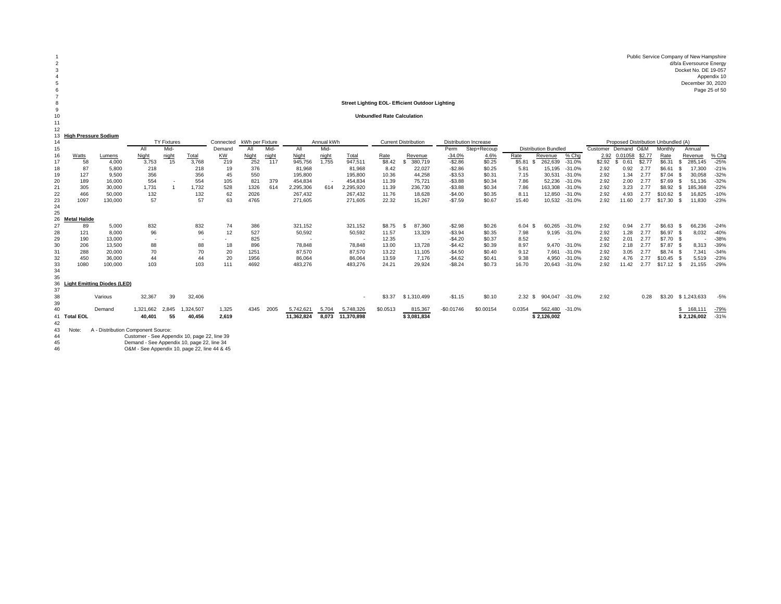Public Service Company of New Hampshire d/b/a Eversource Energy Docket No. DE 19-057 Appendix 10 December 30, 2020 Page 25 of 50

#### **Street Lighting EOL- Efficient Outdoor Lighting**

#### **Unbundled Rate Calculation**

| High Proccuro Sodium |  |  |  |
|----------------------|--|--|--|

 $\prime$ 

12

|           |                     | <b>High Pressure Sodium</b>        |                                              |                    |              |           |                 |       |            |            |                          |          |                             |                |                              |                   |                             |          |                     |            |        |                                     |                 |         |
|-----------|---------------------|------------------------------------|----------------------------------------------|--------------------|--------------|-----------|-----------------|-------|------------|------------|--------------------------|----------|-----------------------------|----------------|------------------------------|-------------------|-----------------------------|----------|---------------------|------------|--------|-------------------------------------|-----------------|---------|
| 14        |                     |                                    |                                              | <b>TY Fixtures</b> |              | Connected | kWh per Fixture |       |            | Annual kWh |                          |          | <b>Current Distribution</b> |                | <b>Distribution Increase</b> |                   |                             |          |                     |            |        | Proposed Distribution Unbundled (A) |                 |         |
| 15        |                     |                                    | All                                          | Mid-               |              | Demand    | All             | Mid-  | All        | Mid-       |                          |          |                             | Perm           | Step+Recoup                  |                   | <b>Distribution Bundled</b> |          | Customer Demand O&M |            |        | Monthly                             | Annual          |         |
| 16        | Watts               | Lumens                             | Night                                        | night              | <b>Total</b> | <b>KW</b> | <b>Night</b>    | night | Night      | night      | Total                    | Rate     | Revenue                     | $-34.0%$       | 4.6%                         | Rate              | Revenue                     | % Chg    | 2.92                | 0.01058    | \$2.77 | Rate                                | Revenue         | $%$ Chg |
| 17        | 58                  | 4,000                              | 3,753                                        | 15                 | 3,768        | 219       | 252             | 117   | 945,756    | 1.755      | 947,511                  | \$8.42   | 380.719                     | $-$2.86$       | \$0.25                       | \$5.81            | 262.639                     | $-31.0%$ | \$2.92              | 0.61<br>£. | \$2.77 | \$6.31                              | 285,145<br>S.   | $-25%$  |
| 18        | 87                  | 5,800                              | 218                                          |                    | 218          | 19        | 376             |       | 81,968     |            | 81,968                   | 8.42     | 22,027                      | $-$2.86$       | \$0.25                       | 5.81              | 15.195                      | $-31.0%$ | 2.92                | 0.92       | 2.77   | \$6.61                              | 17,300<br>- \$  | $-21%$  |
| 19        | 127                 | 9,500                              | 356                                          |                    | 356          | 45        | 550             |       | 195,800    |            | 195,800                  | 10.36    | 44,258                      | $-$3.53$       | \$0.31                       | 7.15              | 30,531                      | $-31.0%$ | 2.92                | 1.34       | 2.77   | \$7.04                              | 30,058<br>- \$  | $-32%$  |
| 20        | 189                 | 16,000                             | 554                                          |                    | 554          | 105       | 821             | 379   | 454,834    |            | 454,834                  | 11.39    | 75.721                      | $-$3.88$       | \$0.34                       | 7.86              | 52.236                      | $-31.0%$ | 2.92                | 2.00       | 2.77   | \$7.69                              | 51.136<br>- \$  | $-32%$  |
| 21        | 305                 | 30,000                             | 1,731                                        |                    | 1,732        | 528       | 1326            | 614   | 2,295,306  | 614        | 2,295,920                | 11.39    | 236.730                     | $-$3.88$       | \$0.34                       | 7.86              | 163.308                     | $-31.0%$ | 2.92                | 3.23       | 2.77   | \$8.92                              | 185.368<br>- \$ | $-22%$  |
| 22        | 466                 | 50,000                             | 132                                          |                    | 132          | 62        | 2026            |       | 267,432    |            | 267,432                  | 11.76    | 18,628                      | $-$4.00$       | \$0.35                       | 8.11              | 12.850                      | $-31.0%$ | 2.92                | 4.93       |        | \$10.62                             | 16,825<br>- \$  | $-10%$  |
| 23        | 1097                | 130,000                            | 57                                           |                    | 57           | 63        | 4765            |       | 271,605    |            | 271,605                  | 22.32    | 15,267                      | $-$7.59$       | \$0.67                       | 15.40             | 10,532                      | $-31.0%$ | 2.92                | 11.60      | 2.77   | \$17.30                             | 11,830<br>- \$  | $-23%$  |
| 24        |                     |                                    |                                              |                    |              |           |                 |       |            |            |                          |          |                             |                |                              |                   |                             |          |                     |            |        |                                     |                 |         |
| 25        |                     |                                    |                                              |                    |              |           |                 |       |            |            |                          |          |                             |                |                              |                   |                             |          |                     |            |        |                                     |                 |         |
| 26        | <b>Metal Halide</b> |                                    |                                              |                    |              |           |                 |       |            |            |                          |          |                             |                |                              |                   |                             |          |                     |            |        |                                     |                 |         |
| 27        | 89                  | 5,000                              | 832                                          |                    | 832          | 74        | 386             |       | 321,152    |            | 321,152                  | \$8.75   | 87,360                      | $-$2.98$       | \$0.26                       | $6.04$ \$         | 60.265                      | $-31.0%$ | 2.92                | 0.94       | 2.77   | \$6.63                              | 66.236<br>- \$  | $-24%$  |
| 28        | 121                 | 8.000                              | 96                                           |                    | 96           | 12        | 527             |       | 50,592     |            | 50,592                   | 11.57    | 13,329                      | $-$3.94$       | \$0.35                       | 7.98              | 9,195                       | $-31.0%$ | 2.92                | 1.28       | 2.77   | \$6.97                              | 8,032<br>- \$   | $-40%$  |
| 29        | 190                 | 13,000                             | $\sim$                                       |                    |              |           | 825             |       |            |            | $\overline{\phantom{a}}$ | 12.35    |                             | $-$4.20$<br>۰. | \$0.37                       | 8.52              |                             |          | 2.92                | 2.01       | 2.77   | \$7.70                              | - 9             | $-38%$  |
| 30        | 206                 | 13,500                             | 88                                           |                    | 88           | 18        | 896             |       | 78,848     |            | 78.848                   | 13.00    | 13.728                      | $-$4.42$       | \$0.39                       | 8.97              | 9.470                       | $-31.0%$ | 2.92                | 2.18       | 2.77   | \$7.87                              | 8.313           | $-39%$  |
| 31        | 288                 | 20,000                             | 70                                           |                    | 70           | 20        | 1251            |       | 87,570     |            | 87,570                   | 13.22    | 11.105                      | $-$4.50$       | \$0.40                       | 9.12              | 7.661                       | $-31.0%$ | 2.92                | 3.05       | 2.77   | \$8.74 \$                           | 7,341           | $-34%$  |
| 32        | 450                 | 36,000                             | 44                                           |                    | 44           | 20        | 1956            |       | 86,064     |            | 86,064                   | 13.59    | 7.176                       | $-$4.62$       | \$0.41                       | 9.38              | 4.950                       | $-31.0%$ | 2.92                | 4.76       | 2.77   | \$10.45                             | 5,519<br>- 9    | $-23%$  |
| 33        | 1080                | 100,000                            | 103                                          |                    | 103          | 111       | 4692            |       | 483,276    |            | 483,276                  | 24.21    | 29,924                      | $-$8.24$       | \$0.73                       | 16.70             | 20,643                      | $-31.0%$ | 2.92                | 11.42      |        | \$17.12                             | 21.155<br>- \$  | $-29%$  |
| 34        |                     |                                    |                                              |                    |              |           |                 |       |            |            |                          |          |                             |                |                              |                   |                             |          |                     |            |        |                                     |                 |         |
| 35        |                     |                                    |                                              |                    |              |           |                 |       |            |            |                          |          |                             |                |                              |                   |                             |          |                     |            |        |                                     |                 |         |
| 36        |                     | <b>Light Emitting Diodes (LED)</b> |                                              |                    |              |           |                 |       |            |            |                          |          |                             |                |                              |                   |                             |          |                     |            |        |                                     |                 |         |
| 37        |                     |                                    |                                              |                    |              |           |                 |       |            |            |                          |          |                             |                |                              |                   |                             |          |                     |            |        |                                     |                 |         |
| 38        |                     | Various                            | 32,367                                       | 39                 | 32,406       |           |                 |       |            |            | $\overline{\phantom{a}}$ | \$3.37   | \$1,310,499                 | $-$1.15$       | \$0.10                       | $2.32 \text{ } $$ | 904.047                     | $-31.0%$ | 2.92                |            | 0.28   | \$3.20                              | \$1,243,633     | $-5%$   |
| 39        |                     |                                    |                                              |                    |              |           |                 |       |            |            |                          |          |                             |                |                              |                   |                             |          |                     |            |        |                                     |                 |         |
| 40        |                     | Demand                             | 1.321.662                                    | 2.845              | ,324,507     | 1,325     | 4345            | 2005  | 5,742,621  | 5,704      | 5,748,326                | \$0.0513 | 815,367                     | $-$0.01746$    | \$0.00154                    | 0.0354            | 562,480                     | $-31.0%$ |                     |            |        |                                     | 168,111<br>\$   | $-79%$  |
|           | 41 Total EOL        |                                    | 40,401                                       | 55                 | 40,456       | 2,619     |                 |       | 11,362,824 | 8.073      | 11,370,898               |          | \$3,081,834                 |                |                              |                   | \$2,126,002                 |          |                     |            |        |                                     | \$2,126,002     | $-31%$  |
| 42        |                     |                                    |                                              |                    |              |           |                 |       |            |            |                          |          |                             |                |                              |                   |                             |          |                     |            |        |                                     |                 |         |
| 43        | Note:               | A - Distribution Component Source: |                                              |                    |              |           |                 |       |            |            |                          |          |                             |                |                              |                   |                             |          |                     |            |        |                                     |                 |         |
| $\Lambda$ |                     |                                    | Customer - See Annendiv 10, nage 22, line 30 |                    |              |           |                 |       |            |            |                          |          |                             |                |                              |                   |                             |          |                     |            |        |                                     |                 |         |

Customer - See Appendix 10, page 22, line 39 45 Demand - See Appendix 10, page 22, line 34 46 O&M - See Appendix 10, page 22, line 44 & 45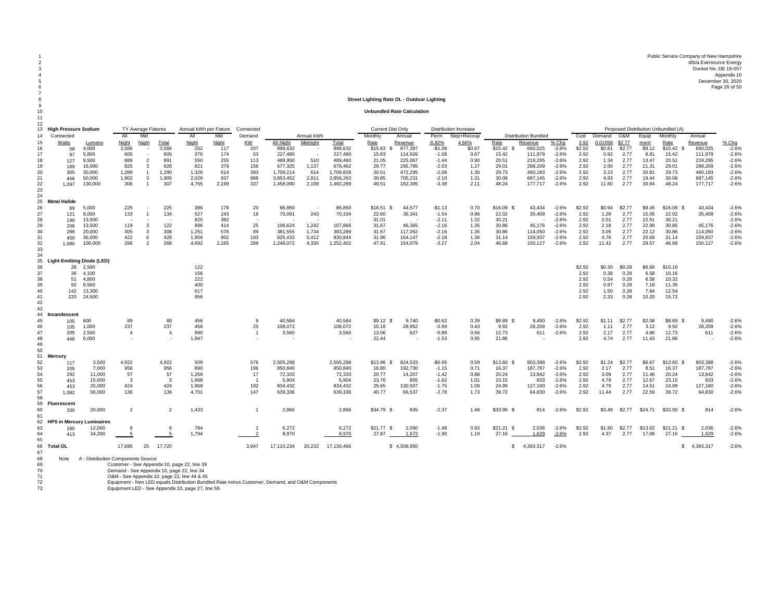1 Public Service Company of New Hampshire<br>2 d/b/a Eversource Energy of New Hampshire<br>2 Docket No. DE 19-057 4 Appendix 10 5 December 30, 2020 6 Page 26 of 50 Page 26 of 50 Page 26 of 50 Page 26 of 50 Page 26 of 50 Page 26 of 50 Page 26 of 50 Page 26 of 50 Page 26 of 50 Page 26 of 50 Page 26 of 50 Page 26 of 50 Page 26 of 50 Page 26 of 50 Page 26 of 50 Page 26 of

#### 8 **Street Lighting Rate OL - Outdoor Lighting**

10 **Unbundled Rate Calculation**

| -11<br>12                                                |                                                                       |                                                                                           |                                                                     |                                                                                          |                                                              |                                                                                                                                                                                                  |                                                          |                                                    |                                                                                                               |                                                   |                                                                                          |                                                                             |                                                                                      |                                                                                        |                                                                 |                                                                         |                                                                                      |                                                                                    |                                                                |                                                                    |                                                                  |                                                                     |                                                                           |                                                                                      |                                                                                    |
|----------------------------------------------------------|-----------------------------------------------------------------------|-------------------------------------------------------------------------------------------|---------------------------------------------------------------------|------------------------------------------------------------------------------------------|--------------------------------------------------------------|--------------------------------------------------------------------------------------------------------------------------------------------------------------------------------------------------|----------------------------------------------------------|----------------------------------------------------|---------------------------------------------------------------------------------------------------------------|---------------------------------------------------|------------------------------------------------------------------------------------------|-----------------------------------------------------------------------------|--------------------------------------------------------------------------------------|----------------------------------------------------------------------------------------|-----------------------------------------------------------------|-------------------------------------------------------------------------|--------------------------------------------------------------------------------------|------------------------------------------------------------------------------------|----------------------------------------------------------------|--------------------------------------------------------------------|------------------------------------------------------------------|---------------------------------------------------------------------|---------------------------------------------------------------------------|--------------------------------------------------------------------------------------|------------------------------------------------------------------------------------|
| 13<br>14                                                 | <b>High Pressure Sodium</b><br>Connected                              |                                                                                           | <b>TY Average Fixtures</b><br>All                                   | Mic                                                                                      |                                                              | Annual kWh per Fixture<br>Al                                                                                                                                                                     | Mid                                                      | Connected<br>Demand                                |                                                                                                               | Annual kWh                                        |                                                                                          | <b>Current Dist Only</b><br>Monthly                                         | Annual                                                                               | Perm                                                                                   | <b>Distribution Increase</b><br>Step+Recoup                     |                                                                         | <b>Distribution Bundled</b>                                                          |                                                                                    | Cust                                                           | Demand                                                             | O&M                                                              | Equip                                                               | Proposed Distribution Unbundled (A)<br>Monthly                            | Annual                                                                               |                                                                                    |
| 15<br>16<br>17<br>18<br>19<br>20<br>21<br>22<br>23<br>24 | <b>Watts</b><br>58<br>87<br>127<br>189<br>305<br>466<br>1.097         | Lumens<br>4,000<br>5,800<br>9.500<br>16,000<br>30,000<br>50,000<br>130,000                | <b>Night</b><br>3,566<br>605<br>889<br>825<br>1,289<br>1,902<br>306 | Night<br>$\sim$<br>$\sim$<br>$\overline{2}$<br>3<br>$\overline{1}$<br>-3<br>$\mathbf{1}$ | Total<br>3,566<br>605<br>891<br>828<br>1,290<br>1,905<br>307 | Night<br>252<br>376<br>550<br>821<br>1,326<br>2,026<br>4,765                                                                                                                                     | Night<br>117<br>174<br>255<br>379<br>614<br>937<br>2,199 | KW<br>207<br>53<br>113<br>156<br>393<br>888<br>337 | All Night<br>898,632<br>227,480<br>488.950<br>677,325<br>1,709,214<br>3,853,452<br>1,458,090                  | Midnight<br>510<br>1,137<br>614<br>2,811<br>2,199 | Total<br>898,632<br>227,480<br>489,460<br>678,462<br>1,709,828<br>3,856,263<br>1,460,289 | Rate<br>\$15.83<br>S.<br>15.83<br>21.05<br>29.77<br>30.51<br>30.85<br>49.51 | Revenue<br>677,397<br>114,926<br>225,067<br>295,795<br>472,295<br>705,231<br>182,395 | $-6.82%$<br>$-$1.08$<br>$-1.08$<br>$-1.44$<br>$-2.03$<br>$-2.08$<br>$-2.10$<br>$-3.38$ | 4.56%<br>\$0.67<br>0.67<br>0.90<br>1.27<br>1.30<br>1.31<br>2.11 | Rate<br>\$15.42\$<br>15.42<br>20.51<br>29.01<br>29.73<br>30.06<br>48.24 | Revenue<br>660,025<br>111,979<br>219,295<br>288,209<br>460,183<br>687,145<br>177,717 | % Chq<br>$-2.6%$<br>$-2.6%$<br>$-2.6%$<br>$-2.6%$<br>$-2.6%$<br>$-2.6%$<br>$-2.6%$ | 2.92<br>\$2.92<br>2.92<br>2.92<br>2.92<br>2.92<br>2.92<br>2.92 | 0.01058<br>\$0.61<br>0.92<br>1.34<br>2.00<br>3.23<br>4.93<br>11.60 | \$2.77<br>\$2.77<br>2.77<br>2.77<br>2.77<br>2.77<br>2.77<br>2.77 | ment<br>\$9.12<br>8.81<br>13.47<br>21.31<br>20.81<br>19.44<br>30.94 | Rate<br>$$15.42$ \$<br>15.42<br>20.51<br>29.01<br>29.73<br>30.06<br>48.24 | Revenue<br>660,025<br>111,979<br>219,295<br>288,209<br>460,183<br>687,145<br>177,717 | % Chg<br>$-2.6%$<br>$-2.6%$<br>$-2.6%$<br>$-2.6%$<br>$-2.6%$<br>$-2.6%$<br>$-2.6%$ |
| 25<br>26<br>27<br>28<br>29<br>30<br>31<br>32<br>33       | <b>Metal Halide</b><br>89<br>121<br>190<br>206<br>288<br>450<br>1,080 | 5,000<br>8,000<br>13,000<br>13,500<br>20,000<br>36,000<br>100,000                         | 225<br>133<br>$\overline{\phantom{a}}$<br>119<br>305<br>422<br>266  | $\overline{1}$<br>$\overline{\phantom{a}}$<br>3<br>3<br>6<br>$\overline{2}$              | 225<br>134<br>122<br>308<br>428<br>268                       | 386<br>527<br>825<br>896<br>1,251<br>1,956<br>4.692                                                                                                                                              | 178<br>243<br>382<br>414<br>578<br>902<br>2,165          | 20<br>16<br>25<br>89<br>193<br>289                 | 86,850<br>70,091<br>106,624<br>381,555<br>825,432<br>1,248,072                                                | 243<br>1,242<br>1,734<br>5,412<br>4,330           | 86,850<br>70,334<br>107,866<br>383,289<br>830,844<br>1,252,402                           | $$16.51$ \$<br>22.60<br>31.01<br>31.67<br>31.67<br>31.96<br>47.91           | 44,577<br>36,341<br>46,365<br>117,052<br>164,147<br>154,079                          | $-$1.13$<br>$-1.54$<br>$-2.11$<br>$-2.16$<br>$-2.16$<br>$-2.18$<br>$-3.27$             | 0.70<br>0.96<br>1.32<br>1.35<br>1.35<br>1.36<br>2.04            | \$16.09 \$<br>22.02<br>30.21<br>30.86<br>30.86<br>31.14<br>46.68        | 43,434<br>35,409<br>45,176<br>114,050<br>159,937<br>150,127                          | $-2.6%$<br>$-2.6%$<br>$-2.6%$<br>$-2.6%$<br>$-2.6%$<br>$-2.6%$<br>$-2.6%$          | \$2.92<br>2.92<br>2.92<br>2.92<br>2.92<br>2.92<br>2.92         | \$0.94<br>1.28<br>2.01<br>2.18<br>3.05<br>4.76<br>11.42            | \$2.77<br>2.77<br>2.77<br>2.77<br>2.77<br>2.77<br>2.77           | \$9.45<br>15.05<br>22.51<br>22.99<br>22.12<br>20.69<br>29.57        | \$16.09 \$<br>22.02<br>30.21<br>30.86<br>30.86<br>31.14<br>46.68          | 43.434<br>35,409<br>45,176<br>114,050<br>159,937<br>150,127                          | $-2.6%$<br>$-2.6%$<br>$-2.6%$<br>$-2.6%$<br>$-2.6%$<br>$-2.6%$<br>$-2.6%$          |
| 34<br>35<br>36<br>37<br>38<br>39<br>40<br>41<br>42<br>43 | 28<br>36<br>51<br>92<br>142<br>220                                    | <b>Light-Emitting Diode (LED)</b><br>2,500<br>4.100<br>4.800<br>8,500<br>13,300<br>24,500 |                                                                     |                                                                                          |                                                              | 122<br>156<br>222<br>400<br>617<br>956                                                                                                                                                           |                                                          |                                                    |                                                                                                               |                                                   |                                                                                          |                                                                             |                                                                                      |                                                                                        |                                                                 |                                                                         |                                                                                      |                                                                                    | \$2.92<br>2.92<br>2.92<br>2.92<br>2.92<br>2.92                 | \$0.30<br>0.38<br>0.54<br>0.97<br>1.50<br>2.33                     | \$0.28<br>0.28<br>0.28<br>0.28<br>0.28<br>0.28                   | \$6.69<br>6.58<br>6.58<br>7.18<br>7.84<br>10.20                     | \$10.18<br>10.16<br>10.32<br>11.35<br>12.54<br>15.72                      |                                                                                      |                                                                                    |
| 44<br>45<br>46<br>47<br>48<br>49                         | Incandescent<br>105<br>105<br>205<br>448                              | 600<br>1,000<br>2,500<br>6,000                                                            | 89<br>237<br>$\overline{4}$                                         |                                                                                          | 89<br>237<br>4                                               | 456<br>456<br>890<br>1,947                                                                                                                                                                       |                                                          | 9<br>25<br>$\overline{1}$                          | 40.584<br>108,072<br>3,560                                                                                    |                                                   | 40.584<br>108,072<br>3,560                                                               | $$9.12$ \$<br>10.18<br>13.06<br>22.44                                       | 9.740<br>28,952<br>627                                                               | $-$0.62$<br>$-0.69$<br>$-0.89$<br>$-1.53$                                              | 0.39<br>0.43<br>0.56<br>0.95                                    | \$8.89 \$<br>9.92<br>12.73<br>21.86                                     | 9.490<br>28,209<br>611                                                               | $-2.6%$<br>$-2.6%$<br>$-2.6%$                                                      | \$2.92<br>2.92<br>2.92<br>2.92                                 | \$1.11<br>1.11<br>2.17<br>4.74                                     | \$2.77<br>2.77<br>2.77<br>2.77                                   | \$2.08<br>3.12<br>4.86<br>11.43                                     | \$8.89 \$<br>9.92<br>12.73<br>21.86                                       | 9.490<br>28,209<br>611                                                               | $-2.6%$<br>$-2.6%$<br>$-2.6%$<br>$-2.6%$                                           |
| 50<br>51<br>52<br>53<br>54<br>55<br>56<br>57<br>58       | Mercury<br>117<br>205<br>292<br>453<br>453<br>1,082                   | 3,500<br>7,000<br>11,000<br>15,000<br>20,000<br>56,000                                    | 4,922<br>956<br>57<br>$\mathbf{3}$<br>424<br>136                    |                                                                                          | 4,922<br>956<br>57<br>$\mathbf{3}$<br>424<br>136             | 509<br>890<br>1,269<br>1.968<br>1.968<br>4.701                                                                                                                                                   |                                                          | 576<br>196<br>17<br>$\overline{1}$<br>192<br>147   | 2,505,298<br>850,840<br>72,333<br>5,904<br>834.432<br>639,336                                                 |                                                   | 2,505,298<br>850.840<br>72,333<br>5,904<br>834,432<br>639,336                            | $$13.96$ \$<br>16.80<br>20.77<br>23.76<br>25.65<br>40.77                    | 824,533<br>192,730<br>14,207<br>855<br>130,507<br>66.537                             | $-$0.95$<br>$-1.15$<br>$-1.42$<br>$-1.62$<br>$-1.75$<br>$-2.78$                        | 0.59<br>0.71<br>0.88<br>1.01<br>1.09<br>1.73                    | \$13.60\$<br>16.37<br>20.24<br>23.15<br>24.99<br>39.72                  | 803,388<br>187.787<br>13,842<br>833<br>127,160<br>64.830                             | $-2.6%$<br>$-2.6%$<br>$-2.6%$<br>$-2.6%$<br>$-2.6%$<br>$-2.6%$                     | \$2.92<br>2.92<br>2.92<br>2.92<br>2.92<br>2.92                 | \$1.24<br>2.17<br>3.09<br>4.79<br>4.79<br>11.44                    | \$2.77<br>2.77<br>2.77<br>2.77<br>2.77<br>2.77                   | \$6.67<br>8.51<br>11.46<br>12.67<br>14.51<br>22.59                  | $$13.60$ \$<br>16.37<br>20.24<br>23.15<br>24.99<br>39.72                  | 803,388<br>187.787<br>13,842<br>833<br>127,160<br>64.830                             | $-2.6%$<br>$-2.6%$<br>$-2.6%$<br>$-2.6%$<br>$-2.6%$<br>$-2.6%$                     |
| 59<br>60<br>61                                           | Fluorescent<br>330                                                    | 20,000                                                                                    | $\overline{2}$                                                      |                                                                                          | 2                                                            | 1,433                                                                                                                                                                                            |                                                          | -1                                                 | 2,866                                                                                                         |                                                   | 2,866                                                                                    | $$34.79$ \$                                                                 | 835                                                                                  | $-2.37$                                                                                | 1.48                                                            | \$33.90 \$                                                              | 814                                                                                  | $-2.6%$                                                                            | \$2.92                                                         | \$3.49                                                             | \$2.77                                                           | \$24.71                                                             | \$33.90 \$                                                                | 814                                                                                  | $-2.6%$                                                                            |
| 62<br>63<br>64<br>65                                     | <b>HPS in Mercury</b><br>180<br>413                                   | Luminaires<br>12,000<br>34,200                                                            | 8<br>-5                                                             |                                                                                          | $\mathbf{R}$<br>-5                                           | 784<br>1,794                                                                                                                                                                                     |                                                          | $\overline{2}$                                     | 6,272<br>8,970                                                                                                |                                                   | 6,272<br>8,970                                                                           | $$21.77$ \$<br>27.87                                                        | 2,090<br>1,672                                                                       | $-1.48$<br>$-1.90$                                                                     | 0.93<br>1.19                                                    | $$21.21$ \$<br>27.16                                                    | 2,036<br>1,629                                                                       | $-2.6%$<br>$-2.6%$                                                                 | \$2.92<br>2.92                                                 | \$1.90<br>4.37                                                     | \$2.77<br>2.77                                                   | \$13.62<br>17.09                                                    | $$21.21$ \$<br>27.16                                                      | 2,036<br>1,629                                                                       | $-2.6%$<br>$-2.6%$                                                                 |
| 66<br>67<br>68<br>69<br>70<br>71<br>72<br>73             | <b>Total OL</b><br>Note                                               | A - Distribution Components Source:                                                       | 17,695                                                              | 25                                                                                       | 17,720                                                       | Customer - See Appendix 10, page 22, line 39<br>Demand - See Appendix 10, page 22, line 34<br>O&M - See Appendix 10, page 22, line 44 & 45<br>Equipment LED - See Appendix 10, page 27, line 59. |                                                          | 3,947                                              | 17,110,234<br>Equipment - Non LED equals Distribution Bundled Rate minus Customer, Demand, and O&M Components | 20,232                                            | 17,130,466                                                                               |                                                                             | \$4,508,950                                                                          |                                                                                        |                                                                 | S.                                                                      | 4,393,317                                                                            | $-2.6%$                                                                            |                                                                |                                                                    |                                                                  |                                                                     |                                                                           | 4,393,317<br>s.                                                                      | $-2.6%$                                                                            |

 $\overline{r}$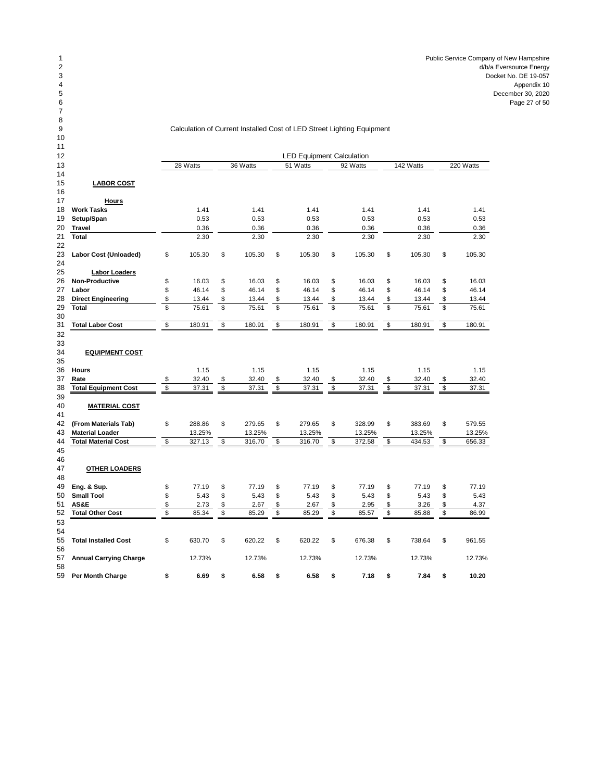## Calculation of Current Installed Cost of LED Street Lighting Equipment

| 11             |  |  |
|----------------|--|--|
| 12             |  |  |
| 13             |  |  |
| $\overline{1}$ |  |  |

| 12 |                               | <b>LED Equipment Calculation</b> |          |                         |          |                          |          |                          |          |    |           |                         |           |  |  |
|----|-------------------------------|----------------------------------|----------|-------------------------|----------|--------------------------|----------|--------------------------|----------|----|-----------|-------------------------|-----------|--|--|
| 13 |                               |                                  | 28 Watts |                         | 36 Watts |                          | 51 Watts |                          | 92 Watts |    | 142 Watts |                         | 220 Watts |  |  |
| 14 |                               |                                  |          |                         |          |                          |          |                          |          |    |           |                         |           |  |  |
| 15 | <b>LABOR COST</b>             |                                  |          |                         |          |                          |          |                          |          |    |           |                         |           |  |  |
| 16 |                               |                                  |          |                         |          |                          |          |                          |          |    |           |                         |           |  |  |
| 17 | <b>Hours</b>                  |                                  |          |                         |          |                          |          |                          |          |    |           |                         |           |  |  |
| 18 | <b>Work Tasks</b>             |                                  | 1.41     |                         | 1.41     |                          | 1.41     |                          | 1.41     |    | 1.41      |                         | 1.41      |  |  |
| 19 | Setup/Span                    |                                  | 0.53     |                         | 0.53     |                          | 0.53     |                          | 0.53     |    | 0.53      |                         | 0.53      |  |  |
| 20 | <b>Travel</b>                 |                                  | 0.36     |                         | 0.36     |                          | 0.36     |                          | 0.36     |    | 0.36      |                         | 0.36      |  |  |
| 21 | <b>Total</b>                  |                                  | 2.30     |                         | 2.30     |                          | 2.30     |                          | 2.30     |    | 2.30      |                         | 2.30      |  |  |
| 22 |                               |                                  |          |                         |          |                          |          |                          |          |    |           |                         |           |  |  |
| 23 | Labor Cost (Unloaded)         | \$                               | 105.30   | \$                      | 105.30   | \$                       | 105.30   | \$                       | 105.30   | \$ | 105.30    | \$                      | 105.30    |  |  |
| 24 |                               |                                  |          |                         |          |                          |          |                          |          |    |           |                         |           |  |  |
| 25 | <b>Labor Loaders</b>          |                                  |          |                         |          |                          |          |                          |          |    |           |                         |           |  |  |
| 26 | Non-Productive                | \$                               | 16.03    | \$                      | 16.03    | \$                       | 16.03    | \$                       | 16.03    | \$ | 16.03     | \$                      | 16.03     |  |  |
| 27 | Labor                         | \$                               | 46.14    | \$                      | 46.14    | \$                       | 46.14    | \$                       | 46.14    | \$ | 46.14     | \$                      | 46.14     |  |  |
| 28 | <b>Direct Engineering</b>     | \$                               | 13.44    | \$                      | 13.44    | \$                       | 13.44    | \$                       | 13.44    | \$ | 13.44     | \$                      | 13.44     |  |  |
| 29 | Total                         | $\overline{\mathbb{S}}$          | 75.61    | $\overline{\mathbb{S}}$ | 75.61    | $\overline{\mathcal{S}}$ | 75.61    | $\overline{\mathcal{S}}$ | 75.61    | \$ | 75.61     | $\overline{\mathbb{S}}$ | 75.61     |  |  |
| 30 |                               |                                  |          |                         |          |                          |          |                          |          |    |           |                         |           |  |  |
| 31 | <b>Total Labor Cost</b>       | \$                               | 180.91   | \$                      | 180.91   | \$                       | 180.91   | \$                       | 180.91   | \$ | 180.91    | \$                      | 180.91    |  |  |
| 32 |                               |                                  |          |                         |          |                          |          |                          |          |    |           |                         |           |  |  |
| 33 |                               |                                  |          |                         |          |                          |          |                          |          |    |           |                         |           |  |  |
| 34 | <b>EQUIPMENT COST</b>         |                                  |          |                         |          |                          |          |                          |          |    |           |                         |           |  |  |
| 35 |                               |                                  |          |                         |          |                          |          |                          |          |    |           |                         |           |  |  |
| 36 | <b>Hours</b>                  |                                  | 1.15     |                         | 1.15     |                          | 1.15     |                          | 1.15     |    | 1.15      |                         | 1.15      |  |  |
| 37 | Rate                          | \$                               | 32.40    | \$                      | 32.40    | \$                       | 32.40    | \$                       | 32.40    | \$ | 32.40     | \$                      | 32.40     |  |  |
| 38 | <b>Total Equipment Cost</b>   | \$                               | 37.31    | $\overline{\mathbb{S}}$ | 37.31    | $\mathbf{\$}$            | 37.31    | \$                       | 37.31    | \$ | 37.31     | $\overline{\mathbb{S}}$ | 37.31     |  |  |
| 39 |                               |                                  |          |                         |          |                          |          |                          |          |    |           |                         |           |  |  |
| 40 | <b>MATERIAL COST</b>          |                                  |          |                         |          |                          |          |                          |          |    |           |                         |           |  |  |
| 41 |                               |                                  |          |                         |          |                          |          |                          |          |    |           |                         |           |  |  |
| 42 | (From Materials Tab)          | \$                               | 288.86   | \$                      | 279.65   | \$                       | 279.65   | \$                       | 328.99   | \$ | 383.69    | \$                      | 579.55    |  |  |
| 43 | <b>Material Loader</b>        |                                  | 13.25%   |                         | 13.25%   |                          | 13.25%   |                          | 13.25%   |    | 13.25%    |                         | 13.25%    |  |  |
| 44 | <b>Total Material Cost</b>    | \$                               | 327.13   | \$                      | 316.70   | \$                       | 316.70   | \$                       | 372.58   | \$ | 434.53    | \$                      | 656.33    |  |  |
| 45 |                               |                                  |          |                         |          |                          |          |                          |          |    |           |                         |           |  |  |
| 46 |                               |                                  |          |                         |          |                          |          |                          |          |    |           |                         |           |  |  |
| 47 | <b>OTHER LOADERS</b>          |                                  |          |                         |          |                          |          |                          |          |    |           |                         |           |  |  |
| 48 |                               |                                  |          |                         |          |                          |          |                          |          |    |           |                         |           |  |  |
| 49 | Eng. & Sup.                   | \$                               | 77.19    | \$                      | 77.19    | \$                       | 77.19    | \$                       | 77.19    | \$ | 77.19     | \$                      | 77.19     |  |  |
| 50 | <b>Small Tool</b>             | \$                               | 5.43     | \$                      | 5.43     | \$                       | 5.43     | \$                       | 5.43     | \$ | 5.43      | \$                      | 5.43      |  |  |
| 51 | AS&E                          | \$                               | 2.73     | \$                      | 2.67     | \$                       | 2.67     | \$                       | 2.95     | \$ | 3.26      | \$                      | 4.37      |  |  |
| 52 | <b>Total Other Cost</b>       | \$                               | 85.34    | \$                      | 85.29    | $\mathbf{\$}$            | 85.29    | \$                       | 85.57    | \$ | 85.88     | \$                      | 86.99     |  |  |
| 53 |                               |                                  |          |                         |          |                          |          |                          |          |    |           |                         |           |  |  |
| 54 |                               |                                  |          |                         |          |                          |          |                          |          |    |           |                         |           |  |  |
| 55 | <b>Total Installed Cost</b>   | \$                               | 630.70   | \$                      | 620.22   | \$                       | 620.22   | \$                       | 676.38   | \$ | 738.64    | \$                      | 961.55    |  |  |
| 56 |                               |                                  |          |                         |          |                          |          |                          |          |    |           |                         |           |  |  |
| 57 | <b>Annual Carrying Charge</b> |                                  | 12.73%   |                         | 12.73%   |                          | 12.73%   |                          | 12.73%   |    | 12.73%    |                         | 12.73%    |  |  |
| 58 |                               |                                  |          |                         |          |                          |          |                          |          |    |           |                         |           |  |  |
| 59 | <b>Per Month Charge</b>       | \$                               | 6.69     | \$                      | 6.58     | \$                       | 6.58     | \$                       | 7.18     | \$ | 7.84      | \$                      | 10.20     |  |  |
|    |                               |                                  |          |                         |          |                          |          |                          |          |    |           |                         |           |  |  |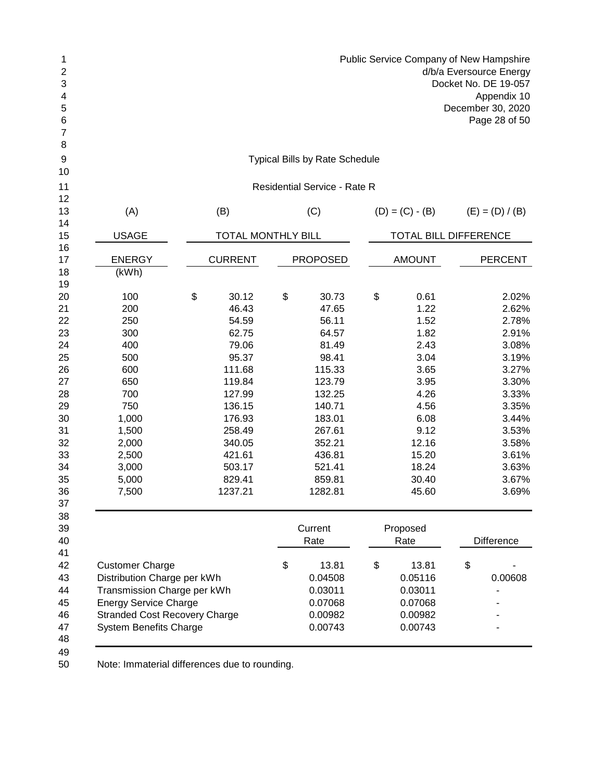| 1<br>$\boldsymbol{2}$<br>3<br>4<br>5<br>6<br>7 |                                      |                           |                                       | Public Service Company of New Hampshire | d/b/a Eversource Energy<br>Docket No. DE 19-057<br>Appendix 10<br>December 30, 2020<br>Page 28 of 50 |
|------------------------------------------------|--------------------------------------|---------------------------|---------------------------------------|-----------------------------------------|------------------------------------------------------------------------------------------------------|
| 8<br>9                                         |                                      |                           | <b>Typical Bills by Rate Schedule</b> |                                         |                                                                                                      |
| 10                                             |                                      |                           |                                       |                                         |                                                                                                      |
| 11<br>12                                       |                                      |                           | <b>Residential Service - Rate R</b>   |                                         |                                                                                                      |
| 13                                             | (A)                                  | (B)                       | (C)                                   | $(D) = (C) - (B)$                       | $(E) = (D) / (B)$                                                                                    |
| 14<br>15                                       | <b>USAGE</b>                         | <b>TOTAL MONTHLY BILL</b> |                                       | TOTAL BILL DIFFERENCE                   |                                                                                                      |
| 16                                             |                                      |                           |                                       |                                         |                                                                                                      |
| 17<br>18                                       | <b>ENERGY</b><br>(kWh)               | <b>CURRENT</b>            | <b>PROPOSED</b>                       | <b>AMOUNT</b>                           | <b>PERCENT</b>                                                                                       |
| 19                                             |                                      |                           |                                       |                                         |                                                                                                      |
| 20                                             | 100                                  | \$<br>30.12               | \$<br>30.73                           | \$<br>0.61                              | 2.02%                                                                                                |
| 21                                             | 200                                  | 46.43                     | 47.65                                 | 1.22                                    | 2.62%                                                                                                |
| 22                                             | 250                                  | 54.59                     | 56.11                                 | 1.52                                    | 2.78%                                                                                                |
| 23                                             | 300                                  | 62.75                     | 64.57                                 | 1.82                                    | 2.91%                                                                                                |
| 24                                             | 400                                  | 79.06                     | 81.49                                 | 2.43                                    | 3.08%                                                                                                |
| 25                                             | 500                                  | 95.37                     | 98.41                                 | 3.04                                    | 3.19%                                                                                                |
| 26                                             | 600                                  | 111.68                    | 115.33                                | 3.65                                    | 3.27%                                                                                                |
| 27                                             | 650                                  | 119.84                    | 123.79                                | 3.95                                    | 3.30%                                                                                                |
| 28                                             | 700                                  | 127.99                    | 132.25                                | 4.26                                    | 3.33%                                                                                                |
| 29                                             | 750                                  | 136.15                    | 140.71                                | 4.56                                    | 3.35%                                                                                                |
| 30                                             | 1,000                                | 176.93                    | 183.01                                | 6.08                                    | 3.44%                                                                                                |
| 31                                             | 1,500                                | 258.49                    | 267.61                                | 9.12                                    | 3.53%                                                                                                |
| 32                                             | 2,000                                | 340.05                    | 352.21                                | 12.16                                   | 3.58%                                                                                                |
| 33                                             | 2,500                                | 421.61                    | 436.81                                | 15.20                                   | 3.61%                                                                                                |
| 34                                             | 3,000                                | 503.17                    | 521.41                                | 18.24                                   | 3.63%                                                                                                |
| 35                                             | 5,000                                | 829.41                    | 859.81                                | 30.40                                   | 3.67%                                                                                                |
| 36                                             | 7,500                                | 1237.21                   | 1282.81                               | 45.60                                   | 3.69%                                                                                                |
| 37                                             |                                      |                           |                                       |                                         |                                                                                                      |
| 38<br>39<br>40                                 |                                      |                           | Current<br>Rate                       | Proposed<br>Rate                        | <b>Difference</b>                                                                                    |
| 41                                             |                                      |                           |                                       |                                         |                                                                                                      |
| 42                                             | <b>Customer Charge</b>               |                           | \$<br>13.81                           | \$<br>13.81                             | \$                                                                                                   |
| 43                                             | Distribution Charge per kWh          |                           | 0.04508                               | 0.05116                                 | 0.00608                                                                                              |
| 44                                             | Transmission Charge per kWh          |                           | 0.03011                               | 0.03011                                 |                                                                                                      |
| 45                                             | <b>Energy Service Charge</b>         |                           | 0.07068                               | 0.07068                                 |                                                                                                      |
| 46                                             | <b>Stranded Cost Recovery Charge</b> |                           | 0.00982                               | 0.00982                                 |                                                                                                      |
| 47                                             | <b>System Benefits Charge</b>        |                           | 0.00743                               | 0.00743                                 |                                                                                                      |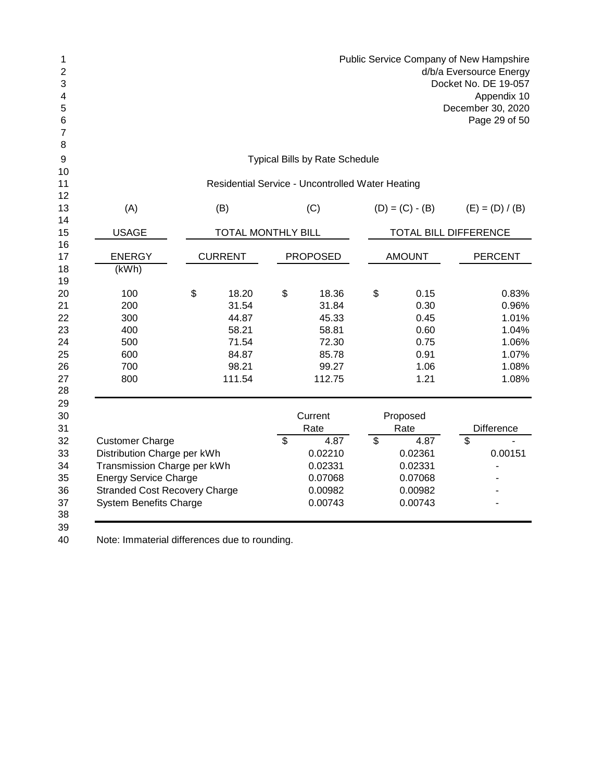|    | Public Service Company of New Hampshire |
|----|-----------------------------------------|
| 2  | d/b/a Eversource Energy                 |
| 3  | Docket No. DE 19-057                    |
| 4  | Appendix 10                             |
| 5. | December 30, 2020                       |
| 6  | Page 29 of 50                           |
|    |                                         |
| C  |                                         |

| <b>Typical Bills by Rate Schedule</b> |  |
|---------------------------------------|--|
|---------------------------------------|--|

## Residential Service - Uncontrolled Water Heating

| 12     |                                      |                           |                |                 |                              |                   |
|--------|--------------------------------------|---------------------------|----------------|-----------------|------------------------------|-------------------|
| 13     | (A)                                  | (B)                       |                | (C)             | $(D) = (C) - (B)$            | $(E) = (D) / (B)$ |
| 14     |                                      |                           |                |                 |                              |                   |
| 15     | <b>USAGE</b>                         | <b>TOTAL MONTHLY BILL</b> |                |                 | <b>TOTAL BILL DIFFERENCE</b> |                   |
| 16     |                                      |                           |                |                 |                              |                   |
| 17     | <b>ENERGY</b>                        | <b>CURRENT</b>            |                | <b>PROPOSED</b> | <b>AMOUNT</b>                | <b>PERCENT</b>    |
| 18     | (kWh)                                |                           |                |                 |                              |                   |
| 19     |                                      |                           |                |                 |                              |                   |
| 20     | 100                                  | \$<br>18.20               | \$             | 18.36           | \$<br>0.15                   | 0.83%             |
| 21     | 200                                  | 31.54                     |                | 31.84           | 0.30                         | 0.96%             |
| 22     | 300                                  | 44.87                     |                | 45.33           | 0.45                         | 1.01%             |
| 23     | 400                                  | 58.21                     |                | 58.81           | 0.60                         | 1.04%             |
| 24     | 500                                  | 71.54                     |                | 72.30           | 0.75                         | 1.06%             |
| 25     | 600                                  | 84.87                     |                | 85.78           | 0.91                         | 1.07%             |
| 26     | 700                                  | 98.21                     |                | 99.27           | 1.06                         | 1.08%             |
| 27     | 800                                  | 111.54                    |                | 112.75          | 1.21                         | 1.08%             |
| 28     |                                      |                           |                |                 |                              |                   |
| 29     |                                      |                           |                |                 |                              |                   |
| 30     |                                      |                           |                | Current         | Proposed                     |                   |
| 31     |                                      |                           |                | Rate            | Rate                         | <b>Difference</b> |
| 32     | <b>Customer Charge</b>               |                           | $\mathfrak{S}$ | 4.87            | \$<br>4.87                   | \$                |
| 33     | Distribution Charge per kWh          |                           |                | 0.02210         | 0.02361                      | 0.00151           |
| 34     | Transmission Charge per kWh          |                           |                | 0.02331         | 0.02331                      |                   |
| 35     | <b>Energy Service Charge</b>         |                           |                | 0.07068         | 0.07068                      |                   |
| 36     | <b>Stranded Cost Recovery Charge</b> |                           |                | 0.00982         | 0.00982                      |                   |
| 37     | <b>System Benefits Charge</b>        |                           |                | 0.00743         | 0.00743                      |                   |
| 38     |                                      |                           |                |                 |                              |                   |
| $\sim$ |                                      |                           |                |                 |                              |                   |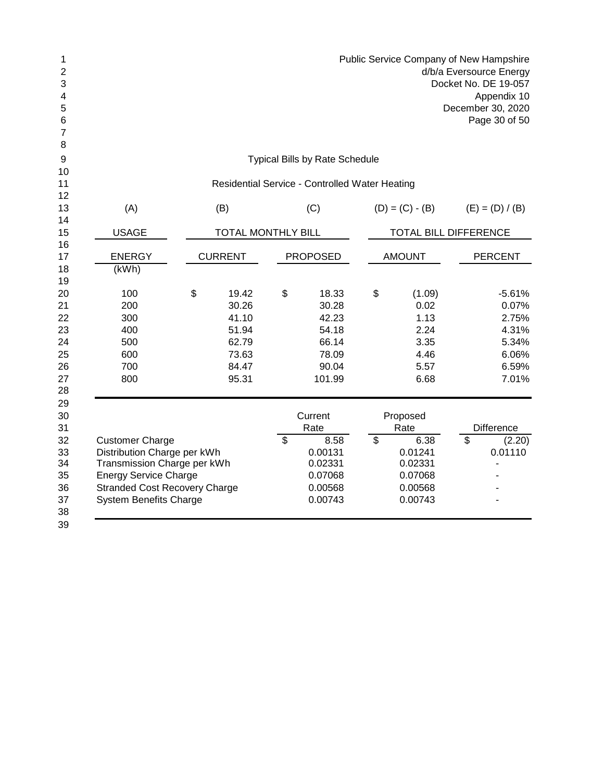|   | Public Service Company of New Hampshire |
|---|-----------------------------------------|
| 2 | d/b/a Eversource Energy                 |
| 3 | Docket No. DE 19-057                    |
| 4 | Appendix 10                             |
| 5 | December 30, 2020                       |
| 6 | Page 30 of 50                           |
|   |                                         |
| 8 |                                         |
| 9 | <b>Typical Bills by Rate Schedule</b>   |
|   |                                         |

# Residential Service - Controlled Water Heating

| 13       | (A)                                  | (B)                       | (C)             |    | $(D) = (C) - (B)$ |                              | $(E) = (D) / (B)$ |
|----------|--------------------------------------|---------------------------|-----------------|----|-------------------|------------------------------|-------------------|
| 14<br>15 | <b>USAGE</b>                         | <b>TOTAL MONTHLY BILL</b> |                 |    |                   | <b>TOTAL BILL DIFFERENCE</b> |                   |
| 16       |                                      |                           |                 |    |                   |                              |                   |
| 17       | <b>ENERGY</b>                        | <b>CURRENT</b>            | <b>PROPOSED</b> |    | <b>AMOUNT</b>     |                              | <b>PERCENT</b>    |
| 18       | (kWh)                                |                           |                 |    |                   |                              |                   |
| 19       |                                      |                           |                 |    |                   |                              |                   |
| 20       | 100                                  | \$<br>19.42               | \$<br>18.33     | \$ | (1.09)            |                              | $-5.61%$          |
| 21       | 200                                  | 30.26                     | 30.28           |    | 0.02              |                              | 0.07%             |
| 22       | 300                                  | 41.10                     | 42.23           |    | 1.13              |                              | 2.75%             |
| 23       | 400                                  | 51.94                     | 54.18           |    | 2.24              |                              | 4.31%             |
| 24       | 500                                  | 62.79                     | 66.14           |    | 3.35              |                              | 5.34%             |
| 25       | 600                                  | 73.63                     | 78.09           |    | 4.46              |                              | 6.06%             |
| 26       | 700                                  | 84.47                     | 90.04           |    | 5.57              |                              | 6.59%             |
| 27       | 800                                  | 95.31                     | 101.99          |    | 6.68              |                              | 7.01%             |
| 28       |                                      |                           |                 |    |                   |                              |                   |
| 29       |                                      |                           |                 |    |                   |                              |                   |
| 30       |                                      |                           | Current         |    | Proposed          |                              |                   |
| 31       |                                      |                           | Rate            |    | Rate              |                              | <b>Difference</b> |
| 32       | <b>Customer Charge</b>               |                           | \$<br>8.58      | s) | 6.38              | $\overline{\mathcal{S}}$     | (2.20)            |
| 33       | Distribution Charge per kWh          |                           | 0.00131         |    | 0.01241           |                              | 0.01110           |
| 34       | Transmission Charge per kWh          |                           | 0.02331         |    | 0.02331           |                              |                   |
| 35       | <b>Energy Service Charge</b>         |                           | 0.07068         |    | 0.07068           |                              |                   |
| 36       | <b>Stranded Cost Recovery Charge</b> |                           | 0.00568         |    | 0.00568           |                              |                   |
| 37       | <b>System Benefits Charge</b>        |                           | 0.00743         |    | 0.00743           |                              |                   |
| 38       |                                      |                           |                 |    |                   |                              |                   |
| 39       |                                      |                           |                 |    |                   |                              |                   |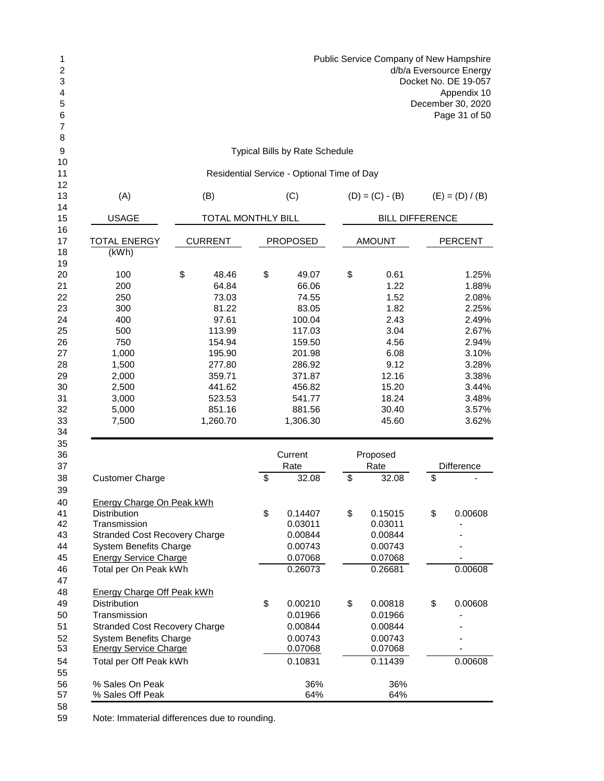| Public Service Company of New Hampshire<br>d/b/a Eversource Energy<br>Docket No. DE 19-057<br>Appendix 10<br>December 30, 2020<br>Page 31 of 50                                                             |     |                                                                                                                           |    |                                                                                                                            |               |                                                                                                          |    |                                                                                                                   |
|-------------------------------------------------------------------------------------------------------------------------------------------------------------------------------------------------------------|-----|---------------------------------------------------------------------------------------------------------------------------|----|----------------------------------------------------------------------------------------------------------------------------|---------------|----------------------------------------------------------------------------------------------------------|----|-------------------------------------------------------------------------------------------------------------------|
|                                                                                                                                                                                                             |     |                                                                                                                           |    | <b>Typical Bills by Rate Schedule</b>                                                                                      |               |                                                                                                          |    |                                                                                                                   |
|                                                                                                                                                                                                             |     |                                                                                                                           |    | Residential Service - Optional Time of Day                                                                                 |               |                                                                                                          |    |                                                                                                                   |
| (A)                                                                                                                                                                                                         | (B) |                                                                                                                           |    |                                                                                                                            |               | $(D) = (C) - (B)$                                                                                        |    | $(E) = (D) / (B)$                                                                                                 |
| <b>USAGE</b>                                                                                                                                                                                                |     | TOTAL MONTHLY BILL                                                                                                        |    |                                                                                                                            |               | <b>BILL DIFFERENCE</b>                                                                                   |    |                                                                                                                   |
| <b>TOTAL ENERGY</b><br>(KWh)                                                                                                                                                                                |     | <b>CURRENT</b>                                                                                                            |    | <b>PROPOSED</b>                                                                                                            | <b>AMOUNT</b> |                                                                                                          |    | <b>PERCENT</b>                                                                                                    |
| 100<br>200<br>250<br>300<br>400<br>500<br>750<br>1,000<br>1,500<br>2,000<br>2,500<br>3,000<br>5,000                                                                                                         | \$  | 48.46<br>64.84<br>73.03<br>81.22<br>97.61<br>113.99<br>154.94<br>195.90<br>277.80<br>359.71<br>441.62<br>523.53<br>851.16 | \$ | 49.07<br>66.06<br>74.55<br>83.05<br>100.04<br>117.03<br>159.50<br>201.98<br>286.92<br>371.87<br>456.82<br>541.77<br>881.56 | \$            | 0.61<br>1.22<br>1.52<br>1.82<br>2.43<br>3.04<br>4.56<br>6.08<br>9.12<br>12.16<br>15.20<br>18.24<br>30.40 |    | 1.25%<br>1.88%<br>2.08%<br>2.25%<br>2.49%<br>2.67%<br>2.94%<br>3.10%<br>3.28%<br>3.38%<br>3.44%<br>3.48%<br>3.57% |
| 7,500                                                                                                                                                                                                       |     | 1,260.70                                                                                                                  |    | 1,306.30<br>Current<br>Rate                                                                                                |               | 45.60<br>Proposed<br>Rate                                                                                |    | 3.62%<br><b>Difference</b>                                                                                        |
| <b>Customer Charge</b>                                                                                                                                                                                      |     |                                                                                                                           | \$ | 32.08                                                                                                                      | \$            | 32.08                                                                                                    | \$ |                                                                                                                   |
| <b>Energy Charge On Peak kWh</b><br>Distribution<br>Transmission<br><b>Stranded Cost Recovery Charge</b><br><b>System Benefits Charge</b><br><b>Energy Service Charge</b><br>Total per On Peak kWh          |     |                                                                                                                           | \$ | 0.14407<br>0.03011<br>0.00844<br>0.00743<br>0.07068<br>0.26073                                                             | \$            | 0.15015<br>0.03011<br>0.00844<br>0.00743<br>0.07068<br>0.26681                                           | \$ | 0.00608<br>0.00608                                                                                                |
| <b>Energy Charge Off Peak kWh</b><br><b>Distribution</b><br>Transmission<br><b>Stranded Cost Recovery Charge</b><br><b>System Benefits Charge</b><br><b>Energy Service Charge</b><br>Total per Off Peak kWh |     |                                                                                                                           | \$ | 0.00210<br>0.01966<br>0.00844<br>0.00743<br>0.07068<br>0.10831                                                             | \$            | 0.00818<br>0.01966<br>0.00844<br>0.00743<br>0.07068<br>0.11439                                           | \$ | 0.00608<br>0.00608                                                                                                |
| % Sales On Peak<br>% Sales Off Peak                                                                                                                                                                         |     |                                                                                                                           |    | 36%<br>64%                                                                                                                 |               | 36%<br>64%                                                                                               |    |                                                                                                                   |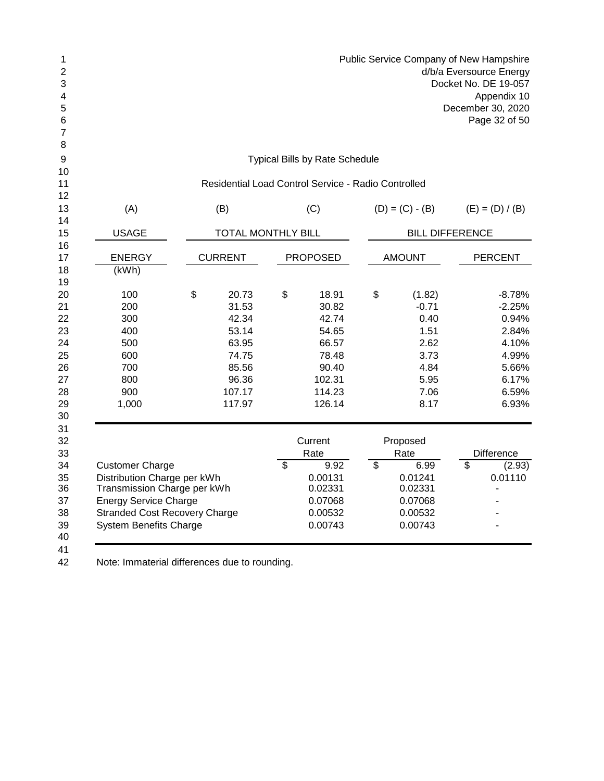|    | Public Service Company of New Hampshire |
|----|-----------------------------------------|
| 2  | d/b/a Eversource Energy                 |
| 3  | Docket No. DE 19-057                    |
| 4  | Appendix 10                             |
| 5. | December 30, 2020                       |
| 6  | Page 32 of 50                           |
|    |                                         |

Typical Bills by Rate Schedule

| 10       | Residential Load Control Service - Radio Controlled |    |                           |                           |                 |    |                        |                          |                   |
|----------|-----------------------------------------------------|----|---------------------------|---------------------------|-----------------|----|------------------------|--------------------------|-------------------|
| 11<br>12 |                                                     |    |                           |                           |                 |    |                        |                          |                   |
| 13<br>14 | (A)                                                 |    | (B)                       |                           | (C)             |    | $(D) = (C) - (B)$      |                          | $(E) = (D) / (B)$ |
| 15       | <b>USAGE</b>                                        |    | <b>TOTAL MONTHLY BILL</b> |                           |                 |    | <b>BILL DIFFERENCE</b> |                          |                   |
| 16<br>17 | <b>ENERGY</b>                                       |    | <b>CURRENT</b>            |                           | <b>PROPOSED</b> |    | <b>AMOUNT</b>          |                          | <b>PERCENT</b>    |
| 18<br>19 | (kWh)                                               |    |                           |                           |                 |    |                        |                          |                   |
| 20       | 100                                                 | \$ | 20.73                     | \$                        | 18.91           | \$ | (1.82)                 |                          | $-8.78%$          |
| 21       | 200                                                 |    | 31.53                     |                           | 30.82           |    | $-0.71$                |                          | $-2.25%$          |
| 22       | 300                                                 |    | 42.34                     |                           | 42.74           |    | 0.40                   |                          | 0.94%             |
| 23       | 400                                                 |    | 53.14                     |                           | 54.65           |    | 1.51                   |                          | 2.84%             |
| 24       | 500                                                 |    | 63.95                     |                           | 66.57           |    | 2.62                   |                          | 4.10%             |
| 25       | 600                                                 |    | 74.75                     |                           | 78.48           |    | 3.73                   |                          | 4.99%             |
| 26       | 700                                                 |    | 85.56                     |                           | 90.40           |    | 4.84                   |                          | 5.66%             |
| 27       | 800                                                 |    | 96.36                     |                           | 102.31          |    | 5.95                   |                          | 6.17%             |
| 28       | 900                                                 |    | 107.17                    |                           | 114.23          |    | 7.06                   |                          | 6.59%             |
| 29       | 1,000                                               |    | 117.97                    |                           | 126.14          |    | 8.17                   |                          | 6.93%             |
| 30       |                                                     |    |                           |                           |                 |    |                        |                          |                   |
| 31       |                                                     |    |                           |                           |                 |    |                        |                          |                   |
| 32       |                                                     |    |                           |                           | Current         |    | Proposed               |                          |                   |
| 33       |                                                     |    |                           |                           | Rate            |    | Rate                   |                          | <b>Difference</b> |
| 34       | <b>Customer Charge</b>                              |    |                           | $\boldsymbol{\mathsf{S}}$ | 9.92            | \$ | 6.99                   | $\overline{\mathcal{S}}$ | (2.93)            |
| 35       | Distribution Charge per kWh                         |    |                           |                           | 0.00131         |    | 0.01241                |                          | 0.01110           |
| 36       | Transmission Charge per kWh                         |    |                           |                           | 0.02331         |    | 0.02331                |                          |                   |
| 37       | <b>Energy Service Charge</b>                        |    |                           |                           | 0.07068         |    | 0.07068                |                          |                   |
| 38       | <b>Stranded Cost Recovery Charge</b>                |    |                           | 0.00532                   |                 |    | 0.00532                |                          |                   |
| 39<br>40 | <b>System Benefits Charge</b>                       |    |                           |                           | 0.00743         |    | 0.00743                |                          |                   |
| 41       |                                                     |    |                           |                           |                 |    |                        |                          |                   |
| 42       | Note: Immaterial differences due to rounding.       |    |                           |                           |                 |    |                        |                          |                   |

Note: Immaterial differences due to rounding.

5<br>6<br>7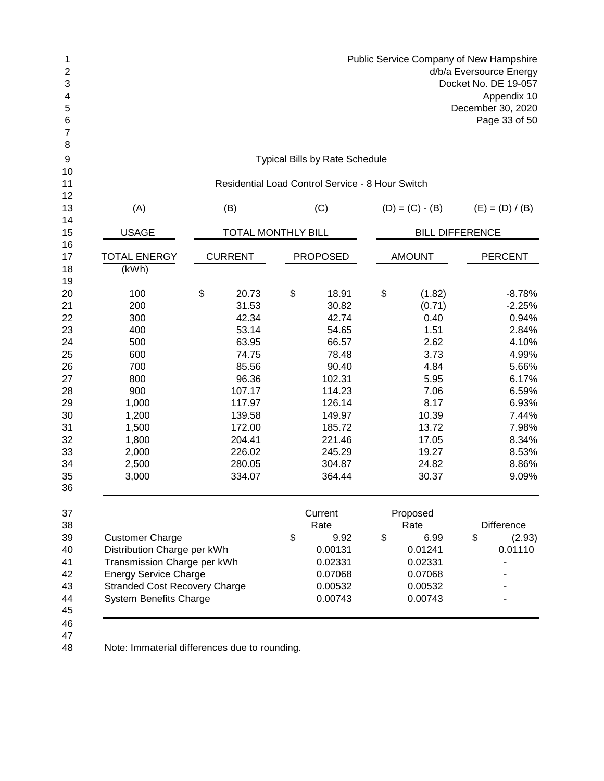| Public Service Company of New Hampshire<br>d/b/a Eversource Energy<br>Docket No. DE 19-057<br>Appendix 10<br>December 30, 2020<br>Page 33 of 50 |                               |    |                                                  |                          |                        |                                    |  |
|-------------------------------------------------------------------------------------------------------------------------------------------------|-------------------------------|----|--------------------------------------------------|--------------------------|------------------------|------------------------------------|--|
|                                                                                                                                                 |                               |    | <b>Typical Bills by Rate Schedule</b>            |                          |                        |                                    |  |
|                                                                                                                                                 |                               |    | Residential Load Control Service - 8 Hour Switch |                          |                        |                                    |  |
| (A)                                                                                                                                             | (B)                           |    | (C)                                              |                          | $(D) = (C) - (B)$      | $(E) = (D) / (B)$                  |  |
| <b>USAGE</b>                                                                                                                                    | <b>TOTAL MONTHLY BILL</b>     |    |                                                  |                          | <b>BILL DIFFERENCE</b> |                                    |  |
| <b>TOTAL ENERGY</b><br>(kWh)                                                                                                                    | <b>CURRENT</b>                |    | <b>PROPOSED</b>                                  |                          | <b>AMOUNT</b>          | <b>PERCENT</b>                     |  |
| 100                                                                                                                                             | \$<br>20.73                   | \$ | 18.91                                            | \$                       | (1.82)                 | $-8.78%$                           |  |
| 200                                                                                                                                             | 31.53                         |    | 30.82                                            |                          | (0.71)                 | $-2.25%$                           |  |
| 300                                                                                                                                             | 42.34                         |    | 42.74                                            |                          | 0.40                   | 0.94%                              |  |
| 400                                                                                                                                             | 53.14                         |    | 54.65                                            |                          | 1.51                   | 2.84%                              |  |
| 500                                                                                                                                             | 63.95                         |    | 66.57                                            |                          | 2.62                   | 4.10%                              |  |
| 600                                                                                                                                             | 74.75                         |    | 78.48                                            |                          | 3.73                   | 4.99%                              |  |
| 700                                                                                                                                             | 85.56                         |    | 90.40                                            |                          | 4.84                   | 5.66%                              |  |
| 800                                                                                                                                             | 96.36                         |    | 102.31                                           |                          | 5.95                   | 6.17%                              |  |
| 900                                                                                                                                             | 107.17                        |    | 114.23                                           |                          | 7.06                   | 6.59%                              |  |
| 1,000                                                                                                                                           | 117.97                        |    | 126.14                                           |                          | 8.17                   | 6.93%                              |  |
| 1,200                                                                                                                                           | 139.58                        |    | 149.97                                           |                          | 10.39                  | 7.44%                              |  |
| 1,500                                                                                                                                           | 172.00                        |    | 185.72                                           |                          | 13.72                  | 7.98%                              |  |
| 1,800                                                                                                                                           | 204.41                        |    | 221.46                                           |                          | 17.05                  | 8.34%                              |  |
| 2,000                                                                                                                                           | 226.02                        |    | 245.29                                           |                          | 19.27                  | 8.53%                              |  |
| 2,500                                                                                                                                           | 280.05                        |    | 304.87                                           |                          | 24.82                  | 8.86%                              |  |
| 3,000                                                                                                                                           | 334.07                        |    | 364.44                                           |                          | 30.37                  | 9.09%                              |  |
|                                                                                                                                                 |                               |    | Current<br>Rate                                  |                          | Proposed<br>Rate       | <b>Difference</b>                  |  |
| <b>Customer Charge</b>                                                                                                                          |                               | \$ | 9.92                                             | $\overline{\mathcal{S}}$ | 6.99                   | $\overline{\mathcal{S}}$<br>(2.93) |  |
| Distribution Charge per kWh                                                                                                                     |                               |    | 0.00131                                          |                          | 0.01241                | 0.01110                            |  |
| Transmission Charge per kWh                                                                                                                     |                               |    | 0.02331                                          |                          | 0.02331                |                                    |  |
| <b>Energy Service Charge</b>                                                                                                                    |                               |    | 0.07068                                          |                          | 0.07068                |                                    |  |
| <b>Stranded Cost Recovery Charge</b>                                                                                                            |                               |    | 0.00532                                          |                          | 0.00532                |                                    |  |
|                                                                                                                                                 | <b>System Benefits Charge</b> |    | 0.00743                                          |                          | 0.00743                |                                    |  |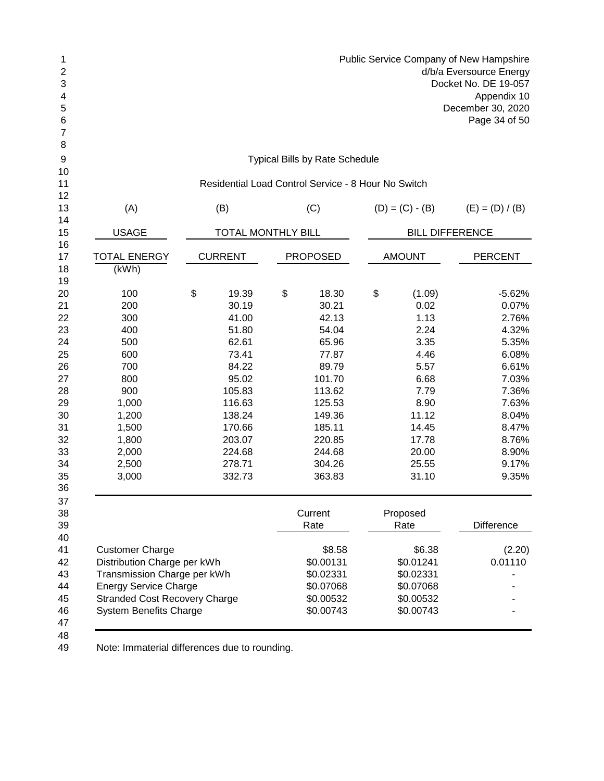| 1 | Public Service Company of New Hampshire |
|---|-----------------------------------------|
| 2 | d/b/a Eversource Energy                 |
| 3 | Docket No. DE 19-057                    |
| 4 | Appendix 10                             |
| 5 | December 30, 2020                       |
| 6 | Page 34 of 50                           |
|   |                                         |
| 8 |                                         |
| 9 | <b>Typical Bills by Rate Schedule</b>   |

| 13             | (A)                                                                                                                                |    | (B)                       | (C)             | $(D) = (C) - (B)$      |                   | $(E) = (D) / (B)$ |
|----------------|------------------------------------------------------------------------------------------------------------------------------------|----|---------------------------|-----------------|------------------------|-------------------|-------------------|
| 14<br>15       | <b>USAGE</b>                                                                                                                       |    | <b>TOTAL MONTHLY BILL</b> |                 | <b>BILL DIFFERENCE</b> |                   |                   |
| 16<br>17<br>18 | <b>TOTAL ENERGY</b><br>(kWh)                                                                                                       |    | <b>CURRENT</b>            | <b>PROPOSED</b> | <b>AMOUNT</b>          | <b>PERCENT</b>    |                   |
| 19             |                                                                                                                                    |    |                           |                 |                        |                   |                   |
| 20             | 100                                                                                                                                | \$ | 19.39                     | \$<br>18.30     | \$<br>(1.09)           |                   | $-5.62%$          |
| 21             | 200                                                                                                                                |    | 30.19                     | 30.21           | 0.02                   |                   | 0.07%             |
| 22             | 300                                                                                                                                |    | 41.00                     | 42.13           | 1.13                   |                   | 2.76%             |
| 23             | 400                                                                                                                                |    | 51.80                     | 54.04           | 2.24                   |                   | 4.32%             |
| 24             | 500                                                                                                                                |    | 62.61                     | 65.96           | 3.35                   |                   | 5.35%             |
| 25             | 600                                                                                                                                |    | 73.41                     | 77.87           | 4.46                   |                   | 6.08%             |
| 26             | 700                                                                                                                                |    | 84.22                     | 89.79           | 5.57                   |                   | 6.61%             |
| 27             | 800                                                                                                                                |    | 95.02                     | 101.70          | 6.68                   |                   | 7.03%             |
| 28             | 900                                                                                                                                |    | 105.83                    | 113.62          | 7.79                   |                   | 7.36%             |
| 29             | 1,000                                                                                                                              |    | 116.63                    | 125.53          | 8.90                   |                   | 7.63%             |
| 30             | 1,200                                                                                                                              |    | 138.24                    | 149.36          | 11.12                  |                   | 8.04%             |
| 31             | 1,500                                                                                                                              |    | 170.66                    | 185.11          | 14.45                  |                   | 8.47%             |
| 32             | 1,800                                                                                                                              |    | 203.07                    | 220.85          | 17.78                  |                   | 8.76%             |
| 33             | 2,000                                                                                                                              |    | 224.68                    | 244.68          | 20.00                  |                   | 8.90%             |
| 34             | 2,500                                                                                                                              |    | 278.71                    | 304.26          | 25.55                  |                   | 9.17%             |
| 35             | 3,000                                                                                                                              |    | 332.73                    | 363.83          | 31.10                  |                   | 9.35%             |
| 36             |                                                                                                                                    |    |                           |                 |                        |                   |                   |
| 37             |                                                                                                                                    |    |                           |                 |                        |                   |                   |
| 38             |                                                                                                                                    |    |                           | Current         | Proposed               |                   |                   |
| 39             |                                                                                                                                    |    |                           | Rate            | Rate                   | <b>Difference</b> |                   |
| 40             |                                                                                                                                    |    |                           |                 |                        |                   |                   |
| 41             | <b>Customer Charge</b>                                                                                                             |    |                           | \$8.58          | \$6.38                 |                   | (2.20)            |
| 42             | Distribution Charge per kWh<br>Transmission Charge per kWh<br><b>Energy Service Charge</b><br><b>Stranded Cost Recovery Charge</b> |    |                           | \$0.00131       | \$0.01241              |                   | 0.01110           |
| 43             |                                                                                                                                    |    |                           | \$0.02331       | \$0.02331              |                   |                   |
| 44             |                                                                                                                                    |    |                           | \$0.07068       | \$0.07068              |                   |                   |
| 45             |                                                                                                                                    |    |                           | \$0.00532       | \$0.00532              |                   |                   |
| 46<br>47       | <b>System Benefits Charge</b>                                                                                                      |    |                           | \$0.00743       | \$0.00743              |                   |                   |
| 48             |                                                                                                                                    |    |                           |                 |                        |                   |                   |
|                |                                                                                                                                    |    |                           |                 |                        |                   |                   |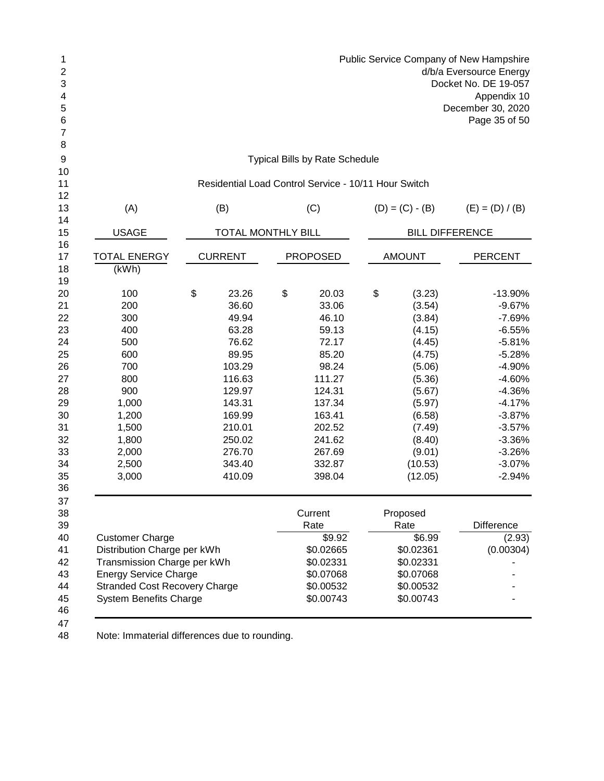| <b>Public Service Company of New Hampshire</b><br>d/b/a Eversource Energy<br>Docket No. DE 19-057<br>Appendix 10<br>December 30, 2020<br>Page 35 of 50                                        |                                                                                                                                                              |    |                                                                                                                                                       |    |                                                                                                                                                                |                                                                                                                                                                                               |
|-----------------------------------------------------------------------------------------------------------------------------------------------------------------------------------------------|--------------------------------------------------------------------------------------------------------------------------------------------------------------|----|-------------------------------------------------------------------------------------------------------------------------------------------------------|----|----------------------------------------------------------------------------------------------------------------------------------------------------------------|-----------------------------------------------------------------------------------------------------------------------------------------------------------------------------------------------|
|                                                                                                                                                                                               |                                                                                                                                                              |    | <b>Typical Bills by Rate Schedule</b>                                                                                                                 |    |                                                                                                                                                                |                                                                                                                                                                                               |
|                                                                                                                                                                                               | Residential Load Control Service - 10/11 Hour Switch                                                                                                         |    |                                                                                                                                                       |    |                                                                                                                                                                |                                                                                                                                                                                               |
| (A)                                                                                                                                                                                           | (B)                                                                                                                                                          |    | (C)                                                                                                                                                   |    | $(D) = (C) - (B)$                                                                                                                                              | $(E) = (D) / (B)$                                                                                                                                                                             |
| <b>USAGE</b>                                                                                                                                                                                  | <b>TOTAL MONTHLY BILL</b>                                                                                                                                    |    |                                                                                                                                                       |    | <b>BILL DIFFERENCE</b>                                                                                                                                         |                                                                                                                                                                                               |
| <b>TOTAL ENERGY</b><br>(kWh)                                                                                                                                                                  | <b>CURRENT</b>                                                                                                                                               |    | <b>PROPOSED</b>                                                                                                                                       |    | <b>AMOUNT</b>                                                                                                                                                  | <b>PERCENT</b>                                                                                                                                                                                |
| 100<br>200<br>300<br>400<br>500<br>600<br>700<br>800<br>900<br>1,000<br>1,200<br>1,500<br>1,800<br>2,000<br>2,500<br>3,000                                                                    | \$<br>23.26<br>36.60<br>49.94<br>63.28<br>76.62<br>89.95<br>103.29<br>116.63<br>129.97<br>143.31<br>169.99<br>210.01<br>250.02<br>276.70<br>343.40<br>410.09 | \$ | 20.03<br>33.06<br>46.10<br>59.13<br>72.17<br>85.20<br>98.24<br>111.27<br>124.31<br>137.34<br>163.41<br>202.52<br>241.62<br>267.69<br>332.87<br>398.04 | \$ | (3.23)<br>(3.54)<br>(3.84)<br>(4.15)<br>(4.45)<br>(4.75)<br>(5.06)<br>(5.36)<br>(5.67)<br>(5.97)<br>(6.58)<br>(7.49)<br>(8.40)<br>(9.01)<br>(10.53)<br>(12.05) | $-13.90%$<br>$-9.67%$<br>$-7.69%$<br>$-6.55%$<br>$-5.81%$<br>$-5.28%$<br>$-4.90%$<br>$-4.60%$<br>$-4.36%$<br>$-4.17%$<br>$-3.87%$<br>$-3.57%$<br>$-3.36%$<br>$-3.26%$<br>$-3.07%$<br>$-2.94%$ |
| <b>Customer Charge</b><br>Distribution Charge per kWh<br>Transmission Charge per kWh<br><b>Energy Service Charge</b><br><b>Stranded Cost Recovery Charge</b><br><b>System Benefits Charge</b> |                                                                                                                                                              |    | Current<br>Rate<br>\$9.92<br>\$0.02665<br>\$0.02331<br>\$0.07068<br>\$0.00532<br>\$0.00743                                                            |    | Proposed<br>Rate<br>\$6.99<br>\$0.02361<br>\$0.02331<br>\$0.07068<br>\$0.00532<br>\$0.00743                                                                    | <b>Difference</b><br>(2.93)<br>(0.00304)                                                                                                                                                      |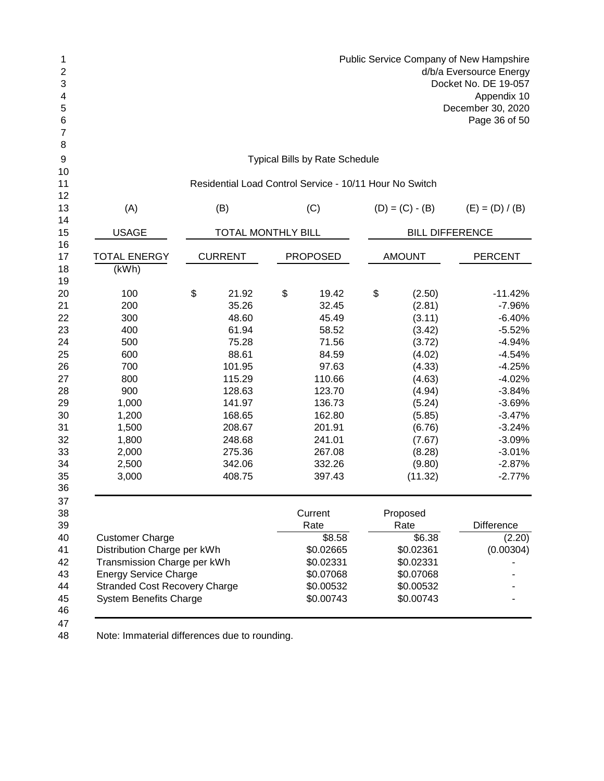| 1              |     | Public Service Company of New Hampshire |                                                         |                   |                   |  |  |  |  |  |  |
|----------------|-----|-----------------------------------------|---------------------------------------------------------|-------------------|-------------------|--|--|--|--|--|--|
| $\overline{2}$ |     | d/b/a Eversource Energy                 |                                                         |                   |                   |  |  |  |  |  |  |
| 3              |     |                                         | Docket No. DE 19-057                                    |                   |                   |  |  |  |  |  |  |
| $\overline{4}$ |     |                                         |                                                         |                   | Appendix 10       |  |  |  |  |  |  |
| 5              |     |                                         |                                                         |                   | December 30, 2020 |  |  |  |  |  |  |
| 6              |     |                                         |                                                         |                   | Page 36 of 50     |  |  |  |  |  |  |
| 7              |     |                                         |                                                         |                   |                   |  |  |  |  |  |  |
| 8              |     |                                         |                                                         |                   |                   |  |  |  |  |  |  |
| 9              |     |                                         | <b>Typical Bills by Rate Schedule</b>                   |                   |                   |  |  |  |  |  |  |
| 10             |     |                                         |                                                         |                   |                   |  |  |  |  |  |  |
| 11             |     |                                         | Residential Load Control Service - 10/11 Hour No Switch |                   |                   |  |  |  |  |  |  |
| 12             |     |                                         |                                                         |                   |                   |  |  |  |  |  |  |
| 13             | (A) | (B)                                     | (C)                                                     | $(D) = (C) - (B)$ | $(E) = (D) / (B)$ |  |  |  |  |  |  |
| 14             |     |                                         |                                                         |                   |                   |  |  |  |  |  |  |
|                |     |                                         |                                                         |                   |                   |  |  |  |  |  |  |

| 14              |                                      |                           |                 |                        |                |
|-----------------|--------------------------------------|---------------------------|-----------------|------------------------|----------------|
| 15              | <b>USAGE</b>                         | <b>TOTAL MONTHLY BILL</b> |                 | <b>BILL DIFFERENCE</b> |                |
| 16              |                                      |                           |                 |                        |                |
| 17              | <b>TOTAL ENERGY</b>                  | <b>CURRENT</b>            | <b>PROPOSED</b> | <b>AMOUNT</b>          | <b>PERCENT</b> |
| 18              | (KWh)                                |                           |                 |                        |                |
| 19              |                                      |                           |                 |                        |                |
| 20              | 100                                  | \$<br>21.92               | \$<br>19.42     | \$<br>(2.50)           | $-11.42%$      |
| 21              | 200                                  | 35.26                     | 32.45           | (2.81)                 | $-7.96%$       |
| 22              | 300                                  | 48.60                     | 45.49           | (3.11)                 | $-6.40%$       |
| 23              | 400                                  | 61.94                     | 58.52           | (3.42)                 | $-5.52%$       |
| 24              | 500                                  | 75.28                     | 71.56           | (3.72)                 | $-4.94%$       |
| 25              | 600                                  | 88.61                     | 84.59           | (4.02)                 | $-4.54%$       |
| 26              | 700                                  | 101.95                    | 97.63           | (4.33)                 | $-4.25%$       |
| 27              | 800                                  | 115.29                    | 110.66          | (4.63)                 | $-4.02%$       |
| 28              | 900                                  | 128.63                    | 123.70          | (4.94)                 | $-3.84%$       |
| 29              | 1,000                                | 141.97                    | 136.73          | (5.24)                 | $-3.69%$       |
| 30              | 1,200                                | 168.65                    | 162.80          | (5.85)                 | $-3.47%$       |
| 31              | 1,500                                | 208.67                    | 201.91          | (6.76)                 | $-3.24%$       |
| 32              | 1,800                                | 248.68                    | 241.01          | (7.67)                 | $-3.09%$       |
| 33              | 2,000                                | 275.36                    | 267.08          | (8.28)                 | $-3.01%$       |
| 34              | 2,500                                | 342.06                    | 332.26          | (9.80)                 | $-2.87%$       |
| 35              | 3,000                                | 408.75                    | 397.43          | (11.32)                | $-2.77%$       |
| 36              |                                      |                           |                 |                        |                |
| 37              |                                      |                           |                 |                        |                |
| 38              |                                      |                           | Current         | Proposed               |                |
| 39              |                                      |                           | Rate            | Rate                   | Difference     |
| 40              | <b>Customer Charge</b>               |                           | \$8.58          | \$6.38                 | (2.20)         |
| 41              | Distribution Charge per kWh          |                           | \$0.02665       | \$0.02361              | (0.00304)      |
| 42              | Transmission Charge per kWh          |                           | \$0.02331       | \$0.02331              |                |
| 43              | <b>Energy Service Charge</b>         |                           | \$0.07068       | \$0.07068              |                |
| 44              | <b>Stranded Cost Recovery Charge</b> |                           | \$0.00532       | \$0.00532              |                |
| 45              | <b>System Benefits Charge</b>        |                           | \$0.00743       | \$0.00743              |                |
| 46              |                                      |                           |                 |                        |                |
| $\overline{17}$ |                                      |                           |                 |                        |                |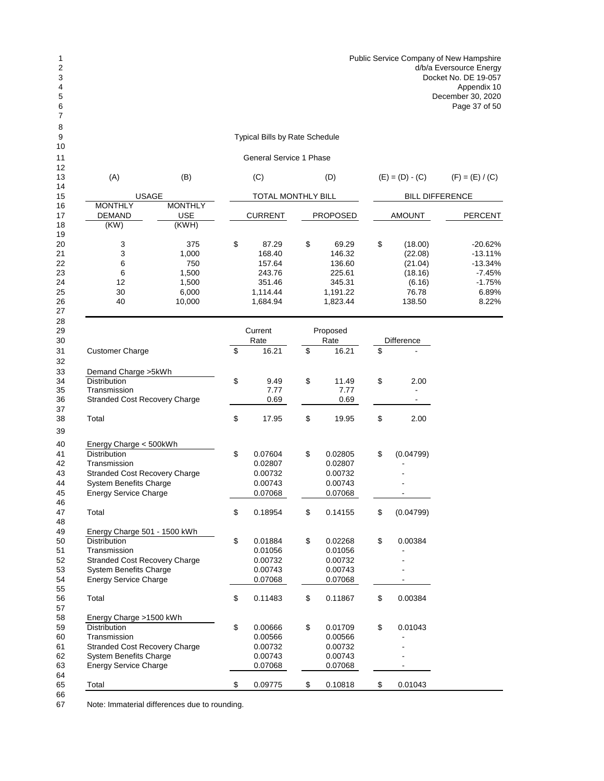Typical Bills by Rate Schedule

General Service 1 Phase

| 12<br>13 |                                      |                                       |                    | (D)             |                        |                   |
|----------|--------------------------------------|---------------------------------------|--------------------|-----------------|------------------------|-------------------|
| 14       | (A)                                  | (B)                                   | (C)                |                 | $(E) = (D) - (C)$      | $(F) = (E) / (C)$ |
| 15       |                                      | <b>USAGE</b>                          | TOTAL MONTHLY BILL |                 | <b>BILL DIFFERENCE</b> |                   |
| 16<br>17 | <b>MONTHLY</b><br><b>DEMAND</b>      | <b>MONTHLY</b><br><b>USE</b><br>(KWH) | <b>CURRENT</b>     | <b>PROPOSED</b> | AMOUNT                 | PERCENT           |
| 18<br>19 | (KW)                                 |                                       |                    |                 |                        |                   |
| 20       | 3                                    | 375                                   | \$<br>87.29        | \$<br>69.29     | \$<br>(18.00)          | $-20.62%$         |
| 21       | 3                                    | 1,000                                 | 168.40             | 146.32          | (22.08)                | $-13.11%$         |
| 22       | 6                                    | 750                                   | 157.64             | 136.60          | (21.04)                | $-13.34%$         |
| 23       | 6                                    | 1,500                                 | 243.76             | 225.61          | (18.16)                | $-7.45%$          |
| 24       | 12                                   | 1,500                                 | 351.46             | 345.31          | (6.16)                 | $-1.75%$          |
| 25       | 30                                   | 6,000                                 | 1,114.44           | 1,191.22        | 76.78                  | 6.89%             |
| 26<br>27 | 40                                   | 10,000                                | 1,684.94           | 1,823.44        | 138.50                 | 8.22%             |
| 28<br>29 |                                      |                                       | Current            | Proposed        |                        |                   |
| 30       |                                      |                                       | Rate               | Rate            | Difference             |                   |
| 31       | <b>Customer Charge</b>               |                                       | \$<br>16.21        | \$<br>16.21     | \$                     |                   |
| 32<br>33 | Demand Charge > 5kWh                 |                                       |                    |                 |                        |                   |
| 34       | <b>Distribution</b>                  |                                       | \$<br>9.49         | \$<br>11.49     | \$<br>2.00             |                   |
| 35       | Transmission                         |                                       | 7.77               | 7.77            |                        |                   |
| 36       | <b>Stranded Cost Recovery Charge</b> |                                       | 0.69               | 0.69            |                        |                   |
| 37       |                                      |                                       |                    |                 |                        |                   |
| 38       | Total                                |                                       | \$<br>17.95        | \$<br>19.95     | \$<br>2.00             |                   |
| 39<br>40 | Energy Charge < 500kWh               |                                       |                    |                 |                        |                   |
| 41       | <b>Distribution</b>                  |                                       | \$<br>0.07604      | \$<br>0.02805   | \$<br>(0.04799)        |                   |
| 42       | Transmission                         |                                       | 0.02807            | 0.02807         |                        |                   |
| 43       | <b>Stranded Cost Recovery Charge</b> |                                       | 0.00732            | 0.00732         |                        |                   |
| 44       | <b>System Benefits Charge</b>        |                                       | 0.00743            | 0.00743         |                        |                   |
| 45       | <b>Energy Service Charge</b>         |                                       | 0.07068            | 0.07068         |                        |                   |
| 46       |                                      |                                       |                    |                 |                        |                   |
| 47       | Total                                |                                       | \$<br>0.18954      | \$<br>0.14155   | \$<br>(0.04799)        |                   |
| 48       |                                      |                                       |                    |                 |                        |                   |
| 49       | Energy Charge 501 - 1500 kWh         |                                       |                    |                 |                        |                   |
| 50       | <b>Distribution</b>                  |                                       | \$<br>0.01884      | \$<br>0.02268   | \$<br>0.00384          |                   |
| 51       | Transmission                         |                                       | 0.01056            | 0.01056         |                        |                   |
| 52       | <b>Stranded Cost Recovery Charge</b> |                                       | 0.00732            | 0.00732         |                        |                   |
| 53       | <b>System Benefits Charge</b>        |                                       | 0.00743            | 0.00743         |                        |                   |
| 54       | <b>Energy Service Charge</b>         |                                       | 0.07068            | 0.07068         | $\blacksquare$         |                   |
| 55       |                                      |                                       |                    |                 |                        |                   |
| 56       | Total                                |                                       | \$<br>0.11483      | \$<br>0.11867   | \$<br>0.00384          |                   |
| 57       |                                      |                                       |                    |                 |                        |                   |
| 58       | Energy Charge >1500 kWh              |                                       |                    |                 |                        |                   |
| 59       | Distribution                         |                                       | \$<br>0.00666      | \$<br>0.01709   | \$<br>0.01043          |                   |
| 60       | Transmission                         |                                       | 0.00566            | 0.00566         |                        |                   |
| 61       | <b>Stranded Cost Recovery Charge</b> |                                       | 0.00732            | 0.00732         |                        |                   |
| 62       | <b>System Benefits Charge</b>        |                                       | 0.00743            | 0.00743         |                        |                   |
| 63       | <b>Energy Service Charge</b>         |                                       | 0.07068            | 0.07068         |                        |                   |
|          |                                      |                                       |                    |                 |                        |                   |

Total \$ 0.09775 \$ 0.10818 \$ 0.01043

66<br>67 Note: Immaterial differences due to rounding.

Energy Service Charge

64<br>65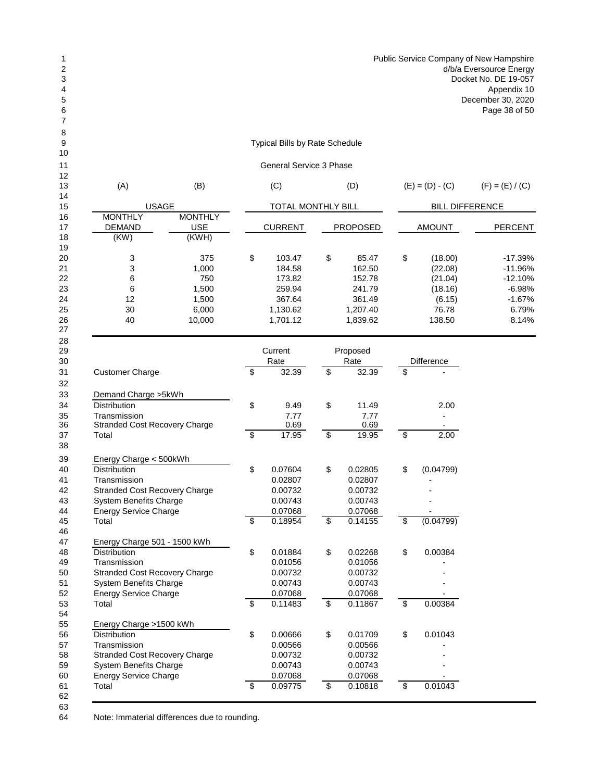## Typical Bills by Rate Schedule

## General Service 3 Phase

| 12 |                |                |                           |                 |                        |                   |
|----|----------------|----------------|---------------------------|-----------------|------------------------|-------------------|
| 13 | (A)            | (B)            | (C)                       | (D)             | $(E) = (D) - (C)$      | $(F) = (E) / (C)$ |
| 14 |                |                |                           |                 |                        |                   |
| 15 |                | <b>USAGE</b>   | <b>TOTAL MONTHLY BILL</b> |                 | <b>BILL DIFFERENCE</b> |                   |
| 16 | <b>MONTHLY</b> | <b>MONTHLY</b> |                           |                 |                        |                   |
| 17 | <b>DEMAND</b>  | <b>USE</b>     | <b>CURRENT</b>            | <b>PROPOSED</b> | <b>AMOUNT</b>          | <b>PERCENT</b>    |
| 18 | (KW)           | (KWH)          |                           |                 |                        |                   |
| 19 |                |                |                           |                 |                        |                   |
| 20 | 3              | 375            | \$<br>103.47              | \$<br>85.47     | \$<br>(18.00)          | $-17.39%$         |
| 21 | 3              | 1,000          | 184.58                    | 162.50          | (22.08)                | $-11.96%$         |
| 22 | 6              | 750            | 173.82                    | 152.78          | (21.04)                | $-12.10%$         |
| 23 | 6              | 1,500          | 259.94                    | 241.79          | (18.16)                | $-6.98%$          |
| 24 | 12             | 1,500          | 367.64                    | 361.49          | (6.15)                 | $-1.67%$          |
| 25 | 30             | 6.000          | 1,130.62                  | 1.207.40        | 76.78                  | 6.79%             |
| 26 | 40             | 10,000         | 1,701.12                  | 1,839.62        | 138.50                 | 8.14%             |
| 27 |                |                |                           |                 |                        |                   |

| 29<br>30 |                                      |                          | Current<br>Rate |                          | Proposed<br>Rate |                          | <b>Difference</b> |
|----------|--------------------------------------|--------------------------|-----------------|--------------------------|------------------|--------------------------|-------------------|
| 31       | <b>Customer Charge</b>               | \$                       | 32.39           | \$                       | 32.39            | \$                       |                   |
| 32       |                                      |                          |                 |                          |                  |                          |                   |
| 33       | Demand Charge > 5kWh                 |                          |                 |                          |                  |                          |                   |
| 34       | <b>Distribution</b>                  | \$                       | 9.49            | \$                       | 11.49            |                          | 2.00              |
| 35       | Transmission                         |                          | 7.77            |                          | 7.77             |                          |                   |
| 36       | <b>Stranded Cost Recovery Charge</b> |                          | 0.69            |                          | 0.69             |                          |                   |
| 37       | Total                                | \$                       | 17.95           | \$                       | 19.95            | \$                       | 2.00              |
| 38       |                                      |                          |                 |                          |                  |                          |                   |
| 39       | Energy Charge < 500kWh               |                          |                 |                          |                  |                          |                   |
| 40       | <b>Distribution</b>                  | \$                       | 0.07604         | \$                       | 0.02805          | \$                       | (0.04799)         |
| 41       | Transmission                         |                          | 0.02807         |                          | 0.02807          |                          |                   |
| 42       | <b>Stranded Cost Recovery Charge</b> |                          | 0.00732         |                          | 0.00732          |                          |                   |
| 43       | <b>System Benefits Charge</b>        |                          | 0.00743         |                          | 0.00743          |                          |                   |
| 44       | <b>Energy Service Charge</b>         |                          | 0.07068         |                          | 0.07068          |                          |                   |
| 45       | Total                                | $\overline{\mathcal{S}}$ | 0.18954         | $\overline{\mathcal{S}}$ | 0.14155          | $\overline{\$}$          | (0.04799)         |
| 46       |                                      |                          |                 |                          |                  |                          |                   |
| 47       | Energy Charge 501 - 1500 kWh         |                          |                 |                          |                  |                          |                   |
| 48       | <b>Distribution</b>                  | \$                       | 0.01884         | \$                       | 0.02268          | \$                       | 0.00384           |
| 49       | Transmission                         |                          | 0.01056         |                          | 0.01056          |                          |                   |
| 50       | <b>Stranded Cost Recovery Charge</b> |                          | 0.00732         |                          | 0.00732          |                          |                   |
| 51       | <b>System Benefits Charge</b>        |                          | 0.00743         |                          | 0.00743          |                          |                   |
| 52       | <b>Energy Service Charge</b>         |                          | 0.07068         |                          | 0.07068          |                          |                   |
| 53       | Total                                | $\overline{\mathcal{S}}$ | 0.11483         | \$                       | 0.11867          | $\overline{\mathcal{S}}$ | 0.00384           |
| 54       |                                      |                          |                 |                          |                  |                          |                   |
| 55       | Energy Charge >1500 kWh              |                          |                 |                          |                  |                          |                   |
| 56       | <b>Distribution</b>                  | \$                       | 0.00666         | \$                       | 0.01709          | \$                       | 0.01043           |
| 57       | Transmission                         |                          | 0.00566         |                          | 0.00566          |                          |                   |
| 58       | <b>Stranded Cost Recovery Charge</b> |                          | 0.00732         |                          | 0.00732          |                          |                   |
| 59       | System Benefits Charge               |                          | 0.00743         |                          | 0.00743          |                          |                   |
| 60       | <b>Energy Service Charge</b>         |                          | 0.07068         |                          | 0.07068          |                          |                   |
| 61<br>62 | Total                                | $\overline{\mathcal{S}}$ | 0.09775         | \$                       | 0.10818          | \$                       | 0.01043           |
|          |                                      |                          |                 |                          |                  |                          |                   |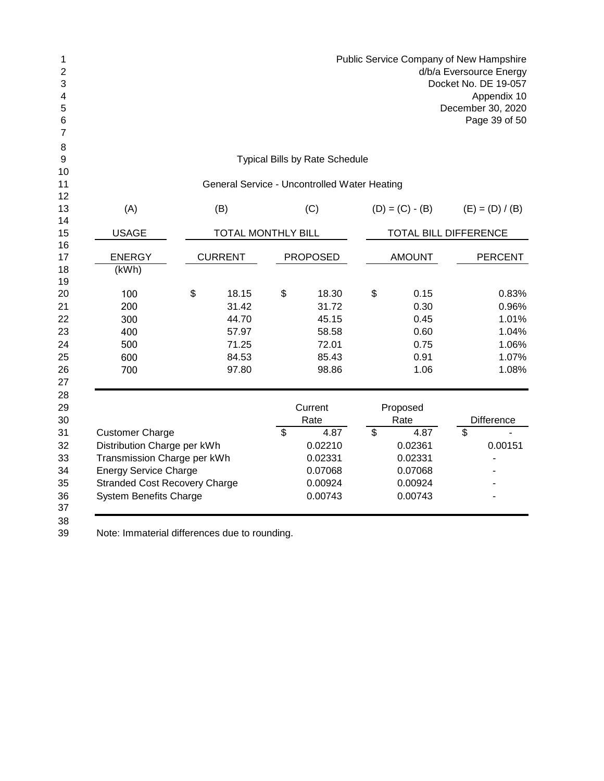|                                      |                           |                                              | Public Service Company of New Hampshire |                         | d/b/a Eversource Energy<br>Docket No. DE 19-057<br>Appendix 10<br>December 30, 2020<br>Page 39 of 50 |
|--------------------------------------|---------------------------|----------------------------------------------|-----------------------------------------|-------------------------|------------------------------------------------------------------------------------------------------|
|                                      |                           | <b>Typical Bills by Rate Schedule</b>        |                                         |                         |                                                                                                      |
|                                      |                           | General Service - Uncontrolled Water Heating |                                         |                         |                                                                                                      |
|                                      |                           |                                              |                                         |                         |                                                                                                      |
| (A)                                  | (B)                       | (C)                                          | $(D) = (C) - (B)$                       |                         | $(E) = (D) / (B)$                                                                                    |
| <b>USAGE</b>                         | <b>TOTAL MONTHLY BILL</b> |                                              | TOTAL BILL DIFFERENCE                   |                         |                                                                                                      |
|                                      |                           |                                              |                                         |                         |                                                                                                      |
| <b>ENERGY</b>                        | <b>CURRENT</b>            | <b>PROPOSED</b>                              | <b>AMOUNT</b>                           |                         | <b>PERCENT</b>                                                                                       |
| (kWh)                                |                           |                                              |                                         |                         |                                                                                                      |
|                                      |                           |                                              |                                         |                         |                                                                                                      |
| 100                                  | \$<br>18.15               | \$<br>18.30                                  | \$<br>0.15                              |                         | 0.83%                                                                                                |
| 200                                  | 31.42                     | 31.72                                        | 0.30                                    |                         | 0.96%                                                                                                |
| 300                                  | 44.70                     | 45.15                                        | 0.45                                    |                         | 1.01%                                                                                                |
| 400                                  | 57.97                     | 58.58                                        | 0.60                                    |                         | 1.04%                                                                                                |
| 500                                  | 71.25                     | 72.01                                        | 0.75                                    |                         | 1.06%                                                                                                |
| 600                                  | 84.53                     | 85.43                                        | 0.91                                    |                         | 1.07%                                                                                                |
| 700                                  | 97.80                     | 98.86                                        | 1.06                                    |                         | 1.08%                                                                                                |
|                                      |                           | Current                                      | Proposed                                |                         |                                                                                                      |
|                                      |                           | Rate                                         | Rate                                    |                         | Difference                                                                                           |
| <b>Customer Charge</b>               |                           | \$<br>4.87                                   | \$<br>4.87                              | $\overline{\mathbf{S}}$ |                                                                                                      |
| Distribution Charge per kWh          |                           | 0.02210                                      | 0.02361                                 |                         | 0.00151                                                                                              |
| Transmission Charge per kWh          |                           | 0.02331                                      | 0.02331                                 |                         | $\overline{a}$                                                                                       |
| <b>Energy Service Charge</b>         |                           | 0.07068                                      | 0.07068                                 |                         |                                                                                                      |
| <b>Stranded Cost Recovery Charge</b> |                           | 0.00924                                      | 0.00924                                 |                         |                                                                                                      |
| <b>System Benefits Charge</b>        |                           | 0.00743                                      | 0.00743                                 |                         |                                                                                                      |
|                                      |                           |                                              |                                         |                         |                                                                                                      |
|                                      |                           |                                              |                                         |                         |                                                                                                      |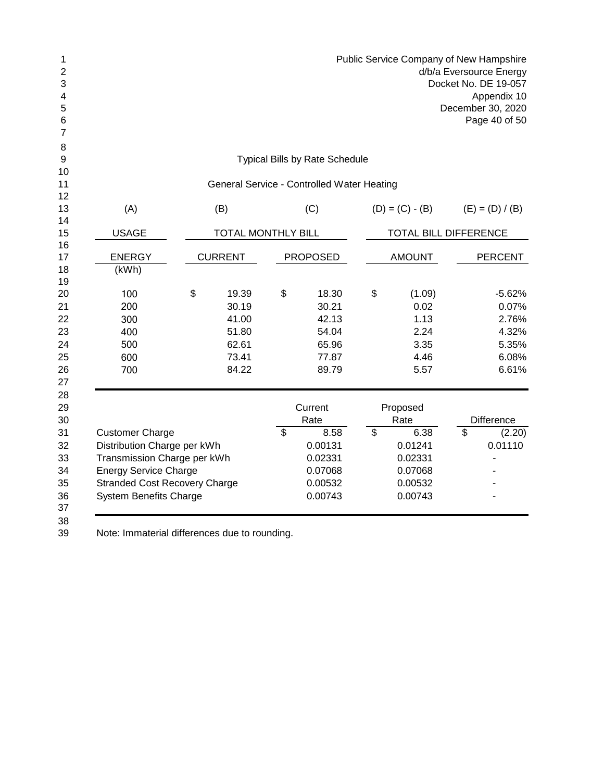| 1<br>$\overline{2}$<br>3<br>4<br>5<br>6<br>$\overline{7}$ |                                      |                           |                                            | Public Service Company of New Hampshire | d/b/a Eversource Energy<br>Docket No. DE 19-057<br>Appendix 10<br>December 30, 2020<br>Page 40 of 50 |
|-----------------------------------------------------------|--------------------------------------|---------------------------|--------------------------------------------|-----------------------------------------|------------------------------------------------------------------------------------------------------|
| 8<br>$\boldsymbol{9}$                                     |                                      |                           | <b>Typical Bills by Rate Schedule</b>      |                                         |                                                                                                      |
| 10                                                        |                                      |                           |                                            |                                         |                                                                                                      |
| 11<br>12                                                  |                                      |                           | General Service - Controlled Water Heating |                                         |                                                                                                      |
| 13                                                        | (A)                                  | (B)                       | (C)                                        | $(D) = (C) - (B)$                       | $(E) = (D) / (B)$                                                                                    |
| 14                                                        |                                      |                           |                                            |                                         |                                                                                                      |
| 15                                                        | <b>USAGE</b>                         | <b>TOTAL MONTHLY BILL</b> |                                            | TOTAL BILL DIFFERENCE                   |                                                                                                      |
| 16<br>17                                                  | <b>ENERGY</b>                        | <b>CURRENT</b>            | <b>PROPOSED</b>                            | <b>AMOUNT</b>                           | <b>PERCENT</b>                                                                                       |
| 18                                                        | (kWh)                                |                           |                                            |                                         |                                                                                                      |
| 19                                                        |                                      |                           |                                            |                                         |                                                                                                      |
| 20                                                        | 100                                  | \$<br>19.39               | \$<br>18.30                                | \$<br>(1.09)                            | $-5.62%$                                                                                             |
| 21                                                        | 200                                  | 30.19                     | 30.21                                      | 0.02                                    | 0.07%                                                                                                |
| 22                                                        | 300                                  | 41.00                     | 42.13                                      | 1.13                                    | 2.76%                                                                                                |
| 23                                                        | 400                                  | 51.80                     | 54.04                                      | 2.24                                    | 4.32%                                                                                                |
| 24                                                        | 500                                  | 62.61                     | 65.96                                      | 3.35                                    | 5.35%                                                                                                |
| 25                                                        | 600                                  | 73.41                     | 77.87                                      | 4.46                                    | 6.08%                                                                                                |
| 26<br>27                                                  | 700                                  | 84.22                     | 89.79                                      | 5.57                                    | 6.61%                                                                                                |
| 28                                                        |                                      |                           |                                            |                                         |                                                                                                      |
| 29<br>30                                                  |                                      |                           | Current<br>Rate                            | Proposed<br>Rate                        | Difference                                                                                           |
| 31                                                        | <b>Customer Charge</b>               |                           | \$<br>8.58                                 | \$<br>6.38                              | \$<br>(2.20)                                                                                         |
| 32                                                        | Distribution Charge per kWh          |                           | 0.00131                                    | 0.01241                                 | 0.01110                                                                                              |
| 33                                                        | Transmission Charge per kWh          |                           | 0.02331                                    | 0.02331                                 | $\blacksquare$                                                                                       |
| 34                                                        | <b>Energy Service Charge</b>         |                           | 0.07068                                    | 0.07068                                 |                                                                                                      |
| 35                                                        | <b>Stranded Cost Recovery Charge</b> |                           | 0.00532                                    | 0.00532                                 |                                                                                                      |
| 36                                                        | <b>System Benefits Charge</b>        |                           | 0.00743                                    | 0.00743                                 |                                                                                                      |
| 37<br>38                                                  |                                      |                           |                                            |                                         |                                                                                                      |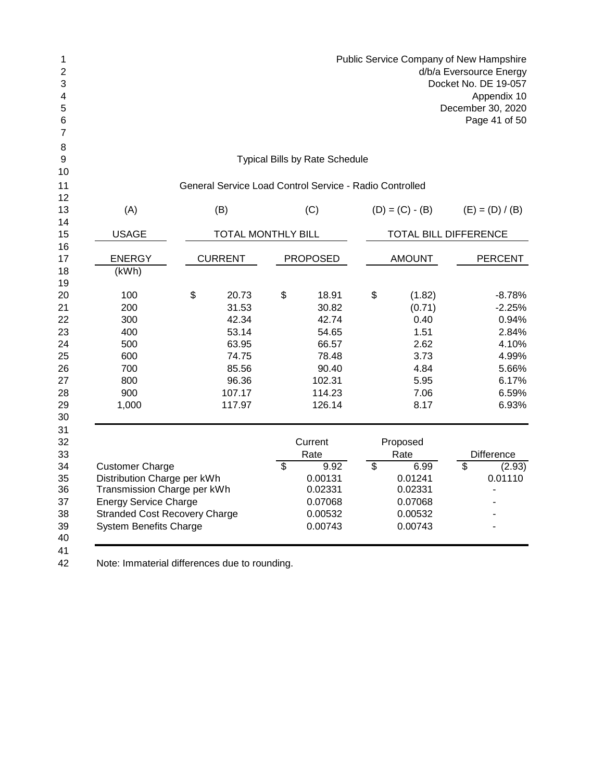| 1<br>$\overline{c}$<br>3<br>4<br>5<br>6<br>7 |                                               |                           |                          |                                                         |                 | Public Service Company of New Hampshire |                         | d/b/a Eversource Energy<br>Docket No. DE 19-057<br>Appendix 10<br>December 30, 2020<br>Page 41 of 50 |
|----------------------------------------------|-----------------------------------------------|---------------------------|--------------------------|---------------------------------------------------------|-----------------|-----------------------------------------|-------------------------|------------------------------------------------------------------------------------------------------|
| 8<br>9                                       |                                               |                           |                          | <b>Typical Bills by Rate Schedule</b>                   |                 |                                         |                         |                                                                                                      |
| 10                                           |                                               |                           |                          |                                                         |                 |                                         |                         |                                                                                                      |
| 11                                           |                                               |                           |                          | General Service Load Control Service - Radio Controlled |                 |                                         |                         |                                                                                                      |
| 12                                           |                                               |                           |                          |                                                         |                 |                                         |                         |                                                                                                      |
| 13                                           | (A)                                           | (B)                       |                          | (C)                                                     |                 | $(D) = (C) - (B)$                       |                         | $(E) = (D) / (B)$                                                                                    |
| 14<br>15                                     | <b>USAGE</b>                                  | <b>TOTAL MONTHLY BILL</b> |                          |                                                         |                 | TOTAL BILL DIFFERENCE                   |                         |                                                                                                      |
| 16                                           |                                               |                           |                          |                                                         |                 |                                         |                         |                                                                                                      |
| 17                                           | <b>ENERGY</b>                                 | <b>CURRENT</b>            |                          | <b>PROPOSED</b>                                         |                 | <b>AMOUNT</b>                           |                         | PERCENT                                                                                              |
| 18                                           | (kWh)                                         |                           |                          |                                                         |                 |                                         |                         |                                                                                                      |
| 19<br>20                                     | 100                                           | \$<br>20.73               | \$                       | 18.91                                                   | \$              | (1.82)                                  |                         | $-8.78%$                                                                                             |
| 21                                           | 200                                           | 31.53                     |                          | 30.82                                                   |                 | (0.71)                                  |                         | $-2.25%$                                                                                             |
| 22                                           | 300                                           | 42.34                     |                          | 42.74                                                   |                 | 0.40                                    |                         | 0.94%                                                                                                |
| 23                                           | 400                                           | 53.14                     |                          | 54.65                                                   |                 | 1.51                                    |                         | 2.84%                                                                                                |
| 24                                           | 500                                           | 63.95                     |                          | 66.57                                                   |                 | 2.62                                    |                         | 4.10%                                                                                                |
| 25                                           | 600                                           | 74.75                     |                          | 78.48                                                   |                 | 3.73                                    |                         | 4.99%                                                                                                |
| 26                                           | 700                                           | 85.56                     |                          | 90.40                                                   |                 | 4.84                                    |                         | 5.66%                                                                                                |
| 27                                           | 800                                           | 96.36                     |                          | 102.31                                                  |                 | 5.95                                    |                         | 6.17%                                                                                                |
| 28                                           | 900                                           | 107.17                    |                          | 114.23                                                  |                 | 7.06                                    |                         | 6.59%                                                                                                |
| 29                                           | 1,000                                         | 117.97                    |                          | 126.14                                                  |                 | 8.17                                    |                         | 6.93%                                                                                                |
| 30                                           |                                               |                           |                          |                                                         |                 |                                         |                         |                                                                                                      |
| 31<br>32                                     |                                               |                           |                          | Current                                                 |                 | Proposed                                |                         |                                                                                                      |
| 33                                           |                                               |                           |                          | Rate                                                    |                 | Rate                                    |                         | <b>Difference</b>                                                                                    |
| 34                                           | <b>Customer Charge</b>                        |                           | $\overline{\mathcal{S}}$ | 9.92                                                    | $\overline{\$}$ | 6.99                                    | $\overline{\mathbb{S}}$ | (2.93)                                                                                               |
| 35                                           | Distribution Charge per kWh                   |                           |                          | 0.00131                                                 |                 | 0.01241                                 |                         | 0.01110                                                                                              |
| 36                                           | Transmission Charge per kWh                   |                           |                          | 0.02331                                                 |                 | 0.02331                                 |                         | $\qquad \qquad \blacksquare$                                                                         |
| 37                                           | <b>Energy Service Charge</b>                  |                           |                          | 0.07068                                                 |                 | 0.07068                                 |                         |                                                                                                      |
| 38                                           | <b>Stranded Cost Recovery Charge</b>          |                           |                          | 0.00532                                                 |                 | 0.00532                                 |                         |                                                                                                      |
| 39                                           | <b>System Benefits Charge</b>                 |                           |                          | 0.00743                                                 |                 | 0.00743                                 |                         |                                                                                                      |
| 40                                           |                                               |                           |                          |                                                         |                 |                                         |                         |                                                                                                      |
| 41                                           |                                               |                           |                          |                                                         |                 |                                         |                         |                                                                                                      |
| 42                                           | Note: Immaterial differences due to rounding. |                           |                          |                                                         |                 |                                         |                         |                                                                                                      |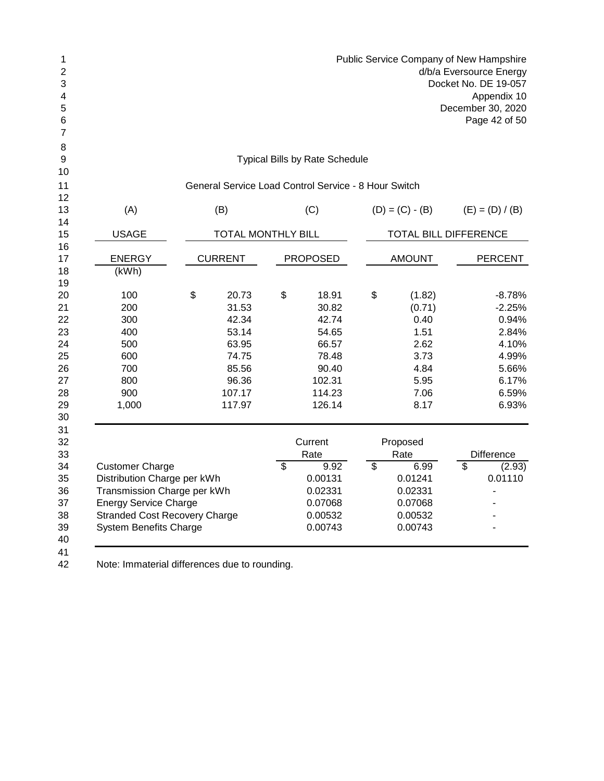| 1<br>2<br>3<br>4<br>5<br>6<br>7 |                                                             |                           |                                                      |                 | Public Service Company of New Hampshire | d/b/a Eversource Energy<br>Docket No. DE 19-057<br>Appendix 10<br>December 30, 2020<br>Page 42 of 50 |
|---------------------------------|-------------------------------------------------------------|---------------------------|------------------------------------------------------|-----------------|-----------------------------------------|------------------------------------------------------------------------------------------------------|
| 8<br>9                          |                                                             |                           | <b>Typical Bills by Rate Schedule</b>                |                 |                                         |                                                                                                      |
| 10<br>11                        |                                                             |                           | General Service Load Control Service - 8 Hour Switch |                 |                                         |                                                                                                      |
| 12<br>13                        | (A)                                                         | (B)                       | (C)                                                  |                 | $(D) = (C) - (B)$                       | $(E) = (D) / (B)$                                                                                    |
| 14<br>15<br>16                  | <b>USAGE</b>                                                | <b>TOTAL MONTHLY BILL</b> |                                                      |                 | TOTAL BILL DIFFERENCE                   |                                                                                                      |
| 17                              | <b>ENERGY</b>                                               | <b>CURRENT</b>            | <b>PROPOSED</b>                                      |                 | <b>AMOUNT</b>                           | <b>PERCENT</b>                                                                                       |
| 18<br>19                        | (KWh)                                                       |                           |                                                      |                 |                                         |                                                                                                      |
| 20                              | 100                                                         | \$<br>20.73               | \$<br>18.91                                          | \$              | (1.82)                                  | $-8.78%$                                                                                             |
| 21                              | 200                                                         | 31.53                     | 30.82                                                |                 | (0.71)                                  | $-2.25%$                                                                                             |
| 22                              | 300                                                         | 42.34                     | 42.74                                                |                 | 0.40                                    | 0.94%                                                                                                |
| 23                              | 400                                                         | 53.14                     | 54.65                                                |                 | 1.51                                    | 2.84%                                                                                                |
| 24                              | 500                                                         | 63.95                     | 66.57                                                |                 | 2.62                                    | 4.10%                                                                                                |
| 25                              | 600                                                         | 74.75                     | 78.48                                                |                 | 3.73                                    | 4.99%                                                                                                |
| 26                              | 700                                                         | 85.56                     | 90.40                                                |                 | 4.84                                    | 5.66%                                                                                                |
| 27                              | 800                                                         | 96.36                     | 102.31                                               |                 | 5.95                                    | 6.17%                                                                                                |
| 28                              | 900                                                         | 107.17                    | 114.23                                               |                 | 7.06                                    | 6.59%                                                                                                |
| 29<br>30                        | 1,000                                                       | 117.97                    | 126.14                                               |                 | 8.17                                    | 6.93%                                                                                                |
| 31                              |                                                             |                           |                                                      |                 |                                         |                                                                                                      |
| 32                              |                                                             |                           | Current                                              |                 | Proposed                                |                                                                                                      |
| 33<br>34                        | <b>Customer Charge</b>                                      |                           | \$<br>Rate<br>9.92                                   | $\overline{\$}$ | Rate<br>6.99                            | \$<br><b>Difference</b>                                                                              |
| 35                              |                                                             |                           | 0.00131                                              |                 | 0.01241                                 | (2.93)<br>0.01110                                                                                    |
| 36                              | Distribution Charge per kWh                                 |                           |                                                      |                 | 0.02331                                 |                                                                                                      |
| 37                              | Transmission Charge per kWh<br><b>Energy Service Charge</b> |                           | 0.02331<br>0.07068                                   |                 | 0.07068                                 | ٠                                                                                                    |
| 38                              | <b>Stranded Cost Recovery Charge</b>                        |                           | 0.00532                                              |                 | 0.00532                                 |                                                                                                      |
| 39                              | <b>System Benefits Charge</b>                               |                           | 0.00743                                              |                 | 0.00743                                 |                                                                                                      |
| 40<br>41<br>$\Lambda$           | Note: Immaterial differences due to reunding                |                           |                                                      |                 |                                         |                                                                                                      |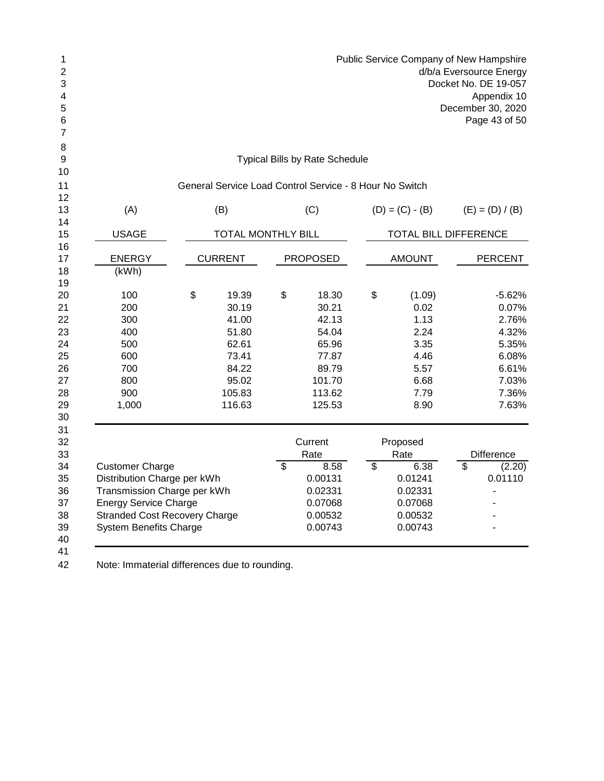|                               |                              |                                                                                                                                                                                                         |         |                                                                                                                                                                        |                                                                           |                                                                                                                                                                                                                         | d/b/a Eversource Energy<br>Docket No. DE 19-057<br>Appendix 10<br>December 30, 2020<br>Page 43 of 50 |
|-------------------------------|------------------------------|---------------------------------------------------------------------------------------------------------------------------------------------------------------------------------------------------------|---------|------------------------------------------------------------------------------------------------------------------------------------------------------------------------|---------------------------------------------------------------------------|-------------------------------------------------------------------------------------------------------------------------------------------------------------------------------------------------------------------------|------------------------------------------------------------------------------------------------------|
|                               |                              |                                                                                                                                                                                                         |         |                                                                                                                                                                        |                                                                           |                                                                                                                                                                                                                         |                                                                                                      |
|                               |                              |                                                                                                                                                                                                         |         |                                                                                                                                                                        |                                                                           |                                                                                                                                                                                                                         |                                                                                                      |
|                               | (B)                          |                                                                                                                                                                                                         | (C)     |                                                                                                                                                                        |                                                                           |                                                                                                                                                                                                                         | $(E) = (D) / (B)$                                                                                    |
|                               |                              |                                                                                                                                                                                                         |         |                                                                                                                                                                        |                                                                           |                                                                                                                                                                                                                         |                                                                                                      |
|                               |                              |                                                                                                                                                                                                         |         |                                                                                                                                                                        |                                                                           |                                                                                                                                                                                                                         | <b>PERCENT</b>                                                                                       |
|                               |                              |                                                                                                                                                                                                         |         |                                                                                                                                                                        |                                                                           |                                                                                                                                                                                                                         |                                                                                                      |
| \$                            | 19.39                        | \$                                                                                                                                                                                                      | 18.30   | \$                                                                                                                                                                     | (1.09)                                                                    |                                                                                                                                                                                                                         | $-5.62%$                                                                                             |
|                               |                              |                                                                                                                                                                                                         |         |                                                                                                                                                                        |                                                                           |                                                                                                                                                                                                                         | 0.07%                                                                                                |
|                               |                              |                                                                                                                                                                                                         |         |                                                                                                                                                                        |                                                                           |                                                                                                                                                                                                                         | 2.76%                                                                                                |
|                               |                              |                                                                                                                                                                                                         |         |                                                                                                                                                                        |                                                                           |                                                                                                                                                                                                                         | 4.32%                                                                                                |
|                               |                              |                                                                                                                                                                                                         |         |                                                                                                                                                                        |                                                                           |                                                                                                                                                                                                                         | 5.35%                                                                                                |
|                               |                              |                                                                                                                                                                                                         |         |                                                                                                                                                                        |                                                                           |                                                                                                                                                                                                                         | 6.08%                                                                                                |
|                               |                              |                                                                                                                                                                                                         |         |                                                                                                                                                                        |                                                                           |                                                                                                                                                                                                                         | 6.61%                                                                                                |
|                               |                              |                                                                                                                                                                                                         |         |                                                                                                                                                                        |                                                                           |                                                                                                                                                                                                                         | 7.03%                                                                                                |
|                               |                              |                                                                                                                                                                                                         |         |                                                                                                                                                                        |                                                                           |                                                                                                                                                                                                                         | 7.36%                                                                                                |
|                               |                              |                                                                                                                                                                                                         |         |                                                                                                                                                                        |                                                                           |                                                                                                                                                                                                                         | 7.63%                                                                                                |
|                               |                              |                                                                                                                                                                                                         |         |                                                                                                                                                                        |                                                                           |                                                                                                                                                                                                                         | Difference                                                                                           |
|                               |                              |                                                                                                                                                                                                         |         |                                                                                                                                                                        |                                                                           |                                                                                                                                                                                                                         | (2.20)                                                                                               |
|                               |                              |                                                                                                                                                                                                         |         |                                                                                                                                                                        |                                                                           |                                                                                                                                                                                                                         | 0.01110                                                                                              |
|                               |                              |                                                                                                                                                                                                         | 0.02331 |                                                                                                                                                                        | 0.02331                                                                   |                                                                                                                                                                                                                         | $\overline{a}$                                                                                       |
|                               |                              |                                                                                                                                                                                                         | 0.07068 |                                                                                                                                                                        |                                                                           |                                                                                                                                                                                                                         |                                                                                                      |
|                               |                              |                                                                                                                                                                                                         | 0.00532 |                                                                                                                                                                        | 0.00532                                                                   |                                                                                                                                                                                                                         |                                                                                                      |
| <b>System Benefits Charge</b> |                              |                                                                                                                                                                                                         | 0.00743 |                                                                                                                                                                        | 0.00743                                                                   |                                                                                                                                                                                                                         |                                                                                                      |
|                               | <b>Energy Service Charge</b> | <b>CURRENT</b><br>30.19<br>41.00<br>51.80<br>62.61<br>73.41<br>84.22<br>95.02<br>105.83<br>116.63<br>Distribution Charge per kWh<br>Transmission Charge per kWh<br><b>Stranded Cost Recovery Charge</b> | \$      | <b>TOTAL MONTHLY BILL</b><br><b>PROPOSED</b><br>30.21<br>42.13<br>54.04<br>65.96<br>77.87<br>89.79<br>101.70<br>113.62<br>125.53<br>Current<br>Rate<br>8.58<br>0.00131 | <b>Typical Bills by Rate Schedule</b><br>$\overline{\boldsymbol{\theta}}$ | General Service Load Control Service - 8 Hour No Switch<br>$(D) = (C) - (B)$<br><b>AMOUNT</b><br>0.02<br>1.13<br>2.24<br>3.35<br>4.46<br>5.57<br>6.68<br>7.79<br>8.90<br>Proposed<br>Rate<br>6.38<br>0.01241<br>0.07068 | TOTAL BILL DIFFERENCE<br>$\overline{\mathcal{S}}$                                                    |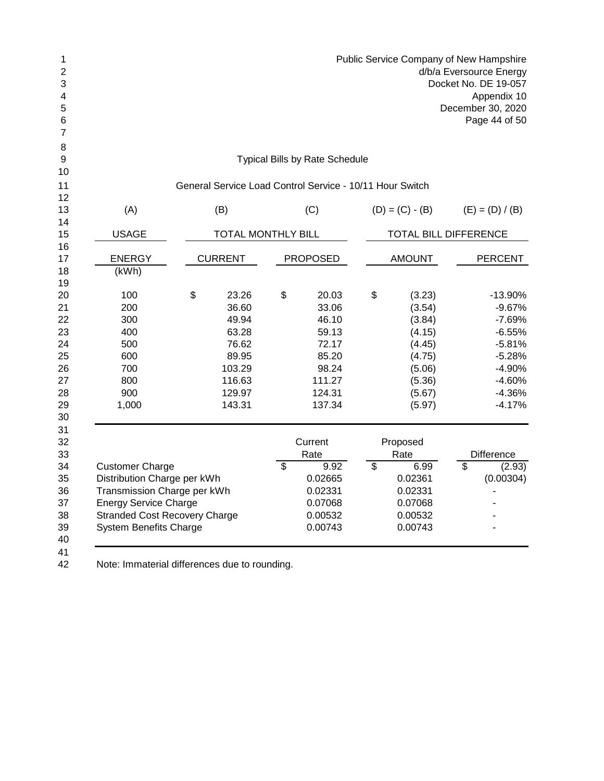| 1<br>$\sqrt{2}$<br>3<br>4<br>5<br>6<br>7 |                                               |                    |                                                          |                                  | Public Service Company of New Hampshire |                                  | d/b/a Eversource Energy<br>Docket No. DE 19-057<br>Appendix 10<br>December 30, 2020<br>Page 44 of 50 |
|------------------------------------------|-----------------------------------------------|--------------------|----------------------------------------------------------|----------------------------------|-----------------------------------------|----------------------------------|------------------------------------------------------------------------------------------------------|
| 8<br>9                                   |                                               |                    | <b>Typical Bills by Rate Schedule</b>                    |                                  |                                         |                                  |                                                                                                      |
| 10                                       |                                               |                    |                                                          |                                  |                                         |                                  |                                                                                                      |
| 11                                       |                                               |                    | General Service Load Control Service - 10/11 Hour Switch |                                  |                                         |                                  |                                                                                                      |
| 12                                       |                                               |                    |                                                          |                                  |                                         |                                  |                                                                                                      |
| 13<br>14                                 | (A)                                           | (B)                | (C)                                                      |                                  | $(D) = (C) - (B)$                       |                                  | $(E) = (D) / (B)$                                                                                    |
| 15                                       | <b>USAGE</b>                                  | TOTAL MONTHLY BILL |                                                          |                                  | TOTAL BILL DIFFERENCE                   |                                  |                                                                                                      |
| 16                                       |                                               |                    |                                                          |                                  |                                         |                                  |                                                                                                      |
| 17                                       | <b>ENERGY</b>                                 | <b>CURRENT</b>     | <b>PROPOSED</b>                                          |                                  | <b>AMOUNT</b>                           |                                  | <b>PERCENT</b>                                                                                       |
| 18<br>19                                 | (kWh)                                         |                    |                                                          |                                  |                                         |                                  |                                                                                                      |
| 20                                       | 100                                           | \$<br>23.26        | \$<br>20.03                                              | \$                               | (3.23)                                  |                                  | -13.90%                                                                                              |
| 21                                       | 200                                           | 36.60              | 33.06                                                    |                                  | (3.54)                                  |                                  | $-9.67%$                                                                                             |
| 22                                       | 300                                           | 49.94              | 46.10                                                    |                                  | (3.84)                                  |                                  | $-7.69%$                                                                                             |
| 23                                       | 400                                           | 63.28              | 59.13                                                    |                                  | (4.15)                                  |                                  | $-6.55%$                                                                                             |
| 24                                       | 500                                           | 76.62              | 72.17                                                    |                                  | (4.45)                                  |                                  | $-5.81%$                                                                                             |
| 25                                       | 600                                           | 89.95              | 85.20                                                    |                                  | (4.75)                                  |                                  | $-5.28%$                                                                                             |
| 26                                       | 700                                           | 103.29             | 98.24                                                    |                                  | (5.06)                                  |                                  | -4.90%                                                                                               |
| 27                                       | 800                                           | 116.63             | 111.27                                                   |                                  | (5.36)                                  |                                  | $-4.60%$                                                                                             |
| 28                                       | 900                                           | 129.97             | 124.31                                                   |                                  | (5.67)                                  |                                  | $-4.36%$                                                                                             |
| 29<br>30                                 | 1,000                                         | 143.31             | 137.34                                                   |                                  | (5.97)                                  |                                  | $-4.17%$                                                                                             |
| 31<br>32<br>33                           |                                               |                    | Current<br>Rate                                          |                                  | Proposed<br>Rate                        |                                  | Difference                                                                                           |
| 34                                       | <b>Customer Charge</b>                        |                    | \$<br>9.92                                               | $\overline{\boldsymbol{\theta}}$ | 6.99                                    | $\overline{\boldsymbol{\theta}}$ | (2.93)                                                                                               |
| 35                                       | Distribution Charge per kWh                   |                    | 0.02665                                                  |                                  | 0.02361                                 |                                  | (0.00304)                                                                                            |
| 36                                       | Transmission Charge per kWh                   |                    | 0.02331                                                  |                                  | 0.02331                                 |                                  |                                                                                                      |
| 37                                       | <b>Energy Service Charge</b>                  |                    | 0.07068                                                  |                                  | 0.07068                                 |                                  |                                                                                                      |
| 38                                       | <b>Stranded Cost Recovery Charge</b>          |                    | 0.00532                                                  |                                  | 0.00532                                 |                                  |                                                                                                      |
| 39<br>40                                 | <b>System Benefits Charge</b>                 |                    | 0.00743                                                  |                                  | 0.00743                                 |                                  |                                                                                                      |
| 41<br>42                                 | Note: Immaterial differences due to rounding. |                    |                                                          |                                  |                                         |                                  |                                                                                                      |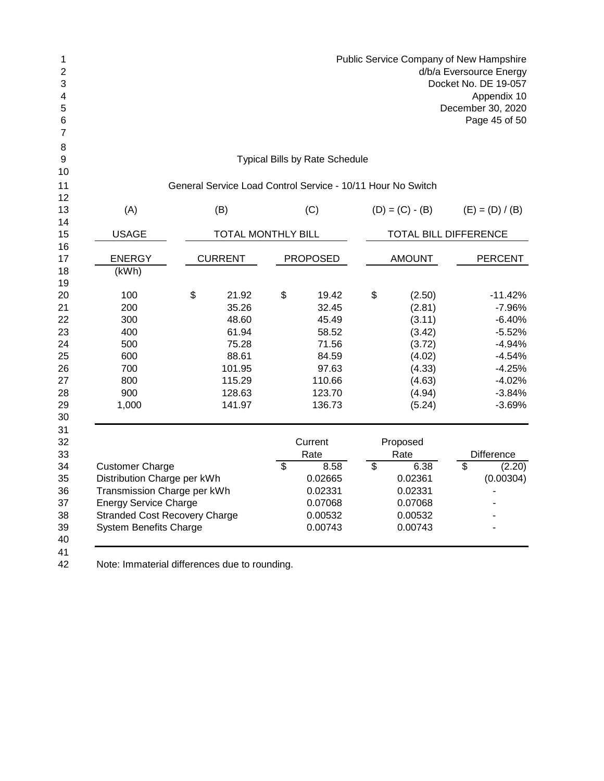| 1<br>$\overline{c}$<br>3<br>4<br>5<br>6<br>7 |                                               |                    |                          |                                                             | Public Service Company of New Hampshire |                 | d/b/a Eversource Energy<br>Docket No. DE 19-057<br>Appendix 10<br>December 30, 2020<br>Page 45 of 50 |
|----------------------------------------------|-----------------------------------------------|--------------------|--------------------------|-------------------------------------------------------------|-----------------------------------------|-----------------|------------------------------------------------------------------------------------------------------|
| 8<br>9                                       |                                               |                    |                          | <b>Typical Bills by Rate Schedule</b>                       |                                         |                 |                                                                                                      |
| 10                                           |                                               |                    |                          |                                                             |                                         |                 |                                                                                                      |
| 11                                           |                                               |                    |                          | General Service Load Control Service - 10/11 Hour No Switch |                                         |                 |                                                                                                      |
| 12<br>13                                     | (A)                                           | (B)                |                          | (C)                                                         | $(D) = (C) - (B)$                       |                 | $(E) = (D) / (B)$                                                                                    |
| 14                                           |                                               |                    |                          |                                                             |                                         |                 |                                                                                                      |
| 15                                           | <b>USAGE</b>                                  | TOTAL MONTHLY BILL |                          |                                                             | TOTAL BILL DIFFERENCE                   |                 |                                                                                                      |
| 16<br>17                                     | <b>ENERGY</b>                                 | <b>CURRENT</b>     |                          | <b>PROPOSED</b>                                             | <b>AMOUNT</b>                           |                 | <b>PERCENT</b>                                                                                       |
| 18                                           | (kWh)                                         |                    |                          |                                                             |                                         |                 |                                                                                                      |
| 19                                           |                                               |                    |                          |                                                             |                                         |                 |                                                                                                      |
| 20                                           | 100                                           | \$<br>21.92        | \$                       | 19.42                                                       | \$<br>(2.50)                            |                 | $-11.42%$                                                                                            |
| 21                                           | 200                                           | 35.26              |                          | 32.45                                                       | (2.81)                                  |                 | $-7.96%$                                                                                             |
| 22                                           | 300                                           | 48.60              |                          | 45.49                                                       | (3.11)                                  |                 | $-6.40%$                                                                                             |
| 23                                           | 400                                           | 61.94              |                          | 58.52                                                       | (3.42)                                  |                 | $-5.52%$                                                                                             |
| 24                                           | 500                                           | 75.28              |                          | 71.56                                                       | (3.72)                                  |                 | $-4.94%$                                                                                             |
| 25                                           | 600                                           | 88.61              |                          | 84.59                                                       | (4.02)                                  |                 | $-4.54%$                                                                                             |
| 26                                           | 700                                           | 101.95             |                          | 97.63                                                       | (4.33)                                  |                 | $-4.25%$                                                                                             |
| 27                                           | 800                                           | 115.29             |                          | 110.66                                                      | (4.63)                                  |                 | $-4.02%$                                                                                             |
| 28                                           | 900                                           | 128.63             |                          | 123.70                                                      | (4.94)                                  |                 | $-3.84%$                                                                                             |
| 29<br>30                                     | 1,000                                         | 141.97             |                          | 136.73                                                      | (5.24)                                  |                 | $-3.69%$                                                                                             |
| 31<br>32<br>33                               |                                               |                    |                          | Current<br>Rate                                             | Proposed<br>Rate                        |                 | <b>Difference</b>                                                                                    |
| 34                                           | <b>Customer Charge</b>                        |                    | $\overline{\mathcal{S}}$ | 8.58                                                        | \$<br>6.38                              | $\overline{\$}$ | (2.20)                                                                                               |
| 35                                           | Distribution Charge per kWh                   |                    |                          | 0.02665                                                     | 0.02361                                 |                 | (0.00304)                                                                                            |
| 36                                           | Transmission Charge per kWh                   |                    |                          | 0.02331                                                     | 0.02331                                 |                 |                                                                                                      |
| 37                                           | <b>Energy Service Charge</b>                  |                    |                          | 0.07068                                                     | 0.07068                                 |                 |                                                                                                      |
| 38                                           | <b>Stranded Cost Recovery Charge</b>          |                    |                          | 0.00532                                                     | 0.00532                                 |                 |                                                                                                      |
| 39<br>40                                     | <b>System Benefits Charge</b>                 |                    |                          | 0.00743                                                     | 0.00743                                 |                 |                                                                                                      |
| 41<br>42                                     | Note: Immaterial differences due to rounding. |                    |                          |                                                             |                                         |                 |                                                                                                      |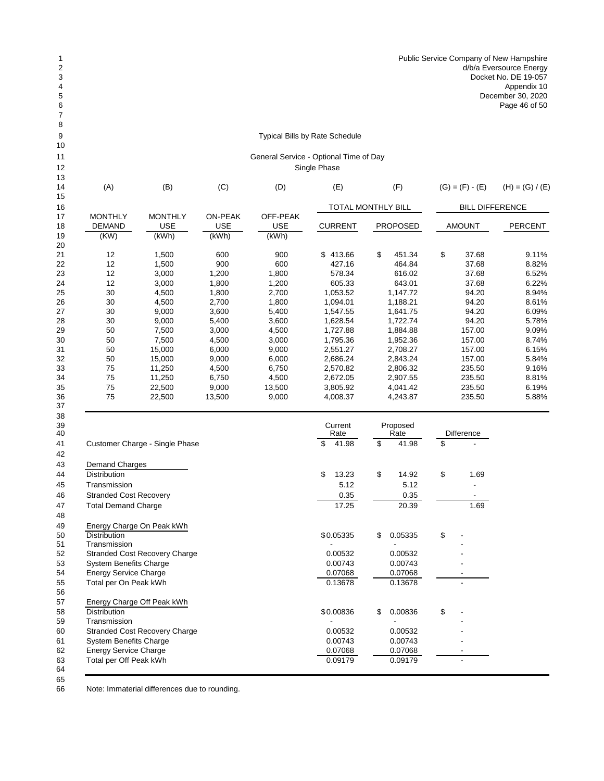## Typical Bills by Rate Schedule

## General Service - Optional Time of Day Single Phase

| 13 |                |                |                |            |                |                    |                        |                   |
|----|----------------|----------------|----------------|------------|----------------|--------------------|------------------------|-------------------|
| 14 | (A)            | (B)            | (C)            | (D)        | (E)            | (F)                | $(G) = (F) - (E)$      | $(H) = (G) / (E)$ |
| 15 |                |                |                |            |                |                    |                        |                   |
| 16 |                |                |                |            |                | TOTAL MONTHLY BILL | <b>BILL DIFFERENCE</b> |                   |
| 17 | <b>MONTHLY</b> | <b>MONTHLY</b> | <b>ON-PEAK</b> | OFF-PEAK   |                |                    |                        |                   |
| 18 | <b>DEMAND</b>  | <b>USE</b>     | <b>USE</b>     | <b>USE</b> | <b>CURRENT</b> | <b>PROPOSED</b>    | <b>AMOUNT</b>          | <b>PERCENT</b>    |
| 19 | (KW)           | (kWh)          | (kWh)          | (kWh)      |                |                    |                        |                   |
| 20 |                |                |                |            |                |                    |                        |                   |
| 21 | 12             | 1,500          | 600            | 900        | \$413.66       | \$<br>451.34       | \$<br>37.68            | 9.11%             |
| 22 | 12             | 1,500          | 900            | 600        | 427.16         | 464.84             | 37.68                  | 8.82%             |
| 23 | 12             | 3,000          | 1,200          | 1,800      | 578.34         | 616.02             | 37.68                  | 6.52%             |
| 24 | 12             | 3,000          | 1,800          | 1,200      | 605.33         | 643.01             | 37.68                  | 6.22%             |
| 25 | 30             | 4,500          | 1,800          | 2,700      | 1,053.52       | 1,147.72           | 94.20                  | 8.94%             |
| 26 | 30             | 4,500          | 2,700          | 1,800      | 1,094.01       | 1,188.21           | 94.20                  | 8.61%             |
| 27 | 30             | 9,000          | 3,600          | 5,400      | 1,547.55       | 1,641.75           | 94.20                  | 6.09%             |
| 28 | 30             | 9,000          | 5,400          | 3,600      | 1,628.54       | 1,722.74           | 94.20                  | 5.78%             |
| 29 | 50             | 7,500          | 3,000          | 4,500      | 1,727.88       | 1,884.88           | 157.00                 | 9.09%             |
| 30 | 50             | 7,500          | 4,500          | 3,000      | 1,795.36       | 1,952.36           | 157.00                 | 8.74%             |
| 31 | 50             | 15,000         | 6,000          | 9,000      | 2,551.27       | 2,708.27           | 157.00                 | 6.15%             |
| 32 | 50             | 15,000         | 9,000          | 6,000      | 2,686.24       | 2,843.24           | 157.00                 | 5.84%             |
| 33 | 75             | 11,250         | 4,500          | 6,750      | 2,570.82       | 2,806.32           | 235.50                 | 9.16%             |
| 34 | 75             | 11,250         | 6,750          | 4,500      | 2,672.05       | 2,907.55           | 235.50                 | 8.81%             |
| 35 | 75             | 22,500         | 9,000          | 13,500     | 3,805.92       | 4,041.42           | 235.50                 | 6.19%             |
| 36 | 75             | 22,500         | 13,500         | 9,000      | 4,008.37       | 4,243.87           | 235.50                 | 5.88%             |
| 37 |                |                |                |            |                |                    |                        |                   |
| 38 |                |                |                |            |                |                    |                        |                   |

| 39<br>40 |                                      | Current<br>Rate | Proposed<br>Rate |         | Difference |
|----------|--------------------------------------|-----------------|------------------|---------|------------|
| 41       | Customer Charge - Single Phase       | \$<br>41.98     | \$               | 41.98   | \$         |
| 42       |                                      |                 |                  |         |            |
| 43       | Demand Charges                       |                 |                  |         |            |
| 44       | <b>Distribution</b>                  | \$<br>13.23     | \$               | 14.92   | \$<br>1.69 |
| 45       | Transmission                         | 5.12            |                  | 5.12    |            |
| 46       | <b>Stranded Cost Recovery</b>        | 0.35            |                  | 0.35    |            |
| 47       | <b>Total Demand Charge</b>           | 17.25           |                  | 20.39   | 1.69       |
| 48       |                                      |                 |                  |         |            |
| 49       | Energy Charge On Peak kWh            |                 |                  |         |            |
| 50       | <b>Distribution</b>                  | \$0.05335       | \$               | 0.05335 | \$         |
| 51       | Transmission                         |                 |                  |         |            |
| 52       | Stranded Cost Recovery Charge        | 0.00532         |                  | 0.00532 |            |
| 53       | <b>System Benefits Charge</b>        | 0.00743         |                  | 0.00743 |            |
| 54       | <b>Energy Service Charge</b>         | 0.07068         |                  | 0.07068 |            |
| 55       | Total per On Peak kWh                | 0.13678         |                  | 0.13678 |            |
| 56       |                                      |                 |                  |         |            |
| 57       | Energy Charge Off Peak kWh           |                 |                  |         |            |
| 58       | <b>Distribution</b>                  | \$0.00836       | \$               | 0.00836 | \$         |
| 59       | Transmission                         |                 |                  |         |            |
| 60       | <b>Stranded Cost Recovery Charge</b> | 0.00532         |                  | 0.00532 |            |
| 61       | <b>System Benefits Charge</b>        | 0.00743         |                  | 0.00743 |            |
| 62       | <b>Energy Service Charge</b>         | 0.07068         |                  | 0.07068 |            |
| 63<br>64 | Total per Off Peak kWh               | 0.09179         |                  | 0.09179 |            |

 Note: Immaterial differences due to rounding.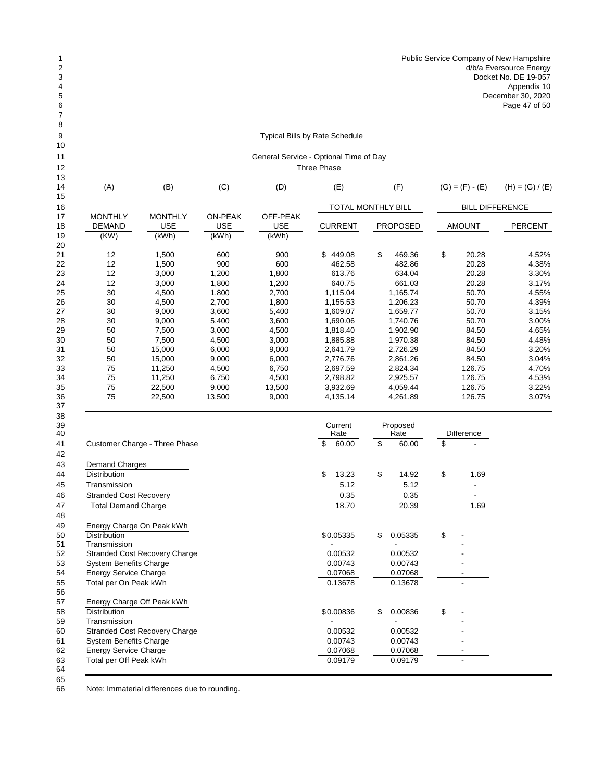## Typical Bills by Rate Schedule

### General Service - Optional Time of Day se

| 13                    |                                         |                                       |                                       |                                 |                 |                                  |                        |                   |  |  |
|-----------------------|-----------------------------------------|---------------------------------------|---------------------------------------|---------------------------------|-----------------|----------------------------------|------------------------|-------------------|--|--|
| 14                    | (A)                                     | (B)                                   | (C)                                   | (D)                             | (E)<br>(F)      |                                  | $(G) = (F) - (E)$      | $(H) = (G) / (E)$ |  |  |
| 15<br>16              |                                         |                                       |                                       |                                 |                 | TOTAL MONTHLY BILL               | <b>BILL DIFFERENCE</b> |                   |  |  |
| 17<br>18<br>19        | <b>MONTHLY</b><br><b>DEMAND</b><br>(KW) | <b>MONTHLY</b><br><b>USE</b><br>(kWh) | <b>ON-PEAK</b><br><b>USE</b><br>(kWh) | OFF-PEAK<br><b>USE</b><br>(kWh) | <b>CURRENT</b>  | <b>PROPOSED</b><br><b>AMOUNT</b> |                        | <b>PERCENT</b>    |  |  |
| 20                    |                                         |                                       |                                       |                                 |                 |                                  |                        |                   |  |  |
| 21                    | 12                                      | 1,500                                 | 600                                   | 900                             | \$449.08        | \$<br>469.36                     | \$<br>20.28<br>20.28   | 4.52%             |  |  |
| 22                    | 12                                      | 1,500                                 | 900                                   | 600                             |                 | 482.86<br>462.58                 |                        | 4.38%             |  |  |
| 23                    | 12                                      | 3,000                                 | 1,200                                 | 1,800                           | 613.76          | 634.04                           | 20.28                  | 3.30%             |  |  |
| 24                    | 12                                      | 3,000                                 | 1,800                                 | 1,200                           | 640.75          | 661.03                           | 20.28                  | 3.17%             |  |  |
| 25                    | 30                                      | 4,500                                 | 1,800                                 | 2,700                           | 1,115.04        | 1,165.74                         | 50.70                  | 4.55%             |  |  |
| 26                    | 30                                      | 4,500                                 | 2,700                                 | 1,800                           | 1,155.53        | 1,206.23                         | 50.70                  | 4.39%             |  |  |
| 27                    | 30                                      | 9,000                                 | 3,600                                 | 5,400                           | 1,609.07        | 1,659.77                         | 50.70                  | 3.15%             |  |  |
| 28                    | 30                                      | 9,000                                 | 5,400                                 | 3,600                           | 1,690.06        | 1,740.76                         | 50.70                  | 3.00%             |  |  |
| 29                    | 50                                      | 7,500                                 | 3,000                                 | 4,500                           | 1,818.40        | 1,902.90                         | 84.50                  | 4.65%             |  |  |
| 30                    | 50                                      | 7,500                                 | 4,500                                 | 3,000                           | 1,885.88        | 1,970.38                         | 84.50                  | 4.48%             |  |  |
| 31                    | 50                                      | 15,000                                | 6,000                                 | 9,000                           | 2,641.79        | 2,726.29                         | 84.50                  | 3.20%             |  |  |
| 32                    | 50                                      | 15,000                                | 9,000                                 | 6,000                           | 2,776.76        | 2,861.26                         | 84.50                  | 3.04%             |  |  |
| 33                    | 75                                      | 11,250                                | 4,500                                 | 6,750                           | 2,697.59        | 2,824.34                         | 126.75                 | 4.70%             |  |  |
| 34                    | 75                                      | 11,250                                | 6,750                                 | 4,500                           | 2,798.82        | 2,925.57                         | 126.75                 | 4.53%             |  |  |
| 35                    | 75                                      | 22,500                                | 9,000                                 | 13,500                          | 3,932.69        | 4,059.44                         |                        | 3.22%             |  |  |
| 36<br>37              | 75                                      | 22,500                                | 13,500                                | 9,000                           | 4,135.14        | 4,261.89                         | 126.75                 | 3.07%             |  |  |
| 38                    |                                         |                                       |                                       |                                 |                 |                                  |                        |                   |  |  |
| 39<br>$\Delta \Omega$ |                                         |                                       |                                       |                                 | Current<br>Rate | Proposed<br>Rate                 | Difference             |                   |  |  |

| 40 |                                      | Rate        | Rate          | Difference |      |  |
|----|--------------------------------------|-------------|---------------|------------|------|--|
| 41 | Customer Charge - Three Phase        | 60.00<br>\$ | \$<br>60.00   | \$         |      |  |
| 42 |                                      |             |               |            |      |  |
| 43 | Demand Charges                       |             |               |            |      |  |
| 44 | <b>Distribution</b>                  | \$<br>13.23 | \$<br>14.92   | \$         | 1.69 |  |
| 45 | Transmission                         | 5.12        | 5.12          |            |      |  |
| 46 | <b>Stranded Cost Recovery</b>        | 0.35        | 0.35          |            |      |  |
| 47 | <b>Total Demand Charge</b>           | 18.70       | 20.39         |            | 1.69 |  |
| 48 |                                      |             |               |            |      |  |
| 49 | Energy Charge On Peak kWh            |             |               |            |      |  |
| 50 | <b>Distribution</b>                  | \$0.05335   | \$<br>0.05335 | \$         |      |  |
| 51 | Transmission                         |             |               |            |      |  |
| 52 | <b>Stranded Cost Recovery Charge</b> | 0.00532     | 0.00532       |            |      |  |
| 53 | <b>System Benefits Charge</b>        | 0.00743     | 0.00743       |            |      |  |
| 54 | <b>Energy Service Charge</b>         | 0.07068     | 0.07068       |            |      |  |
| 55 | Total per On Peak kWh                | 0.13678     | 0.13678       |            |      |  |
| 56 |                                      |             |               |            |      |  |
| 57 | Energy Charge Off Peak kWh           |             |               |            |      |  |
| 58 | <b>Distribution</b>                  | \$0.00836   | \$<br>0.00836 | \$         |      |  |
| 59 | Transmission                         |             |               |            |      |  |
| 60 | <b>Stranded Cost Recovery Charge</b> | 0.00532     | 0.00532       |            |      |  |
| 61 | <b>System Benefits Charge</b>        | 0.00743     | 0.00743       |            |      |  |
| 62 | <b>Energy Service Charge</b>         | 0.07068     | 0.07068       |            |      |  |
| 63 | Total per Off Peak kWh               | 0.09179     | 0.09179       |            |      |  |
| 64 |                                      |             |               |            |      |  |

 Note: Immaterial differences due to rounding.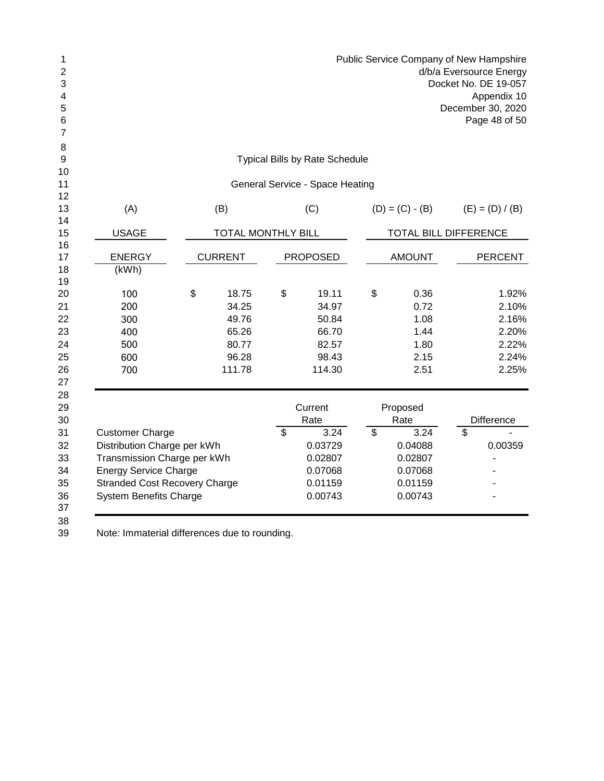| $\mathbf 1$<br>$\overline{2}$<br>3<br>4<br>5<br>6<br>7 |                               |                                                                      |                           |                 | Public Service Company of New Hampshire<br>d/b/a Eversource Energy<br>Docket No. DE 19-057<br>Appendix 10<br>December 30, 2020<br>Page 48 of 50 |    |                       |                |                   |  |  |
|--------------------------------------------------------|-------------------------------|----------------------------------------------------------------------|---------------------------|-----------------|-------------------------------------------------------------------------------------------------------------------------------------------------|----|-----------------------|----------------|-------------------|--|--|
| 8<br>9                                                 |                               |                                                                      |                           |                 | <b>Typical Bills by Rate Schedule</b>                                                                                                           |    |                       |                |                   |  |  |
| 10                                                     |                               |                                                                      |                           |                 |                                                                                                                                                 |    |                       |                |                   |  |  |
| 11                                                     |                               |                                                                      |                           |                 | General Service - Space Heating                                                                                                                 |    |                       |                |                   |  |  |
| 12<br>13                                               | (A)                           |                                                                      | (B)                       |                 | (C)                                                                                                                                             |    | $(D) = (C) - (B)$     |                | $(E) = (D) / (B)$ |  |  |
| 14                                                     |                               |                                                                      |                           |                 |                                                                                                                                                 |    |                       |                |                   |  |  |
| 15                                                     | <b>USAGE</b>                  |                                                                      | <b>TOTAL MONTHLY BILL</b> |                 |                                                                                                                                                 |    | TOTAL BILL DIFFERENCE |                |                   |  |  |
| 16<br>17                                               | <b>ENERGY</b>                 |                                                                      | <b>CURRENT</b>            | <b>PROPOSED</b> |                                                                                                                                                 |    | <b>AMOUNT</b>         |                | <b>PERCENT</b>    |  |  |
| 18                                                     | (kWh)                         |                                                                      |                           |                 |                                                                                                                                                 |    |                       |                |                   |  |  |
| 19                                                     |                               |                                                                      |                           |                 |                                                                                                                                                 |    |                       |                |                   |  |  |
| 20                                                     | 100                           | \$                                                                   | 18.75                     | \$              | 19.11                                                                                                                                           | \$ | 0.36                  |                | 1.92%             |  |  |
| 21                                                     | 200                           |                                                                      | 34.25                     |                 | 34.97                                                                                                                                           |    | 0.72                  |                | 2.10%             |  |  |
| 22                                                     | 300                           |                                                                      | 49.76                     |                 | 50.84                                                                                                                                           |    | 1.08                  |                | 2.16%             |  |  |
| 23                                                     | 400                           |                                                                      | 65.26                     |                 | 66.70                                                                                                                                           |    | 1.44                  |                | 2.20%             |  |  |
| 24                                                     | 500                           |                                                                      | 80.77                     |                 | 82.57                                                                                                                                           |    | 1.80                  |                | 2.22%             |  |  |
| 25                                                     | 600                           |                                                                      | 96.28                     |                 | 98.43                                                                                                                                           |    | 2.15                  |                | 2.24%             |  |  |
| 26<br>27                                               | 700                           |                                                                      | 111.78                    |                 | 114.30                                                                                                                                          |    | 2.51                  |                | 2.25%             |  |  |
| 28                                                     |                               |                                                                      |                           |                 |                                                                                                                                                 |    |                       |                |                   |  |  |
| 29                                                     |                               |                                                                      |                           |                 | Current                                                                                                                                         |    | Proposed              |                |                   |  |  |
| 30                                                     |                               |                                                                      |                           | \$              | Rate<br>3.24                                                                                                                                    |    | Rate                  | $\mathfrak{S}$ | <b>Difference</b> |  |  |
| 31<br>32                                               |                               | <b>Customer Charge</b>                                               |                           |                 |                                                                                                                                                 | \$ | 3.24                  |                |                   |  |  |
|                                                        |                               | Distribution Charge per kWh<br>Transmission Charge per kWh           |                           |                 |                                                                                                                                                 |    | 0.04088               |                | 0.00359           |  |  |
| 33                                                     |                               |                                                                      |                           |                 | 0.02807<br>0.07068                                                                                                                              |    | 0.02807               |                | ä,                |  |  |
| 34                                                     |                               | <b>Energy Service Charge</b><br><b>Stranded Cost Recovery Charge</b> |                           |                 |                                                                                                                                                 |    | 0.07068<br>0.01159    |                |                   |  |  |
| 35<br>36                                               | <b>System Benefits Charge</b> |                                                                      |                           |                 | 0.01159<br>0.00743                                                                                                                              |    | 0.00743               |                |                   |  |  |
| 37                                                     |                               |                                                                      |                           |                 |                                                                                                                                                 |    |                       |                |                   |  |  |
| 38                                                     |                               |                                                                      |                           |                 |                                                                                                                                                 |    |                       |                |                   |  |  |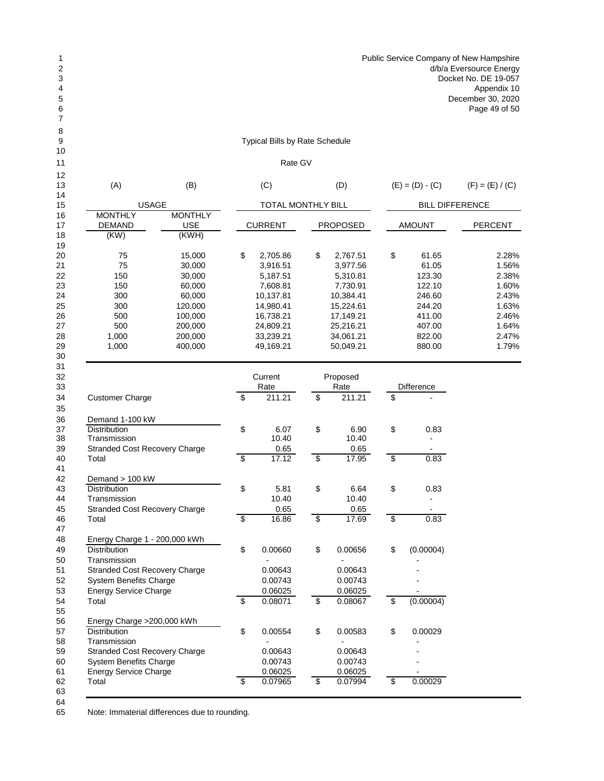## Typical Bills by Rate Schedule

## Rate GV

| 12<br>13 | (A)                                  | (B)                                  |                          | (C)                |                 | (D)                |                                    | $(E) = (D) - (C)$      | $(F) = (E) / (C)$ |  |  |
|----------|--------------------------------------|--------------------------------------|--------------------------|--------------------|-----------------|--------------------|------------------------------------|------------------------|-------------------|--|--|
| 14<br>15 | <b>USAGE</b>                         |                                      |                          | TOTAL MONTHLY BILL |                 |                    |                                    | <b>BILL DIFFERENCE</b> |                   |  |  |
| 16<br>17 | <b>MONTHLY</b><br><b>DEMAND</b>      | <b>MONTHLY</b><br><b>USE</b>         |                          | <b>CURRENT</b>     |                 | <b>PROPOSED</b>    |                                    | <b>AMOUNT</b>          | <b>PERCENT</b>    |  |  |
| 18       | (KW)                                 | (KWH)                                |                          |                    |                 |                    |                                    |                        |                   |  |  |
| 19<br>20 | 75                                   | 15,000                               | \$                       | 2,705.86           | \$              | 2,767.51           | \$                                 | 61.65                  | 2.28%             |  |  |
|          | 75                                   | 30,000                               |                          | 3,916.51           |                 | 3,977.56           |                                    | 61.05                  | 1.56%             |  |  |
|          | 150                                  | 30,000                               |                          | 5,187.51           |                 | 5,310.81           |                                    | 123.30                 | 2.38%             |  |  |
|          | 150                                  | 60,000                               |                          | 7,608.81           |                 | 7,730.91           |                                    | 122.10                 | 1.60%             |  |  |
|          | 300                                  | 60,000                               |                          | 10,137.81          |                 | 10,384.41          |                                    | 246.60                 | 2.43%             |  |  |
|          | 300                                  | 120,000                              |                          | 14,980.41          |                 | 15,224.61          |                                    | 244.20                 | 1.63%             |  |  |
|          | 500                                  | 100,000                              |                          | 16,738.21          |                 | 17,149.21          |                                    | 411.00                 | 2.46%             |  |  |
|          | 500                                  | 200,000                              |                          | 24,809.21          |                 | 25,216.21          |                                    | 407.00                 | 1.64%             |  |  |
|          | 1,000                                | 200,000                              |                          | 33,239.21          |                 | 34,061.21          |                                    | 822.00                 | 2.47%             |  |  |
|          | 1,000                                | 400,000                              |                          | 49,169.21          |                 | 50,049.21          |                                    | 880.00                 | 1.79%             |  |  |
|          |                                      |                                      |                          | Current            |                 | Proposed           |                                    |                        |                   |  |  |
|          |                                      |                                      |                          | Rate               |                 | Rate               |                                    | Difference             |                   |  |  |
|          | <b>Customer Charge</b>               |                                      | \$                       | 211.21             | \$              | 211.21             | \$                                 |                        |                   |  |  |
|          | Demand 1-100 kW                      |                                      | \$                       |                    |                 |                    |                                    |                        |                   |  |  |
|          | Distribution                         |                                      |                          | 6.07               | \$              | 6.90               | \$                                 | 0.83                   |                   |  |  |
|          | Transmission                         |                                      |                          | 10.40              |                 | 10.40              |                                    |                        |                   |  |  |
|          |                                      | <b>Stranded Cost Recovery Charge</b> |                          | 0.65               |                 | 0.65               |                                    |                        |                   |  |  |
|          | Total                                |                                      | \$                       | 17.12              | \$              | 17.95              | $\overline{\boldsymbol{\epsilon}}$ | 0.83                   |                   |  |  |
|          | Demand > 100 kW                      |                                      |                          |                    |                 |                    |                                    |                        |                   |  |  |
|          | Distribution                         |                                      | \$                       | 5.81               |                 | 6.64               |                                    | 0.83                   |                   |  |  |
|          | Transmission                         |                                      |                          | 10.40              | \$              | 10.40              | \$                                 |                        |                   |  |  |
|          | <b>Stranded Cost Recovery Charge</b> |                                      |                          | 0.65               |                 | 0.65               |                                    |                        |                   |  |  |
|          | Total                                |                                      | $\overline{\mathcal{E}}$ | 16.86              | $\overline{\$}$ | 17.69              | $\overline{\$}$                    | 0.83                   |                   |  |  |
|          |                                      |                                      |                          |                    |                 |                    |                                    |                        |                   |  |  |
|          | Energy Charge 1 - 200,000 kWh        |                                      |                          |                    |                 |                    |                                    |                        |                   |  |  |
|          | Distribution                         |                                      | \$                       | 0.00660            | \$              | 0.00656            | \$                                 | (0.00004)              |                   |  |  |
|          | Transmission                         |                                      |                          |                    |                 |                    |                                    |                        |                   |  |  |
|          | <b>Stranded Cost Recovery Charge</b> |                                      |                          | 0.00643            |                 | 0.00643            |                                    |                        |                   |  |  |
|          | <b>System Benefits Charge</b>        |                                      |                          | 0.00743            |                 | 0.00743            |                                    |                        |                   |  |  |
|          | <b>Energy Service Charge</b>         |                                      |                          | 0.06025            |                 |                    |                                    |                        |                   |  |  |
|          | Total                                |                                      | \$                       | 0.08071            | \$              | 0.06025<br>0.08067 | \$                                 | (0.00004)              |                   |  |  |
|          |                                      |                                      |                          |                    |                 |                    |                                    |                        |                   |  |  |
|          | Energy Charge > 200,000 kWh          |                                      |                          |                    |                 |                    |                                    |                        |                   |  |  |
|          | <b>Distribution</b>                  |                                      | \$                       | 0.00554            | \$              | 0.00583            | \$                                 | 0.00029                |                   |  |  |
|          | Transmission                         |                                      |                          |                    |                 |                    |                                    |                        |                   |  |  |
|          | Stranded Cost Recovery Charge        |                                      |                          | 0.00643            |                 | 0.00643            |                                    |                        |                   |  |  |
|          | <b>System Benefits Charge</b>        |                                      |                          | 0.00743            |                 | 0.00743            |                                    |                        |                   |  |  |
|          | <b>Energy Service Charge</b>         |                                      |                          | 0.06025            |                 | 0.06025            |                                    |                        |                   |  |  |
|          | Total                                |                                      | \$                       | 0.07965            | $\overline{\$}$ | 0.07994            | $\overline{\$}$                    | 0.00029                |                   |  |  |
|          |                                      |                                      |                          |                    |                 |                    |                                    |                        |                   |  |  |